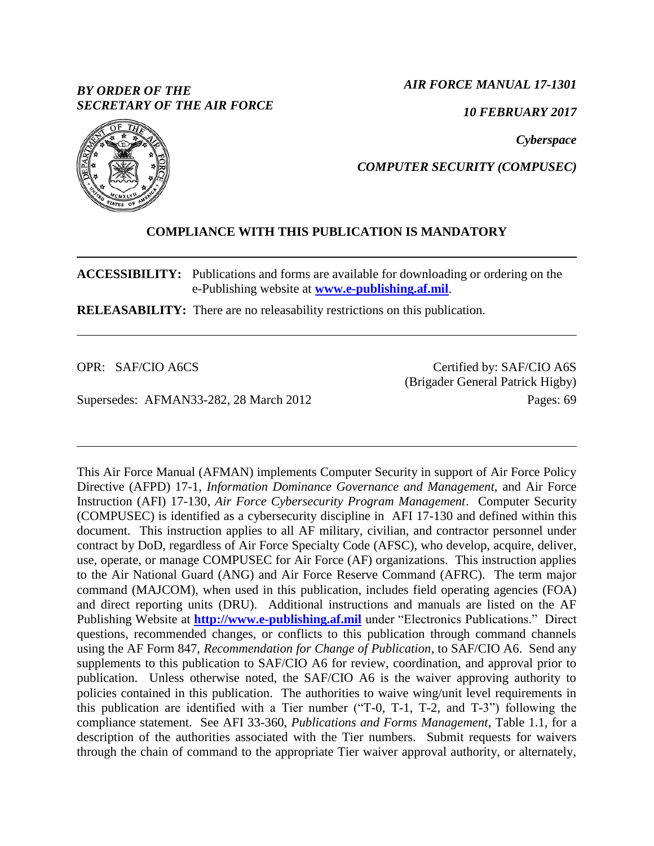# *BY ORDER OF THE SECRETARY OF THE AIR FORCE*

*AIR FORCE MANUAL 17-1301*

*10 FEBRUARY 2017*

*Cyberspace*



*COMPUTER SECURITY (COMPUSEC)*

# **COMPLIANCE WITH THIS PUBLICATION IS MANDATORY**

**ACCESSIBILITY:** Publications and forms are available for downloading or ordering on the e-Publishing website at **[www.e-publishing.af.mil](http://www.e-publishing.af.mil/)**.

**RELEASABILITY:** There are no releasability restrictions on this publication.

OPR: SAF/CIO A6CS

Supersedes: AFMAN33-282, 28 March 2012

Certified by: SAF/CIO A6S (Brigader General Patrick Higby) Pages: 69

This Air Force Manual (AFMAN) implements Computer Security in support of Air Force Policy Directive (AFPD) 17-1*, Information Dominance Governance and Management,* and Air Force Instruction (AFI) 17-130, *Air Force Cybersecurity Program Management*. Computer Security (COMPUSEC) is identified as a cybersecurity discipline in AFI 17-130 and defined within this document. This instruction applies to all AF military, civilian, and contractor personnel under contract by DoD, regardless of Air Force Specialty Code (AFSC), who develop, acquire, deliver, use, operate, or manage COMPUSEC for Air Force (AF) organizations. This instruction applies to the Air National Guard (ANG) and Air Force Reserve Command (AFRC). The term major command (MAJCOM), when used in this publication, includes field operating agencies (FOA) and direct reporting units (DRU). Additional instructions and manuals are listed on the AF Publishing Website at **[http://www.e-publishing.af.mil](http://www.e-publishing.af.mil/)** under "Electronics Publications." Direct questions, recommended changes, or conflicts to this publication through command channels using the AF Form 847, *Recommendation for Change of Publication*, to SAF/CIO A6. Send any supplements to this publication to SAF/CIO A6 for review, coordination, and approval prior to publication. Unless otherwise noted, the SAF/CIO A6 is the waiver approving authority to policies contained in this publication. The authorities to waive wing/unit level requirements in this publication are identified with a Tier number ("T-0, T-1, T-2, and T-3") following the compliance statement. See AFI 33-360, *Publications and Forms Management*, Table 1.1, for a description of the authorities associated with the Tier numbers. Submit requests for waivers through the chain of command to the appropriate Tier waiver approval authority, or alternately,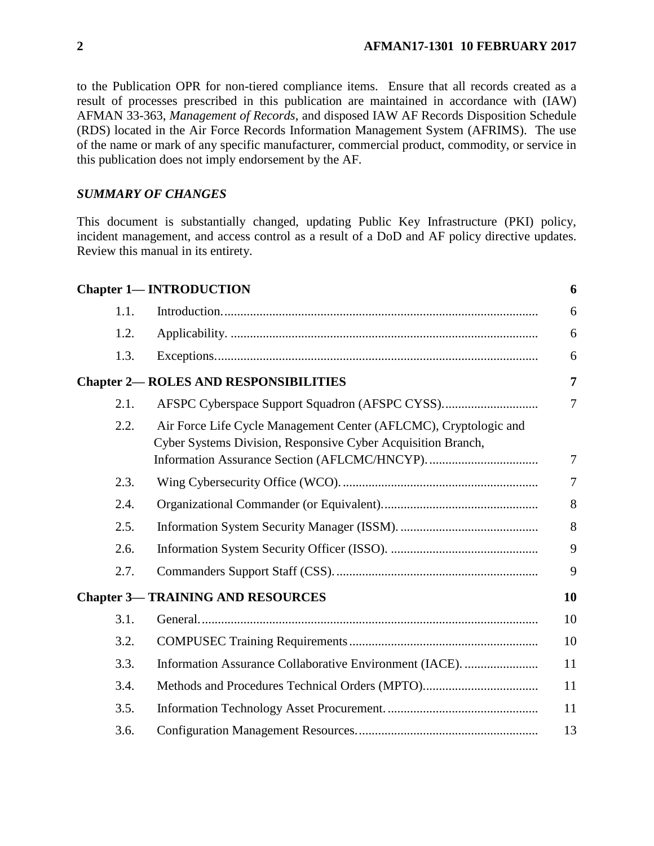to the Publication OPR for non-tiered compliance items. Ensure that all records created as a result of processes prescribed in this publication are maintained in accordance with (IAW) AFMAN 33-363, *Management of Records*, and disposed IAW AF Records Disposition Schedule (RDS) located in the Air Force Records Information Management System (AFRIMS). The use of the name or mark of any specific manufacturer, commercial product, commodity, or service in this publication does not imply endorsement by the AF.

### *SUMMARY OF CHANGES*

This document is substantially changed, updating Public Key Infrastructure (PKI) policy, incident management, and access control as a result of a DoD and AF policy directive updates. Review this manual in its entirety.

|      | <b>Chapter 1- INTRODUCTION</b>                                                                                                   | 6              |
|------|----------------------------------------------------------------------------------------------------------------------------------|----------------|
| 1.1. |                                                                                                                                  | 6              |
| 1.2. |                                                                                                                                  | 6              |
| 1.3. |                                                                                                                                  | 6              |
|      | <b>Chapter 2-ROLES AND RESPONSIBILITIES</b>                                                                                      | $\overline{7}$ |
| 2.1. |                                                                                                                                  | $\overline{7}$ |
| 2.2. | Air Force Life Cycle Management Center (AFLCMC), Cryptologic and<br>Cyber Systems Division, Responsive Cyber Acquisition Branch, | 7              |
| 2.3. |                                                                                                                                  | $\overline{7}$ |
| 2.4. |                                                                                                                                  | 8              |
| 2.5. |                                                                                                                                  | 8              |
| 2.6. |                                                                                                                                  | 9              |
| 2.7. |                                                                                                                                  | 9              |
|      | <b>Chapter 3-TRAINING AND RESOURCES</b>                                                                                          | 10             |
| 3.1. |                                                                                                                                  | 10             |
| 3.2. |                                                                                                                                  | 10             |
| 3.3. | Information Assurance Collaborative Environment (IACE).                                                                          | 11             |
| 3.4. | Methods and Procedures Technical Orders (MPTO)                                                                                   | 11             |
| 3.5. |                                                                                                                                  | 11             |
| 3.6. |                                                                                                                                  | 13             |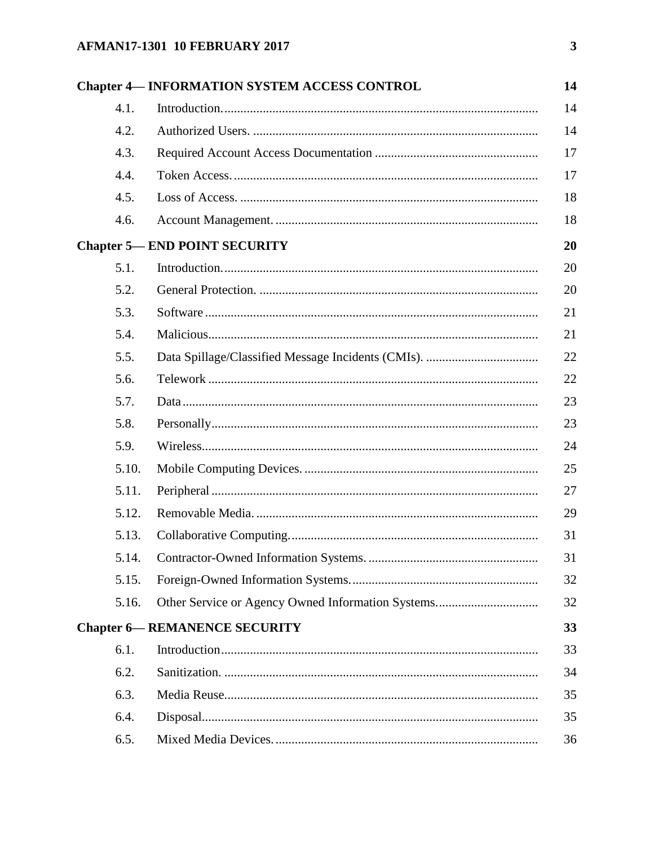# **AFMAN17-1301 10 FEBRUARY 2017**

|       | <b>Chapter 4— INFORMATION SYSTEM ACCESS CONTROL</b> |
|-------|-----------------------------------------------------|
| 4.1.  |                                                     |
| 4.2.  |                                                     |
| 4.3.  |                                                     |
| 4.4.  |                                                     |
| 4.5.  |                                                     |
| 4.6.  |                                                     |
|       | <b>Chapter 5— END POINT SECURITY</b>                |
| 5.1.  |                                                     |
| 5.2.  |                                                     |
| 5.3.  |                                                     |
| 5.4.  |                                                     |
| 5.5.  |                                                     |
| 5.6.  |                                                     |
| 5.7.  |                                                     |
| 5.8.  |                                                     |
| 5.9.  |                                                     |
| 5.10. |                                                     |
| 5.11. |                                                     |
| 5.12. |                                                     |
| 5.13. |                                                     |
|       |                                                     |
| 5.15. |                                                     |
| 5.16. |                                                     |
|       | <b>Chapter 6-REMANENCE SECURITY</b>                 |
| 6.1.  |                                                     |
| 6.2.  |                                                     |
| 6.3.  |                                                     |
| 6.4.  |                                                     |
| 6.5.  |                                                     |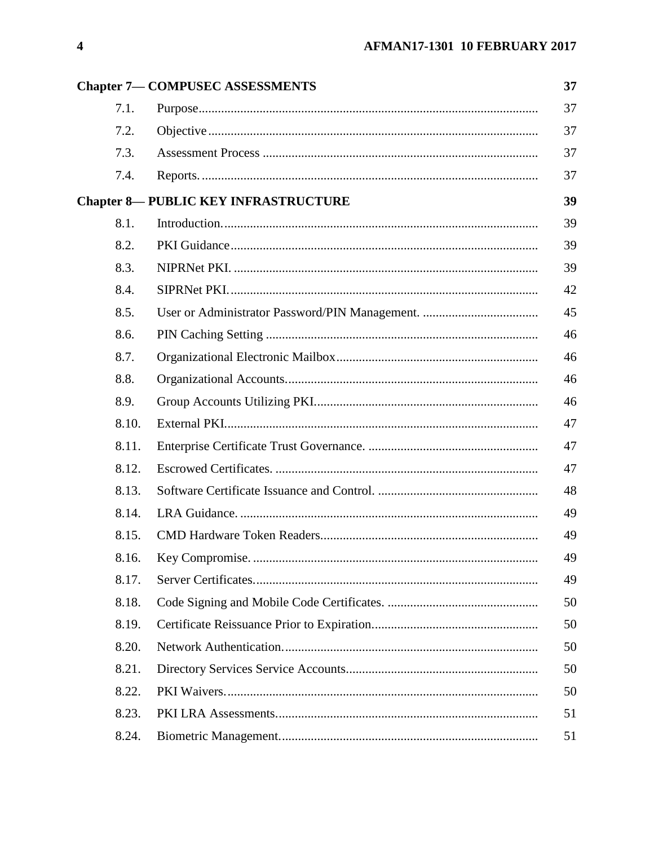|       | <b>Chapter 7- COMPUSEC ASSESSMENTS</b>     | 37 |
|-------|--------------------------------------------|----|
| 7.1.  |                                            | 37 |
| 7.2.  |                                            | 37 |
| 7.3.  |                                            | 37 |
| 7.4.  |                                            | 37 |
|       | <b>Chapter 8-PUBLIC KEY INFRASTRUCTURE</b> | 39 |
| 8.1.  |                                            | 39 |
| 8.2.  |                                            | 39 |
| 8.3.  |                                            | 39 |
| 8.4.  |                                            | 42 |
| 8.5.  |                                            | 45 |
| 8.6.  |                                            | 46 |
| 8.7.  |                                            | 46 |
| 8.8.  |                                            | 46 |
| 8.9.  |                                            | 46 |
| 8.10. |                                            | 47 |
| 8.11. |                                            | 47 |
| 8.12. |                                            | 47 |
| 8.13. |                                            | 48 |
| 8.14. |                                            | 49 |
| 8.15. |                                            | 49 |
| 8.16. |                                            | 49 |
| 8.17. |                                            | 49 |
| 8.18. |                                            | 50 |
| 8.19. |                                            | 50 |
| 8.20. |                                            | 50 |
| 8.21. |                                            | 50 |
| 8.22. |                                            | 50 |
| 8.23. |                                            | 51 |
| 8.24. |                                            | 51 |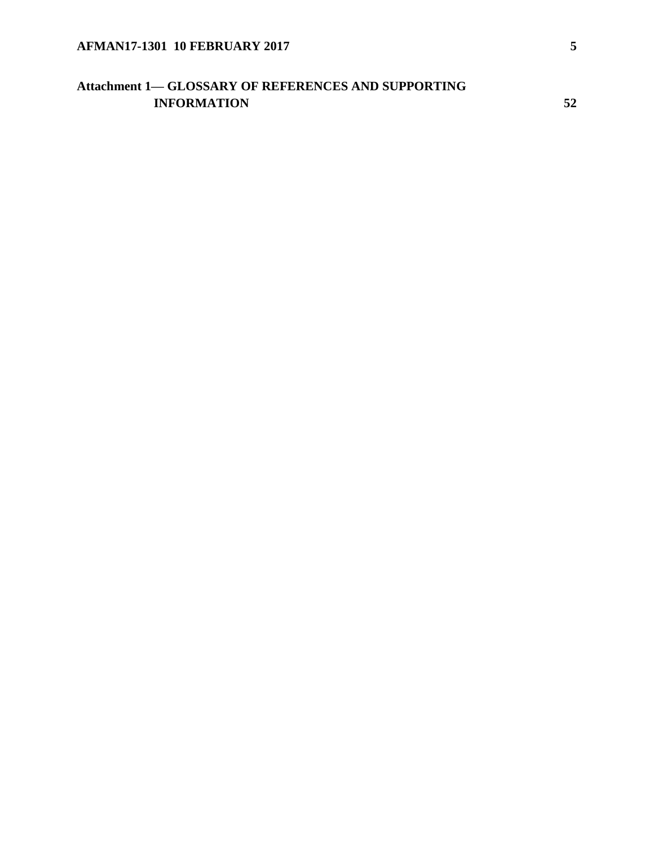# **Attachment 1— [GLOSSARY OF REFERENCES AND SUPPORTING](#page-51-0)  [INFORMATION](#page-51-0) [52](#page-51-0)**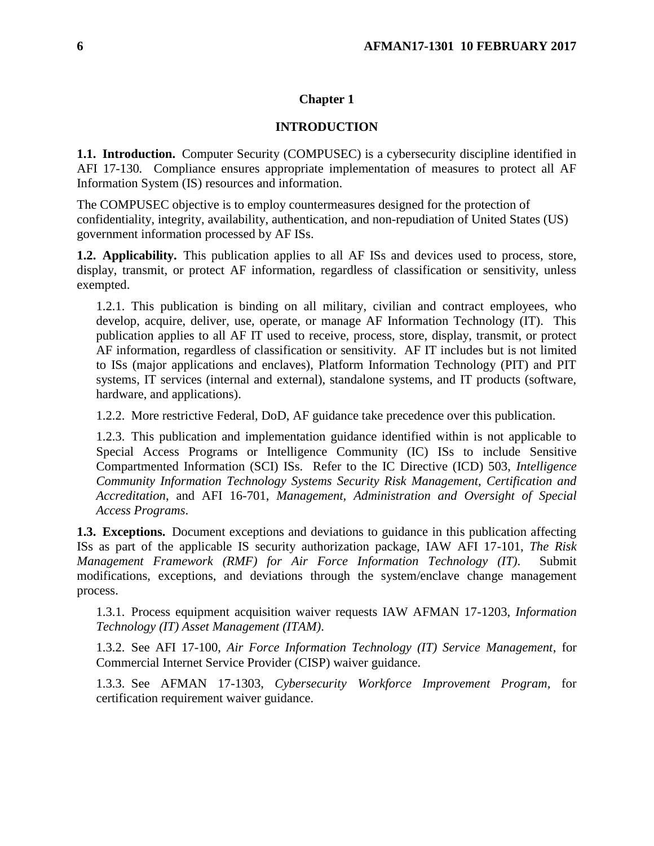# **Chapter 1**

# **INTRODUCTION**

<span id="page-5-1"></span><span id="page-5-0"></span>**1.1. Introduction.** Computer Security (COMPUSEC) is a cybersecurity discipline identified in AFI 17-130*.* Compliance ensures appropriate implementation of measures to protect all AF Information System (IS) resources and information.

The COMPUSEC objective is to employ countermeasures designed for the protection of confidentiality, integrity, availability, authentication, and non-repudiation of United States (US) government information processed by AF ISs.

<span id="page-5-2"></span>**1.2. Applicability.** This publication applies to all AF ISs and devices used to process, store, display, transmit, or protect AF information, regardless of classification or sensitivity, unless exempted.

1.2.1. This publication is binding on all military, civilian and contract employees, who develop, acquire, deliver, use, operate, or manage AF Information Technology (IT). This publication applies to all AF IT used to receive, process, store, display, transmit, or protect AF information, regardless of classification or sensitivity. AF IT includes but is not limited to ISs (major applications and enclaves), Platform Information Technology (PIT) and PIT systems, IT services (internal and external), standalone systems, and IT products (software, hardware, and applications).

1.2.2. More restrictive Federal, DoD, AF guidance take precedence over this publication.

1.2.3. This publication and implementation guidance identified within is not applicable to Special Access Programs or Intelligence Community (IC) ISs to include Sensitive Compartmented Information (SCI) ISs. Refer to the IC Directive (ICD) 503, *Intelligence Community Information Technology Systems Security Risk Management, Certification and Accreditation*, and AFI 16-701, *Management, Administration and Oversight of Special Access Programs*.

<span id="page-5-3"></span>**1.3. Exceptions.** Document exceptions and deviations to guidance in this publication affecting ISs as part of the applicable IS security authorization package, IAW AFI 17-101, *The Risk Management Framework (RMF) for Air Force Information Technology (IT)*. Submit modifications, exceptions, and deviations through the system/enclave change management process.

1.3.1. Process equipment acquisition waiver requests IAW AFMAN 17-1203, *Information Technology (IT) Asset Management (ITAM)*.

1.3.2. See AFI 17-100, *Air Force Information Technology (IT) Service Management*, for Commercial Internet Service Provider (CISP) waiver guidance.

1.3.3. See AFMAN 17-1303, *Cybersecurity Workforce Improvement Program,* for certification requirement waiver guidance.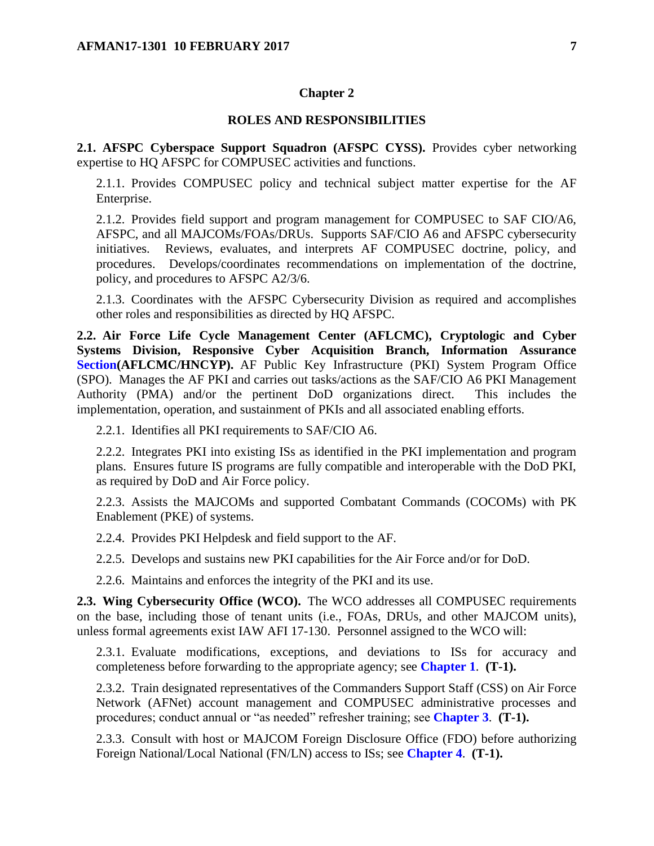#### **Chapter 2**

#### **ROLES AND RESPONSIBILITIES**

<span id="page-6-1"></span><span id="page-6-0"></span>**2.1. AFSPC Cyberspace Support Squadron (AFSPC CYSS).** Provides cyber networking expertise to HQ AFSPC for COMPUSEC activities and functions.

2.1.1. Provides COMPUSEC policy and technical subject matter expertise for the AF Enterprise.

2.1.2. Provides field support and program management for COMPUSEC to SAF CIO/A6, AFSPC, and all MAJCOMs/FOAs/DRUs. Supports SAF/CIO A6 and AFSPC cybersecurity initiatives. Reviews, evaluates, and interprets AF COMPUSEC doctrine, policy, and procedures. Develops/coordinates recommendations on implementation of the doctrine, policy, and procedures to AFSPC A2/3/6.

2.1.3. Coordinates with the AFSPC Cybersecurity Division as required and accomplishes other roles and responsibilities as directed by HQ AFSPC.

<span id="page-6-2"></span>**2.2. Air Force Life Cycle Management Center (AFLCMC), Cryptologic and Cyber Systems Division, Responsive Cyber Acquisition Branch, Information Assurance Section(AFLCMC/HNCYP).** AF Public Key Infrastructure (PKI) System Program Office (SPO). Manages the AF PKI and carries out tasks/actions as the SAF/CIO A6 PKI Management Authority (PMA) and/or the pertinent DoD organizations direct. This includes the implementation, operation, and sustainment of PKIs and all associated enabling efforts.

2.2.1. Identifies all PKI requirements to SAF/CIO A6.

2.2.2. Integrates PKI into existing ISs as identified in the PKI implementation and program plans. Ensures future IS programs are fully compatible and interoperable with the DoD PKI, as required by DoD and Air Force policy.

2.2.3. Assists the MAJCOMs and supported Combatant Commands (COCOMs) with PK Enablement (PKE) of systems.

2.2.4. Provides PKI Helpdesk and field support to the AF.

2.2.5. Develops and sustains new PKI capabilities for the Air Force and/or for DoD.

2.2.6. Maintains and enforces the integrity of the PKI and its use.

<span id="page-6-3"></span>**2.3. Wing Cybersecurity Office (WCO).** The WCO addresses all COMPUSEC requirements on the base, including those of tenant units (i.e., FOAs, DRUs, and other MAJCOM units), unless formal agreements exist IAW AFI 17-130. Personnel assigned to the WCO will:

2.3.1. Evaluate modifications, exceptions, and deviations to ISs for accuracy and completeness before forwarding to the appropriate agency; see **[Chapter](#page-5-0) 1**. **(T-1).**

2.3.2. Train designated representatives of the Commanders Support Staff (CSS) on Air Force Network (AFNet) account management and COMPUSEC administrative processes and procedures; conduct annual or "as needed" refresher training; see **[Chapter](#page-9-0) 3**. **(T-1).**

2.3.3. Consult with host or MAJCOM Foreign Disclosure Office (FDO) before authorizing Foreign National/Local National (FN/LN) access to ISs; see **[Chapter](#page-13-0) 4**. **(T-1).**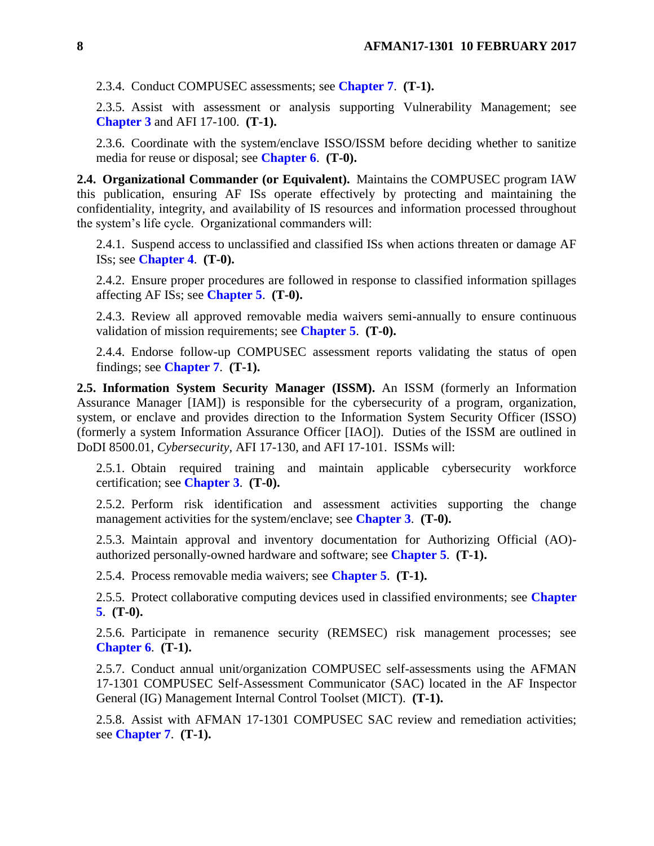2.3.4. Conduct COMPUSEC assessments; see **[Chapter](#page-36-0) 7**. **(T-1).**

2.3.5. Assist with assessment or analysis supporting Vulnerability Management; see **[Chapter](#page-9-0) 3** and AFI 17-100. **(T-1).**

2.3.6. Coordinate with the system/enclave ISSO/ISSM before deciding whether to sanitize media for reuse or disposal; see **[Chapter](#page-32-0) 6**. **(T-0).**

<span id="page-7-0"></span>**2.4. Organizational Commander (or Equivalent).** Maintains the COMPUSEC program IAW this publication, ensuring AF ISs operate effectively by protecting and maintaining the confidentiality, integrity, and availability of IS resources and information processed throughout the system's life cycle. Organizational commanders will:

2.4.1. Suspend access to unclassified and classified ISs when actions threaten or damage AF ISs; see **[Chapter](#page-13-0) 4**. **(T-0).**

2.4.2. Ensure proper procedures are followed in response to classified information spillages affecting AF ISs; see **[Chapter](#page-19-0) 5**. **(T-0).**

2.4.3. Review all approved removable media waivers semi-annually to ensure continuous validation of mission requirements; see **[Chapter](#page-19-0) 5**. **(T-0).**

2.4.4. Endorse follow-up COMPUSEC assessment reports validating the status of open findings; see **[Chapter](#page-36-0) 7**. **(T-1).**

<span id="page-7-1"></span>**2.5. Information System Security Manager (ISSM).** An ISSM (formerly an Information Assurance Manager [IAM]) is responsible for the cybersecurity of a program, organization, system, or enclave and provides direction to the Information System Security Officer (ISSO) (formerly a system Information Assurance Officer [IAO]). Duties of the ISSM are outlined in DoDI 8500.01, *Cybersecurity,* AFI 17-130, and AFI 17-101. ISSMs will:

2.5.1. Obtain required training and maintain applicable cybersecurity workforce certification; see **[Chapter](#page-9-0) 3**. **(T-0).**

2.5.2. Perform risk identification and assessment activities supporting the change management activities for the system/enclave; see **[Chapter](#page-9-0) 3**. **(T-0).**

2.5.3. Maintain approval and inventory documentation for Authorizing Official (AO) authorized personally-owned hardware and software; see **[Chapter](#page-19-0) 5**. **(T-1).**

2.5.4. Process removable media waivers; see **[Chapter](#page-19-0) 5**. **(T-1).**

2.5.5. Protect collaborative computing devices used in classified environments; see **[Chapter](#page-19-0) [5](#page-19-0)**. **(T-0).**

2.5.6. Participate in remanence security (REMSEC) risk management processes; see **[Chapter](#page-32-0) 6**. **(T-1).**

2.5.7. Conduct annual unit/organization COMPUSEC self-assessments using the AFMAN 17-1301 COMPUSEC Self-Assessment Communicator (SAC) located in the AF Inspector General (IG) Management Internal Control Toolset (MICT). **(T-1).**

2.5.8. Assist with AFMAN 17-1301 COMPUSEC SAC review and remediation activities; see **[Chapter](#page-36-0) 7**. **(T-1).**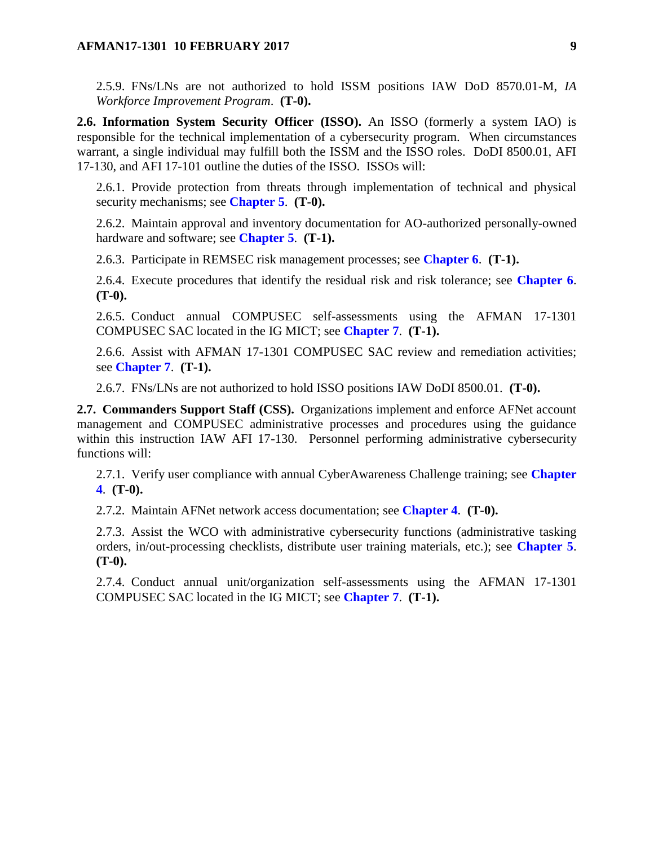2.5.9. FNs/LNs are not authorized to hold ISSM positions IAW DoD 8570.01-M, *IA Workforce Improvement Program*. **(T-0).**

<span id="page-8-0"></span>**2.6. Information System Security Officer (ISSO).** An ISSO (formerly a system IAO) is responsible for the technical implementation of a cybersecurity program. When circumstances warrant, a single individual may fulfill both the ISSM and the ISSO roles. DoDI 8500.01, AFI 17-130, and AFI 17-101 outline the duties of the ISSO. ISSOs will:

2.6.1. Provide protection from threats through implementation of technical and physical security mechanisms; see **[Chapter](#page-19-0) 5**. **(T-0).**

2.6.2. Maintain approval and inventory documentation for AO-authorized personally-owned hardware and software; see **[Chapter](#page-19-0) 5**. **(T-1).**

2.6.3. Participate in REMSEC risk management processes; see **[Chapter](#page-32-0) 6**. **(T-1).**

2.6.4. Execute procedures that identify the residual risk and risk tolerance; see **[Chapter](#page-32-0) 6**. **(T-0).**

2.6.5. Conduct annual COMPUSEC self-assessments using the AFMAN 17-1301 COMPUSEC SAC located in the IG MICT; see **[Chapter](#page-36-0) 7**. **(T-1).**

2.6.6. Assist with AFMAN 17-1301 COMPUSEC SAC review and remediation activities; see **[Chapter](#page-36-0) 7**. **(T-1).**

2.6.7. FNs/LNs are not authorized to hold ISSO positions IAW DoDI 8500.01. **(T-0).**

<span id="page-8-1"></span>**2.7. Commanders Support Staff (CSS).** Organizations implement and enforce AFNet account management and COMPUSEC administrative processes and procedures using the guidance within this instruction IAW AFI 17-130. Personnel performing administrative cybersecurity functions will:

2.7.1. Verify user compliance with annual CyberAwareness Challenge training; see **[Chapter](#page-13-0) [4](#page-13-0)**. **(T-0).**

2.7.2. Maintain AFNet network access documentation; see **[Chapter](#page-13-0) 4**. **(T-0).**

2.7.3. Assist the WCO with administrative cybersecurity functions (administrative tasking orders, in/out-processing checklists, distribute user training materials, etc.); see **[Chapter](#page-19-0) 5**. **(T-0).**

2.7.4. Conduct annual unit/organization self-assessments using the AFMAN 17-1301 COMPUSEC SAC located in the IG MICT; see **[Chapter](#page-36-0) 7**. **(T-1).**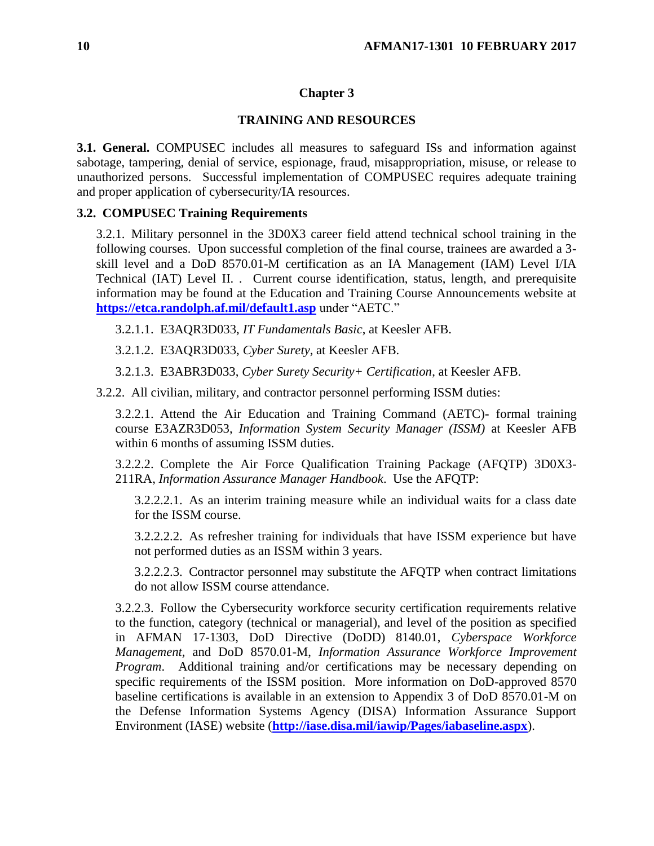# **Chapter 3**

# **TRAINING AND RESOURCES**

<span id="page-9-1"></span><span id="page-9-0"></span>**3.1. General.** COMPUSEC includes all measures to safeguard ISs and information against sabotage, tampering, denial of service, espionage, fraud, misappropriation, misuse, or release to unauthorized persons. Successful implementation of COMPUSEC requires adequate training and proper application of cybersecurity/IA resources.

# <span id="page-9-2"></span>**3.2. COMPUSEC Training Requirements**

3.2.1. Military personnel in the 3D0X3 career field attend technical school training in the following courses. Upon successful completion of the final course, trainees are awarded a 3 skill level and a DoD 8570.01-M certification as an IA Management (IAM) Level I/IA Technical (IAT) Level II. . Current course identification, status, length, and prerequisite information may be found at the Education and Training Course Announcements website at **<https://etca.randolph.af.mil/default1.asp>** under "AETC."

3.2.1.1. E3AQR3D033, *IT Fundamentals Basic*, at Keesler AFB.

3.2.1.2. E3AQR3D033, *Cyber Surety*, at Keesler AFB.

3.2.1.3. E3ABR3D033, *Cyber Surety Security+ Certification*, at Keesler AFB.

3.2.2. All civilian, military, and contractor personnel performing ISSM duties:

3.2.2.1. Attend the Air Education and Training Command (AETC)**-** formal training course E3AZR3D053, *Information System Security Manager (ISSM)* at Keesler AFB within 6 months of assuming ISSM duties.

3.2.2.2. Complete the Air Force Qualification Training Package (AFQTP) 3D0X3- 211RA, *Information Assurance Manager Handbook*. Use the AFQTP:

3.2.2.2.1. As an interim training measure while an individual waits for a class date for the ISSM course.

3.2.2.2.2. As refresher training for individuals that have ISSM experience but have not performed duties as an ISSM within 3 years.

3.2.2.2.3. Contractor personnel may substitute the AFQTP when contract limitations do not allow ISSM course attendance.

3.2.2.3. Follow the Cybersecurity workforce security certification requirements relative to the function, category (technical or managerial), and level of the position as specified in AFMAN 17-1303, DoD Directive (DoDD) 8140.01, *Cyberspace Workforce Management,* and DoD 8570.01-M, *Information Assurance Workforce Improvement Program*. Additional training and/or certifications may be necessary depending on specific requirements of the ISSM position. More information on DoD-approved 8570 baseline certifications is available in an extension to Appendix 3 of DoD 8570.01-M on the Defense Information Systems Agency (DISA) Information Assurance Support Environment (IASE) website (**<http://iase.disa.mil/iawip/Pages/iabaseline.aspx>**).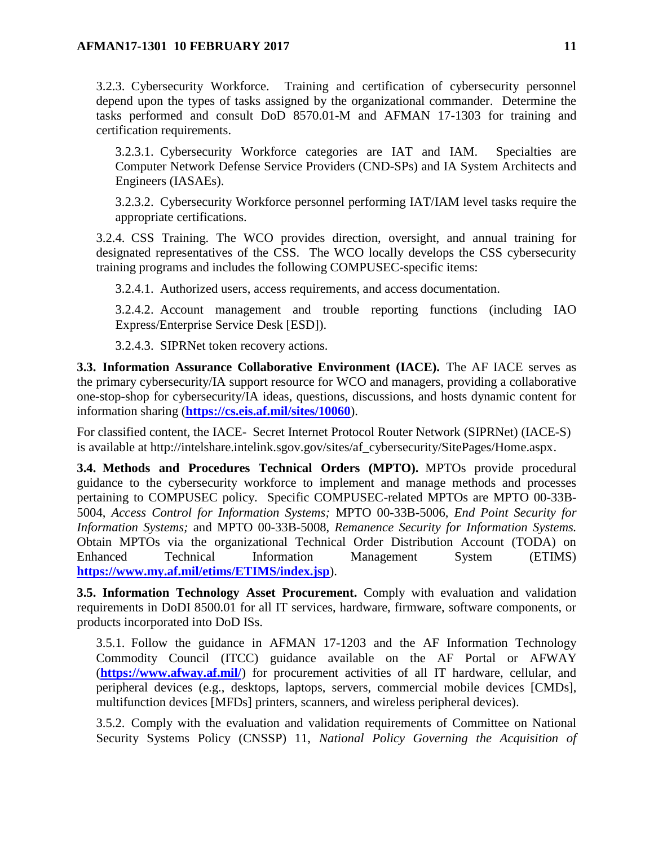3.2.3. Cybersecurity Workforce. Training and certification of cybersecurity personnel depend upon the types of tasks assigned by the organizational commander. Determine the tasks performed and consult DoD 8570.01-M and AFMAN 17-1303 for training and certification requirements.

3.2.3.1. Cybersecurity Workforce categories are IAT and IAM. Specialties are Computer Network Defense Service Providers (CND-SPs) and IA System Architects and Engineers (IASAEs).

3.2.3.2. Cybersecurity Workforce personnel performing IAT/IAM level tasks require the appropriate certifications.

3.2.4. CSS Training. The WCO provides direction, oversight, and annual training for designated representatives of the CSS. The WCO locally develops the CSS cybersecurity training programs and includes the following COMPUSEC-specific items:

3.2.4.1. Authorized users, access requirements, and access documentation.

3.2.4.2. Account management and trouble reporting functions (including IAO Express/Enterprise Service Desk [ESD]).

3.2.4.3. SIPRNet token recovery actions.

<span id="page-10-0"></span>**3.3. Information Assurance Collaborative Environment (IACE).** The AF IACE serves as the primary cybersecurity/IA support resource for WCO and managers, providing a collaborative one-stop-shop for cybersecurity/IA ideas, questions, discussions, and hosts dynamic content for information sharing (**<https://cs.eis.af.mil/sites/10060>**).

For classified content, the IACE- Secret Internet Protocol Router Network (SIPRNet) (IACE-S) is available at http://intelshare.intelink.sgov.gov/sites/af\_cybersecurity/SitePages/Home.aspx.

<span id="page-10-1"></span>**3.4. Methods and Procedures Technical Orders (MPTO).** MPTOs provide procedural guidance to the cybersecurity workforce to implement and manage methods and processes pertaining to COMPUSEC policy. Specific COMPUSEC-related MPTOs are MPTO 00-33B-5004, *Access Control for Information Systems;* MPTO 00-33B-5006, *End Point Security for Information Systems;* and MPTO 00-33B-5008, *Remanence Security for Information Systems.*  Obtain MPTOs via the organizational Technical Order Distribution Account (TODA) on Enhanced Technical Information Management System (ETIMS) **<https://www.my.af.mil/etims/ETIMS/index.jsp>**).

<span id="page-10-2"></span>**3.5. Information Technology Asset Procurement.** Comply with evaluation and validation requirements in DoDI 8500.01 for all IT services, hardware, firmware, software components, or products incorporated into DoD ISs.

3.5.1. Follow the guidance in AFMAN 17-1203 and the AF Information Technology Commodity Council (ITCC) guidance available on the AF Portal or AFWAY (**<https://www.afway.af.mil/>**) for procurement activities of all IT hardware, cellular, and peripheral devices (e.g., desktops, laptops, servers, commercial mobile devices [CMDs], multifunction devices [MFDs] printers, scanners, and wireless peripheral devices).

3.5.2. Comply with the evaluation and validation requirements of Committee on National Security Systems Policy (CNSSP) 11, *National Policy Governing the Acquisition of*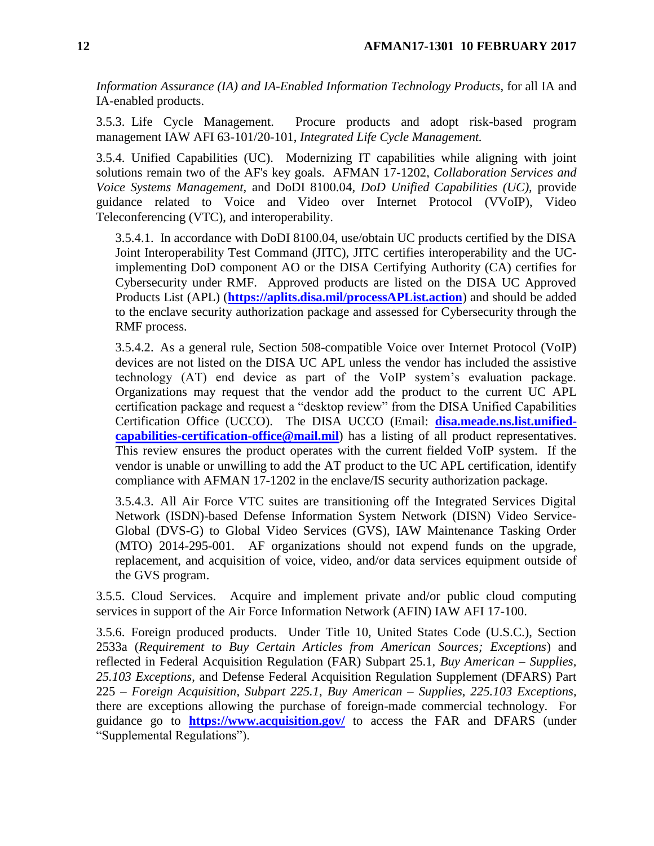*Information Assurance (IA) and IA-Enabled Information Technology Products*, for all IA and IA-enabled products.

3.5.3. Life Cycle Management. Procure products and adopt risk-based program management IAW AFI 63-101/20-101, *Integrated Life Cycle Management.*

3.5.4. Unified Capabilities (UC). Modernizing IT capabilities while aligning with joint solutions remain two of the AF's key goals. AFMAN 17-1202, *Collaboration Services and Voice Systems Management,* and DoDI 8100.04, *DoD Unified Capabilities (UC),* provide guidance related to Voice and Video over Internet Protocol (VVoIP), Video Teleconferencing (VTC), and interoperability.

3.5.4.1. In accordance with DoDI 8100.04, use/obtain UC products certified by the DISA Joint Interoperability Test Command (JITC), JITC certifies interoperability and the UCimplementing DoD component AO or the DISA Certifying Authority (CA) certifies for Cybersecurity under RMF. Approved products are listed on the DISA UC Approved Products List (APL) (**<https://aplits.disa.mil/processAPList.action>**) and should be added to the enclave security authorization package and assessed for Cybersecurity through the RMF process.

3.5.4.2. As a general rule, Section 508-compatible Voice over Internet Protocol (VoIP) devices are not listed on the DISA UC APL unless the vendor has included the assistive technology (AT) end device as part of the VoIP system's evaluation package. Organizations may request that the vendor add the product to the current UC APL certification package and request a "desktop review" from the DISA Unified Capabilities Certification Office (UCCO). The DISA UCCO (Email: **[disa.meade.ns.list.unified](mailto:disa.meade.ns.list.unified-capabilities-certification-office@mail.mil)[capabilities-certification-office@mail.mil](mailto:disa.meade.ns.list.unified-capabilities-certification-office@mail.mil)**) has a listing of all product representatives. This review ensures the product operates with the current fielded VoIP system. If the vendor is unable or unwilling to add the AT product to the UC APL certification, identify compliance with AFMAN 17-1202 in the enclave/IS security authorization package.

3.5.4.3. All Air Force VTC suites are transitioning off the Integrated Services Digital Network (ISDN)-based Defense Information System Network (DISN) Video Service-Global (DVS-G) to Global Video Services (GVS), IAW Maintenance Tasking Order (MTO) 2014-295-001. AF organizations should not expend funds on the upgrade, replacement, and acquisition of voice, video, and/or data services equipment outside of the GVS program.

3.5.5. Cloud Services. Acquire and implement private and/or public cloud computing services in support of the Air Force Information Network (AFIN) IAW AFI 17-100.

3.5.6. Foreign produced products. Under Title 10, United States Code (U.S.C.), Section 2533a (*Requirement to Buy Certain Articles from American Sources; Exceptions*) and reflected in Federal Acquisition Regulation (FAR) Subpart 25.1, *Buy American – Supplies, 25.103 Exceptions*, and Defense Federal Acquisition Regulation Supplement (DFARS) Part 225 – *Foreign Acquisition, Subpart 225.1*, *Buy American – Supplies*, *225.103 Exceptions,* there are exceptions allowing the purchase of foreign-made commercial technology. For guidance go to **<https://www.acquisition.gov/>** to access the FAR and DFARS (under "Supplemental Regulations").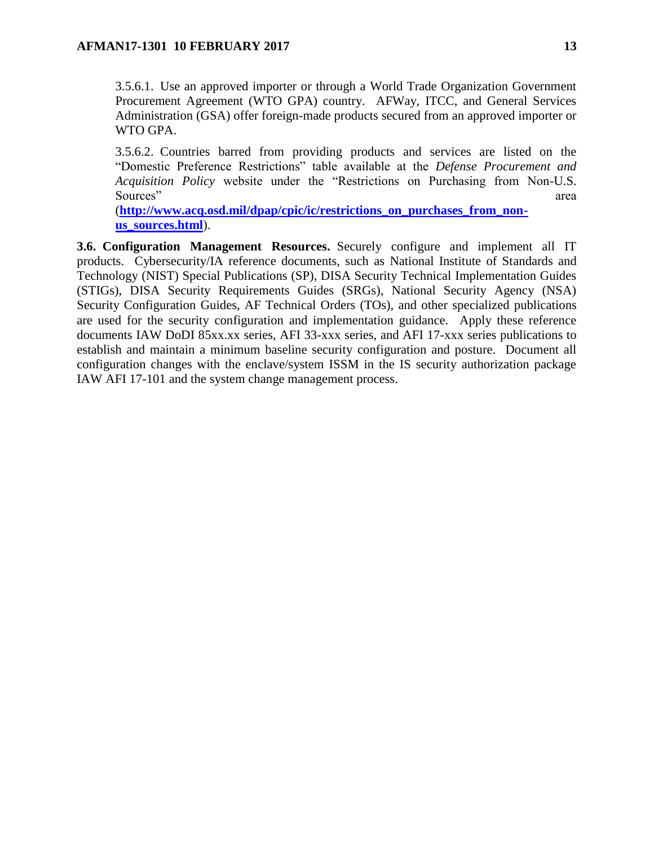3.5.6.1. Use an approved importer or through a World Trade Organization Government Procurement Agreement (WTO GPA) country. AFWay, ITCC, and General Services Administration (GSA) offer foreign-made products secured from an approved importer or WTO GPA.

3.5.6.2. Countries barred from providing products and services are listed on the "Domestic Preference Restrictions" table available at the *Defense Procurement and Acquisition Policy* website under the "Restrictions on Purchasing from Non-U.S. Sources" area

(**[http://www.acq.osd.mil/dpap/cpic/ic/restrictions\\_on\\_purchases\\_from\\_non](http://www.acq.osd.mil/dpap/cpic/ic/restrictions_on_purchases_from_non-us_sources.html)[us\\_sources.html](http://www.acq.osd.mil/dpap/cpic/ic/restrictions_on_purchases_from_non-us_sources.html)**).

<span id="page-12-0"></span>**3.6. Configuration Management Resources.** Securely configure and implement all IT products. Cybersecurity/IA reference documents, such as National Institute of Standards and Technology (NIST) Special Publications (SP), DISA Security Technical Implementation Guides (STIGs), DISA Security Requirements Guides (SRGs), National Security Agency (NSA) Security Configuration Guides, AF Technical Orders (TOs), and other specialized publications are used for the security configuration and implementation guidance. Apply these reference documents IAW DoDI 85xx.xx series, AFI 33-xxx series, and AFI 17-xxx series publications to establish and maintain a minimum baseline security configuration and posture. Document all configuration changes with the enclave/system ISSM in the IS security authorization package IAW AFI 17-101 and the system change management process.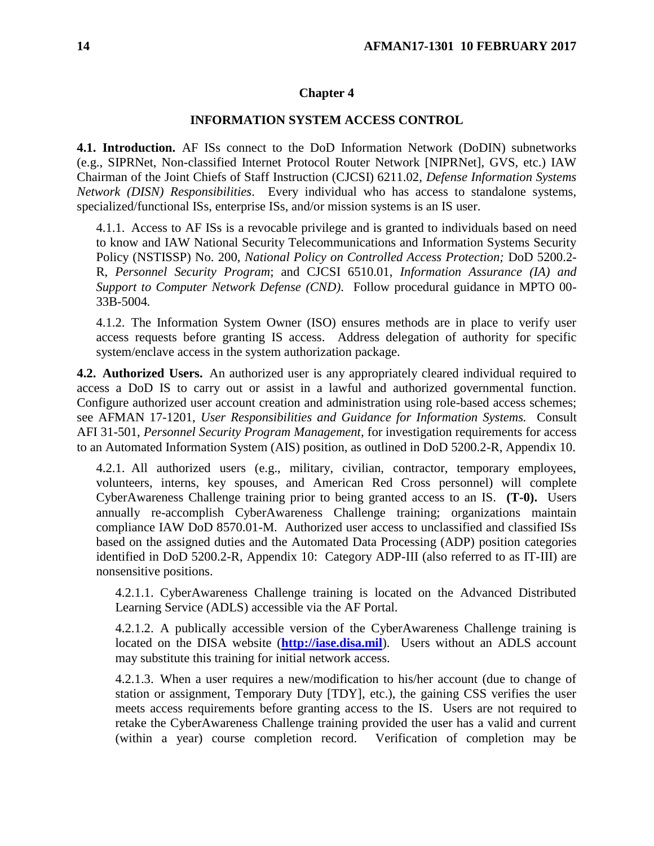#### **Chapter 4**

#### **INFORMATION SYSTEM ACCESS CONTROL**

<span id="page-13-1"></span><span id="page-13-0"></span>**4.1. Introduction.** AF ISs connect to the DoD Information Network (DoDIN) subnetworks (e.g., SIPRNet, Non-classified Internet Protocol Router Network [NIPRNet], GVS, etc.) IAW Chairman of the Joint Chiefs of Staff Instruction (CJCSI) 6211.02, *Defense Information Systems Network (DISN) Responsibilities*. Every individual who has access to standalone systems, specialized/functional ISs, enterprise ISs, and/or mission systems is an IS user.

4.1.1. Access to AF ISs is a revocable privilege and is granted to individuals based on need to know and IAW National Security Telecommunications and Information Systems Security Policy (NSTISSP) No. 200, *National Policy on Controlled Access Protection;* DoD 5200.2- R, *Personnel Security Program*; and CJCSI 6510.01, *Information Assurance (IA) and Support to Computer Network Defense (CND)*. Follow procedural guidance in MPTO 00- 33B-5004*.*

4.1.2. The Information System Owner (ISO) ensures methods are in place to verify user access requests before granting IS access. Address delegation of authority for specific system/enclave access in the system authorization package.

<span id="page-13-2"></span>**4.2. Authorized Users.** An authorized user is any appropriately cleared individual required to access a DoD IS to carry out or assist in a lawful and authorized governmental function. Configure authorized user account creation and administration using role-based access schemes; see AFMAN 17-1201, *User Responsibilities and Guidance for Information Systems.* Consult AFI 31-501, *Personnel Security Program Management,* for investigation requirements for access to an Automated Information System (AIS) position, as outlined in DoD 5200.2-R, Appendix 10.

4.2.1. All authorized users (e.g., military, civilian, contractor, temporary employees, volunteers, interns, key spouses, and American Red Cross personnel) will complete CyberAwareness Challenge training prior to being granted access to an IS. **(T-0).** Users annually re-accomplish CyberAwareness Challenge training; organizations maintain compliance IAW DoD 8570.01-M. Authorized user access to unclassified and classified ISs based on the assigned duties and the Automated Data Processing (ADP) position categories identified in DoD 5200.2-R, Appendix 10: Category ADP-III (also referred to as IT-III) are nonsensitive positions.

4.2.1.1. CyberAwareness Challenge training is located on the Advanced Distributed Learning Service (ADLS) accessible via the AF Portal.

4.2.1.2. A publically accessible version of the CyberAwareness Challenge training is located on the DISA website (**[http://iase.disa.mil](http://iase.disa.mil/)**). Users without an ADLS account may substitute this training for initial network access.

4.2.1.3. When a user requires a new/modification to his/her account (due to change of station or assignment, Temporary Duty [TDY], etc.), the gaining CSS verifies the user meets access requirements before granting access to the IS. Users are not required to retake the CyberAwareness Challenge training provided the user has a valid and current (within a year) course completion record. Verification of completion may be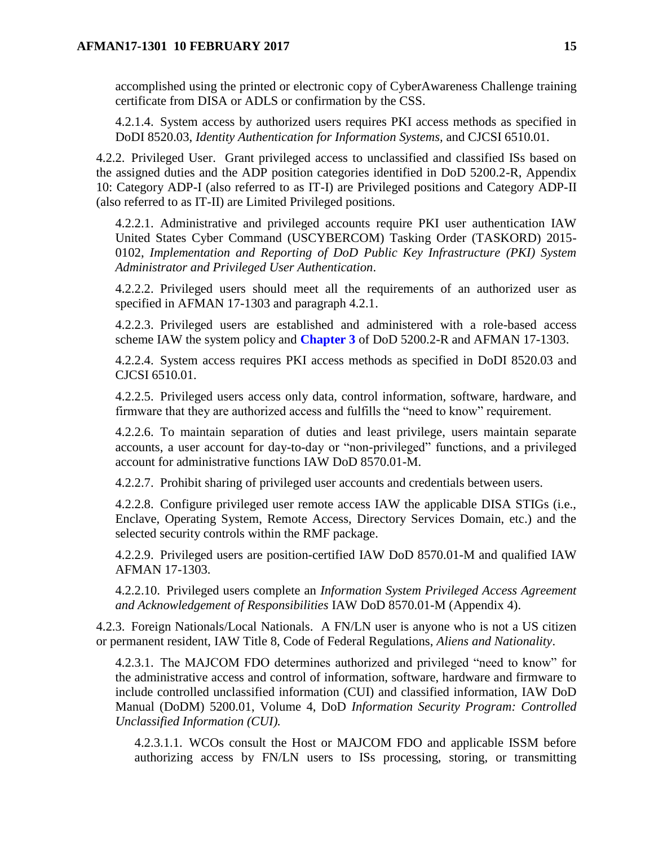accomplished using the printed or electronic copy of CyberAwareness Challenge training certificate from DISA or ADLS or confirmation by the CSS.

4.2.1.4. System access by authorized users requires PKI access methods as specified in DoDI 8520.03, *Identity Authentication for Information Systems,* and CJCSI 6510.01.

4.2.2. Privileged User. Grant privileged access to unclassified and classified ISs based on the assigned duties and the ADP position categories identified in DoD 5200.2-R, Appendix 10: Category ADP-I (also referred to as IT-I) are Privileged positions and Category ADP-II (also referred to as IT-II) are Limited Privileged positions.

4.2.2.1. Administrative and privileged accounts require PKI user authentication IAW United States Cyber Command (USCYBERCOM) Tasking Order (TASKORD) 2015- 0102, *Implementation and Reporting of DoD Public Key Infrastructure (PKI) System Administrator and Privileged User Authentication*.

4.2.2.2. Privileged users should meet all the requirements of an authorized user as specified in AFMAN 17-1303 and paragraph 4.2.1.

4.2.2.3. Privileged users are established and administered with a role-based access scheme IAW the system policy and **[Chapter](#page-9-0) 3** of DoD 5200.2-R and AFMAN 17-1303.

4.2.2.4. System access requires PKI access methods as specified in DoDI 8520.03 and CJCSI 6510.01.

4.2.2.5. Privileged users access only data, control information, software, hardware, and firmware that they are authorized access and fulfills the "need to know" requirement.

4.2.2.6. To maintain separation of duties and least privilege, users maintain separate accounts, a user account for day-to-day or "non-privileged" functions, and a privileged account for administrative functions IAW DoD 8570.01-M.

4.2.2.7. Prohibit sharing of privileged user accounts and credentials between users.

4.2.2.8. Configure privileged user remote access IAW the applicable DISA STIGs (i.e., Enclave, Operating System, Remote Access, Directory Services Domain, etc.) and the selected security controls within the RMF package.

4.2.2.9. Privileged users are position-certified IAW DoD 8570.01-M and qualified IAW AFMAN 17-1303.

4.2.2.10. Privileged users complete an *Information System Privileged Access Agreement and Acknowledgement of Responsibilities* IAW DoD 8570.01-M (Appendix 4).

4.2.3. Foreign Nationals/Local Nationals. A FN/LN user is anyone who is not a US citizen or permanent resident, IAW Title 8, Code of Federal Regulations, *Aliens and Nationality*.

4.2.3.1. The MAJCOM FDO determines authorized and privileged "need to know" for the administrative access and control of information, software, hardware and firmware to include controlled unclassified information (CUI) and classified information, IAW DoD Manual (DoDM) 5200.01, Volume 4, DoD *Information Security Program: Controlled Unclassified Information (CUI).*

4.2.3.1.1. WCOs consult the Host or MAJCOM FDO and applicable ISSM before authorizing access by FN/LN users to ISs processing, storing, or transmitting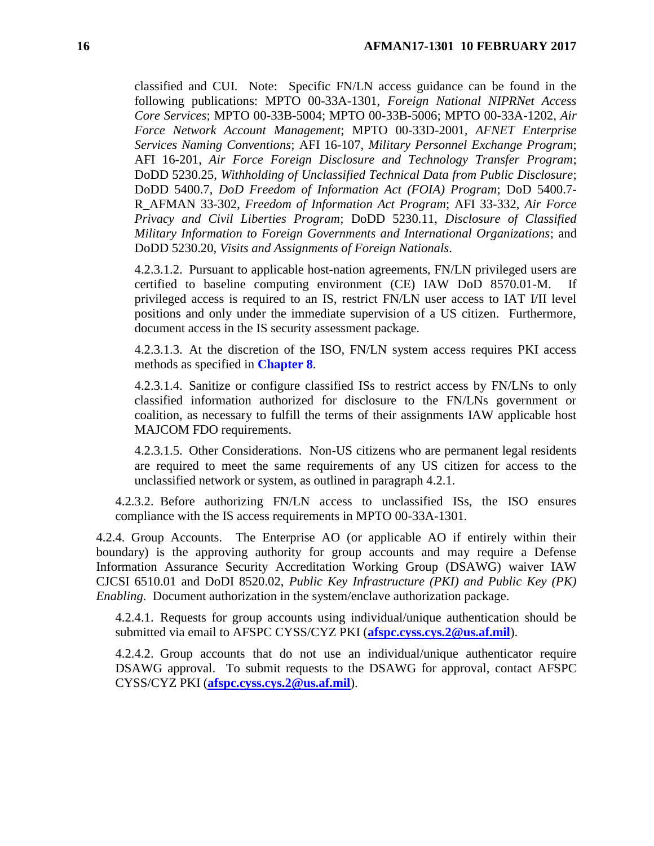classified and CUI. Note: Specific FN/LN access guidance can be found in the following publications: MPTO 00-33A-1301, *Foreign National NIPRNet Access Core Services*; MPTO 00-33B-5004; MPTO 00-33B-5006; MPTO 00-33A-1202, *Air Force Network Account Management*; MPTO 00-33D-2001*, AFNET Enterprise Services Naming Conventions*; AFI 16-107, *Military Personnel Exchange Program*; AFI 16-201, *Air Force Foreign Disclosure and Technology Transfer Program*; DoDD 5230.25, *Withholding of Unclassified Technical Data from Public Disclosure*; DoDD 5400.7, *DoD Freedom of Information Act (FOIA) Program*; DoD 5400.7- R\_AFMAN 33-302, *Freedom of Information Act Program*; AFI 33-332, *Air Force Privacy and Civil Liberties Program*; DoDD 5230.11, *Disclosure of Classified Military Information to Foreign Governments and International Organizations*; and DoDD 5230.20, *Visits and Assignments of Foreign Nationals*.

4.2.3.1.2. Pursuant to applicable host-nation agreements, FN/LN privileged users are certified to baseline computing environment (CE) IAW DoD 8570.01-M. If privileged access is required to an IS, restrict FN/LN user access to IAT I/II level positions and only under the immediate supervision of a US citizen. Furthermore, document access in the IS security assessment package.

4.2.3.1.3. At the discretion of the ISO, FN/LN system access requires PKI access methods as specified in **[Chapter](#page-38-0) 8**.

4.2.3.1.4. Sanitize or configure classified ISs to restrict access by FN/LNs to only classified information authorized for disclosure to the FN/LNs government or coalition, as necessary to fulfill the terms of their assignments IAW applicable host MAJCOM FDO requirements.

4.2.3.1.5. Other Considerations. Non-US citizens who are permanent legal residents are required to meet the same requirements of any US citizen for access to the unclassified network or system, as outlined in paragraph 4.2.1.

4.2.3.2. Before authorizing FN/LN access to unclassified ISs, the ISO ensures compliance with the IS access requirements in MPTO 00-33A-1301*.*

4.2.4. Group Accounts. The Enterprise AO (or applicable AO if entirely within their boundary) is the approving authority for group accounts and may require a Defense Information Assurance Security Accreditation Working Group (DSAWG) waiver IAW CJCSI 6510.01 and DoDI 8520.02, *Public Key Infrastructure (PKI) and Public Key (PK) Enabling*. Document authorization in the system/enclave authorization package.

4.2.4.1. Requests for group accounts using individual/unique authentication should be submitted via email to AFSPC CYSS/CYZ PKI (**[afspc.cyss.cys.2@us.af.mil](mailto:afspc.cyss.cys.2@us.af.mil)**).

4.2.4.2. Group accounts that do not use an individual/unique authenticator require DSAWG approval. To submit requests to the DSAWG for approval, contact AFSPC CYSS/CYZ PKI (**[afspc.cyss.cys.2@us.af.mil](mailto:afspc.cyss.cys.2@us.af.mil)**).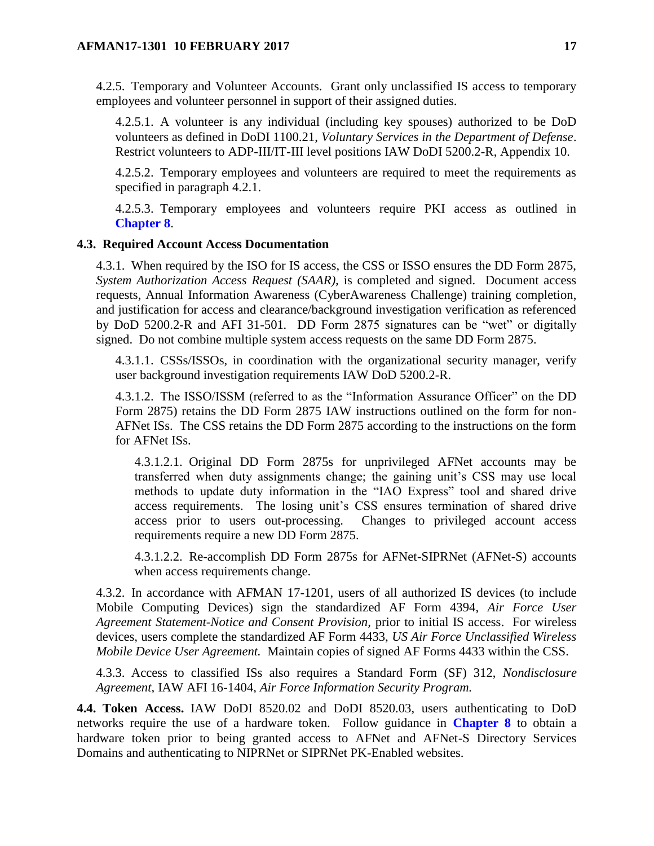4.2.5. Temporary and Volunteer Accounts. Grant only unclassified IS access to temporary employees and volunteer personnel in support of their assigned duties.

4.2.5.1. A volunteer is any individual (including key spouses) authorized to be DoD volunteers as defined in DoDI 1100.21, *Voluntary Services in the Department of Defense*. Restrict volunteers to ADP-III/IT-III level positions IAW DoDI 5200.2-R, Appendix 10.

4.2.5.2. Temporary employees and volunteers are required to meet the requirements as specified in paragraph 4.2.1.

4.2.5.3. Temporary employees and volunteers require PKI access as outlined in **[Chapter](#page-38-0) 8**.

### <span id="page-16-0"></span>**4.3. Required Account Access Documentation**

4.3.1. When required by the ISO for IS access, the CSS or ISSO ensures the DD Form 2875, *System Authorization Access Request (SAAR),* is completed and signed. Document access requests, Annual Information Awareness (CyberAwareness Challenge) training completion, and justification for access and clearance/background investigation verification as referenced by DoD 5200.2-R and AFI 31-501*.* DD Form 2875 signatures can be "wet" or digitally signed. Do not combine multiple system access requests on the same DD Form 2875.

4.3.1.1. CSSs/ISSOs, in coordination with the organizational security manager, verify user background investigation requirements IAW DoD 5200.2-R.

4.3.1.2. The ISSO/ISSM (referred to as the "Information Assurance Officer" on the DD Form 2875) retains the DD Form 2875 IAW instructions outlined on the form for non-AFNet ISs. The CSS retains the DD Form 2875 according to the instructions on the form for AFNet ISs.

4.3.1.2.1. Original DD Form 2875s for unprivileged AFNet accounts may be transferred when duty assignments change; the gaining unit's CSS may use local methods to update duty information in the "IAO Express" tool and shared drive access requirements. The losing unit's CSS ensures termination of shared drive access prior to users out-processing. Changes to privileged account access requirements require a new DD Form 2875.

4.3.1.2.2. Re-accomplish DD Form 2875s for AFNet-SIPRNet (AFNet-S) accounts when access requirements change.

4.3.2. In accordance with AFMAN 17-1201, users of all authorized IS devices (to include Mobile Computing Devices) sign the standardized AF Form 4394, *Air Force User Agreement Statement-Notice and Consent Provision,* prior to initial IS access. For wireless devices, users complete the standardized AF Form 4433, *US Air Force Unclassified Wireless Mobile Device User Agreement.* Maintain copies of signed AF Forms 4433 within the CSS.

4.3.3. Access to classified ISs also requires a Standard Form (SF) 312, *Nondisclosure Agreement,* IAW AFI 16-1404, *Air Force Information Security Program.* 

<span id="page-16-1"></span>**4.4. Token Access.** IAW DoDI 8520.02 and DoDI 8520.03, users authenticating to DoD networks require the use of a hardware token. Follow guidance in **[Chapter](#page-38-0) 8** to obtain a hardware token prior to being granted access to AFNet and AFNet-S Directory Services Domains and authenticating to NIPRNet or SIPRNet PK-Enabled websites.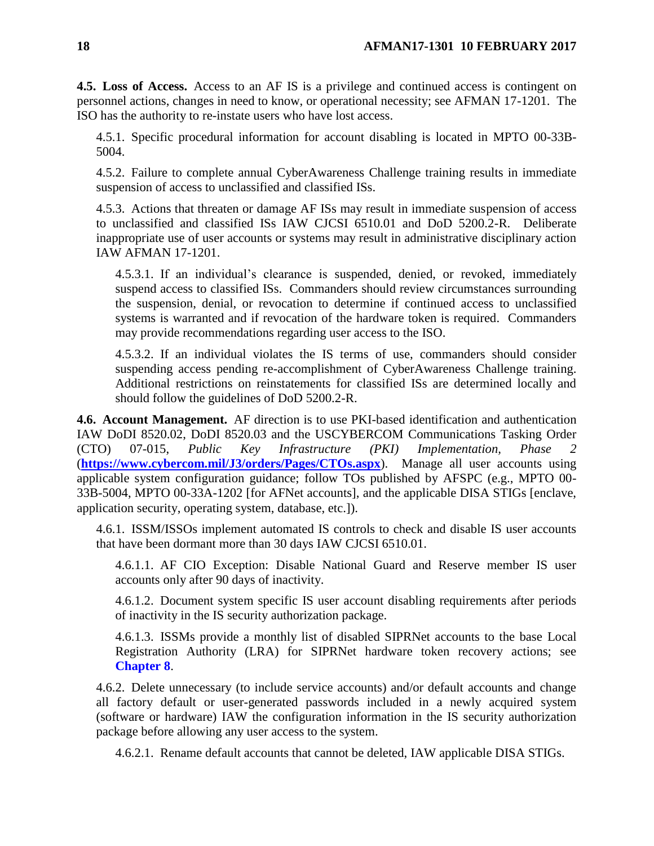<span id="page-17-0"></span>**4.5. Loss of Access.** Access to an AF IS is a privilege and continued access is contingent on personnel actions, changes in need to know, or operational necessity; see AFMAN 17-1201. The ISO has the authority to re-instate users who have lost access.

4.5.1. Specific procedural information for account disabling is located in MPTO 00-33B-5004.

4.5.2. Failure to complete annual CyberAwareness Challenge training results in immediate suspension of access to unclassified and classified ISs.

4.5.3. Actions that threaten or damage AF ISs may result in immediate suspension of access to unclassified and classified ISs IAW CJCSI 6510.01 and DoD 5200.2-R. Deliberate inappropriate use of user accounts or systems may result in administrative disciplinary action IAW AFMAN 17-1201.

4.5.3.1. If an individual's clearance is suspended, denied, or revoked, immediately suspend access to classified ISs. Commanders should review circumstances surrounding the suspension, denial, or revocation to determine if continued access to unclassified systems is warranted and if revocation of the hardware token is required. Commanders may provide recommendations regarding user access to the ISO.

4.5.3.2. If an individual violates the IS terms of use, commanders should consider suspending access pending re-accomplishment of CyberAwareness Challenge training. Additional restrictions on reinstatements for classified ISs are determined locally and should follow the guidelines of DoD 5200.2-R.

<span id="page-17-1"></span>**4.6. Account Management.** AF direction is to use PKI-based identification and authentication IAW DoDI 8520.02, DoDI 8520.03 and the USCYBERCOM Communications Tasking Order (CTO) 07-015, *Public Key Infrastructure (PKI) Implementation, Phase 2* (**<https://www.cybercom.mil/J3/orders/Pages/CTOs.aspx>**). Manage all user accounts using applicable system configuration guidance; follow TOs published by AFSPC (e.g., MPTO 00- 33B-5004, MPTO 00-33A-1202 [for AFNet accounts], and the applicable DISA STIGs [enclave, application security, operating system, database, etc.]).

4.6.1. ISSM/ISSOs implement automated IS controls to check and disable IS user accounts that have been dormant more than 30 days IAW CJCSI 6510.01.

4.6.1.1. AF CIO Exception: Disable National Guard and Reserve member IS user accounts only after 90 days of inactivity.

4.6.1.2. Document system specific IS user account disabling requirements after periods of inactivity in the IS security authorization package.

4.6.1.3. ISSMs provide a monthly list of disabled SIPRNet accounts to the base Local Registration Authority (LRA) for SIPRNet hardware token recovery actions; see **[Chapter](#page-38-0) 8**.

4.6.2. Delete unnecessary (to include service accounts) and/or default accounts and change all factory default or user-generated passwords included in a newly acquired system (software or hardware) IAW the configuration information in the IS security authorization package before allowing any user access to the system.

4.6.2.1. Rename default accounts that cannot be deleted, IAW applicable DISA STIGs.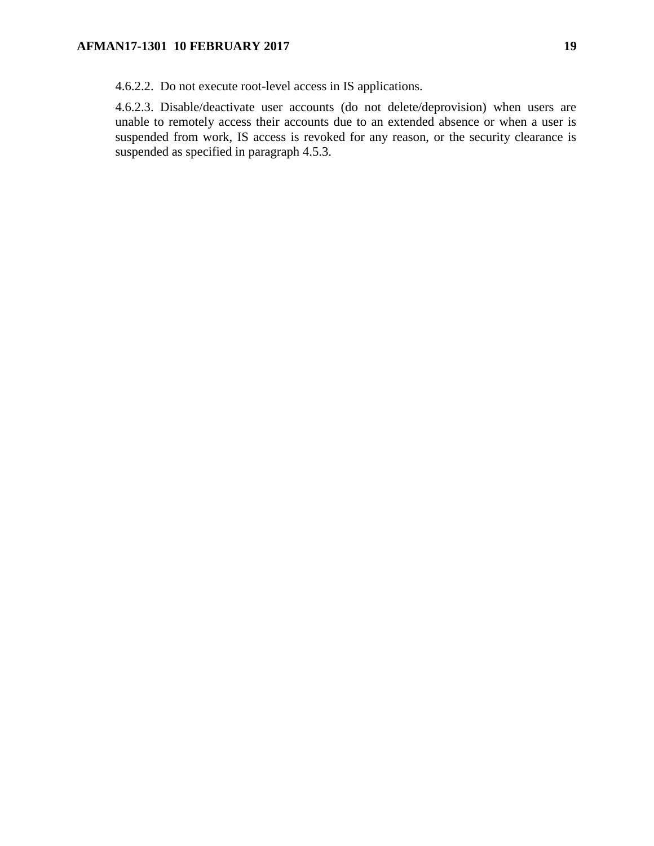4.6.2.2. Do not execute root-level access in IS applications.

4.6.2.3. Disable/deactivate user accounts (do not delete/deprovision) when users are unable to remotely access their accounts due to an extended absence or when a user is suspended from work, IS access is revoked for any reason, or the security clearance is suspended as specified in paragraph 4.5.3.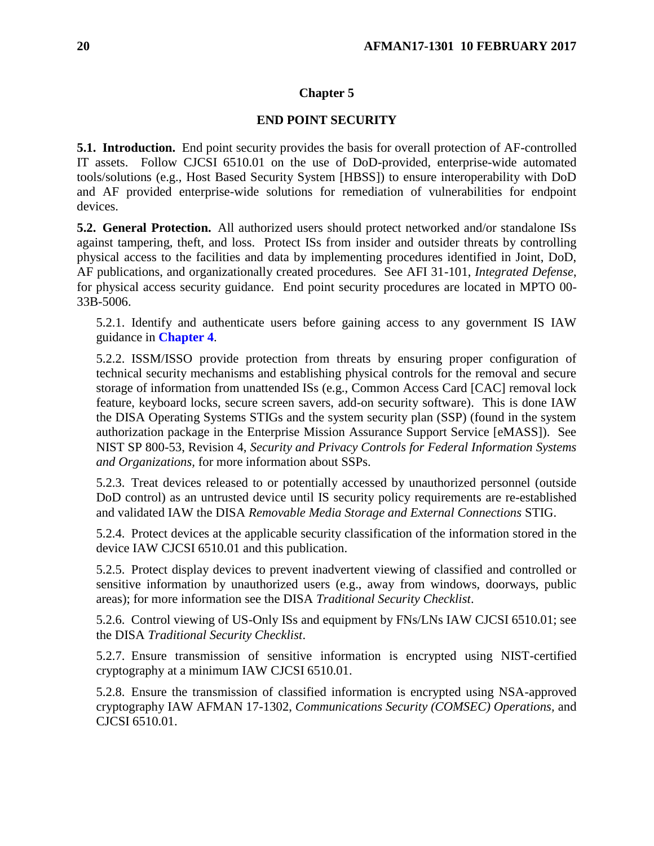# **Chapter 5**

# **END POINT SECURITY**

<span id="page-19-1"></span><span id="page-19-0"></span>**5.1. Introduction.** End point security provides the basis for overall protection of AF-controlled IT assets. Follow CJCSI 6510.01 on the use of DoD-provided, enterprise-wide automated tools/solutions (e.g., Host Based Security System [HBSS]) to ensure interoperability with DoD and AF provided enterprise-wide solutions for remediation of vulnerabilities for endpoint devices.

<span id="page-19-2"></span>**5.2. General Protection.** All authorized users should protect networked and/or standalone ISs against tampering, theft, and loss. Protect ISs from insider and outsider threats by controlling physical access to the facilities and data by implementing procedures identified in Joint, DoD, AF publications, and organizationally created procedures. See AFI 31-101, *Integrated Defense*, for physical access security guidance. End point security procedures are located in MPTO 00- 33B-5006.

5.2.1. Identify and authenticate users before gaining access to any government IS IAW guidance in **[Chapter](#page-13-0) 4**.

5.2.2. ISSM/ISSO provide protection from threats by ensuring proper configuration of technical security mechanisms and establishing physical controls for the removal and secure storage of information from unattended ISs (e.g., Common Access Card [CAC] removal lock feature, keyboard locks, secure screen savers, add-on security software). This is done IAW the DISA Operating Systems STIGs and the system security plan (SSP) (found in the system authorization package in the Enterprise Mission Assurance Support Service [eMASS]). See NIST SP 800-53, Revision 4, *Security and Privacy Controls for Federal Information Systems and Organizations,* for more information about SSPs.

5.2.3. Treat devices released to or potentially accessed by unauthorized personnel (outside DoD control) as an untrusted device until IS security policy requirements are re-established and validated IAW the DISA *Removable Media Storage and External Connections* STIG.

5.2.4. Protect devices at the applicable security classification of the information stored in the device IAW CJCSI 6510.01 and this publication.

5.2.5. Protect display devices to prevent inadvertent viewing of classified and controlled or sensitive information by unauthorized users (e.g., away from windows, doorways, public areas); for more information see the DISA *Traditional Security Checklist*.

5.2.6. Control viewing of US-Only ISs and equipment by FNs/LNs IAW CJCSI 6510.01; see the DISA *Traditional Security Checklist*.

5.2.7. Ensure transmission of sensitive information is encrypted using NIST-certified cryptography at a minimum IAW CJCSI 6510.01.

5.2.8. Ensure the transmission of classified information is encrypted using NSA-approved cryptography IAW AFMAN 17-1302, *Communications Security (COMSEC) Operations,* and CJCSI 6510.01.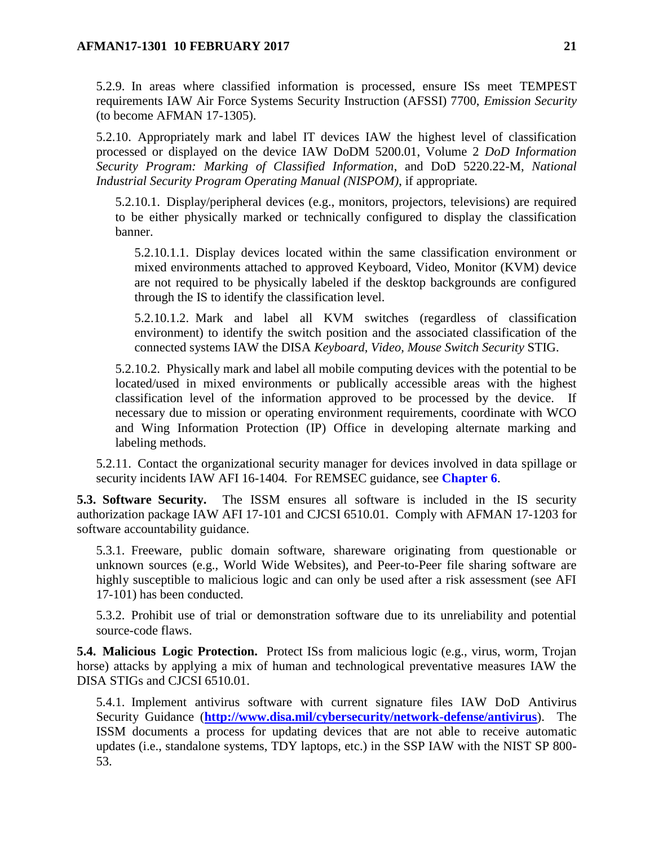5.2.9. In areas where classified information is processed, ensure ISs meet TEMPEST requirements IAW Air Force Systems Security Instruction (AFSSI) 7700, *Emission Security*  (to become AFMAN 17-1305).

5.2.10. Appropriately mark and label IT devices IAW the highest level of classification processed or displayed on the device IAW DoDM 5200.01, Volume 2 *DoD Information Security Program: Marking of Classified Information*, and DoD 5220.22-M, *National Industrial Security Program Operating Manual (NISPOM)*, if appropriate*.*

5.2.10.1. Display/peripheral devices (e.g., monitors, projectors, televisions) are required to be either physically marked or technically configured to display the classification banner.

5.2.10.1.1. Display devices located within the same classification environment or mixed environments attached to approved Keyboard, Video, Monitor (KVM) device are not required to be physically labeled if the desktop backgrounds are configured through the IS to identify the classification level.

5.2.10.1.2. Mark and label all KVM switches (regardless of classification environment) to identify the switch position and the associated classification of the connected systems IAW the DISA *Keyboard, Video, Mouse Switch Security* STIG.

5.2.10.2. Physically mark and label all mobile computing devices with the potential to be located/used in mixed environments or publically accessible areas with the highest classification level of the information approved to be processed by the device. If necessary due to mission or operating environment requirements, coordinate with WCO and Wing Information Protection (IP) Office in developing alternate marking and labeling methods.

5.2.11. Contact the organizational security manager for devices involved in data spillage or security incidents IAW AFI 16-1404*.* For REMSEC guidance, see **[Chapter](#page-32-0) 6**.

<span id="page-20-0"></span>**5.3. Software Security.** The ISSM ensures all software is included in the IS security authorization package IAW AFI 17-101 and CJCSI 6510.01. Comply with AFMAN 17-1203 for software accountability guidance.

5.3.1. Freeware, public domain software, shareware originating from questionable or unknown sources (e.g., World Wide Websites), and Peer-to-Peer file sharing software are highly susceptible to malicious logic and can only be used after a risk assessment (see AFI 17-101) has been conducted.

5.3.2. Prohibit use of trial or demonstration software due to its unreliability and potential source-code flaws.

<span id="page-20-1"></span>**5.4. Malicious Logic Protection.** Protect ISs from malicious logic (e.g., virus, worm, Trojan horse) attacks by applying a mix of human and technological preventative measures IAW the DISA STIGs and CJCSI 6510.01.

5.4.1. Implement antivirus software with current signature files IAW DoD Antivirus Security Guidance (**<http://www.disa.mil/cybersecurity/network-defense/antivirus>**). The ISSM documents a process for updating devices that are not able to receive automatic updates (i.e., standalone systems, TDY laptops, etc.) in the SSP IAW with the NIST SP 800- 53.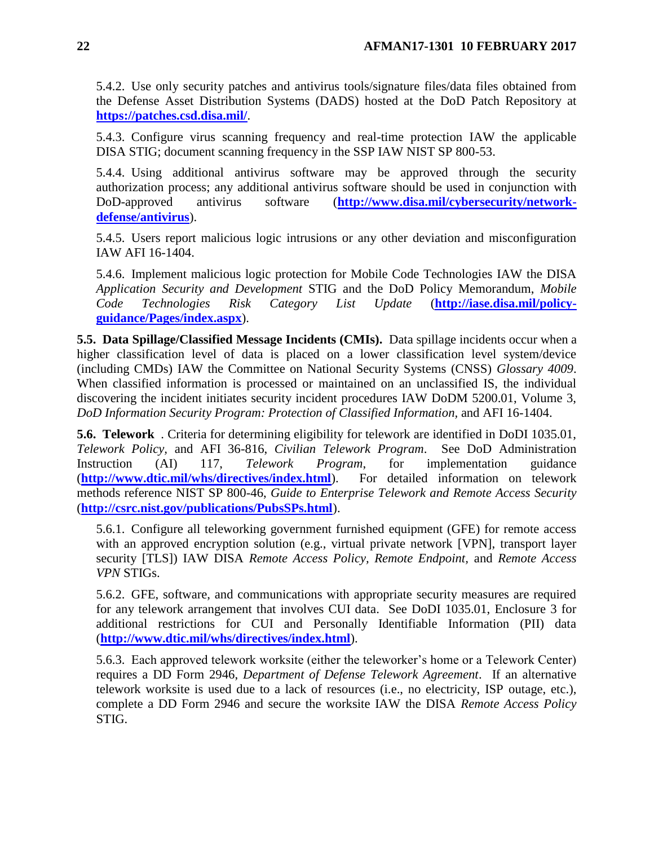5.4.2. Use only security patches and antivirus tools/signature files/data files obtained from the Defense Asset Distribution Systems (DADS) hosted at the DoD Patch Repository at **<https://patches.csd.disa.mil/>**.

5.4.3. Configure virus scanning frequency and real-time protection IAW the applicable DISA STIG; document scanning frequency in the SSP IAW NIST SP 800-53.

5.4.4. Using additional antivirus software may be approved through the security authorization process; any additional antivirus software should be used in conjunction with DoD-approved antivirus software (**[http://www.disa.mil/cybersecurity/network](http://www.disa.mil/cybersecurity/network-defense/antivirus)[defense/antivirus](http://www.disa.mil/cybersecurity/network-defense/antivirus)**).

5.4.5. Users report malicious logic intrusions or any other deviation and misconfiguration IAW AFI 16-1404.

5.4.6. Implement malicious logic protection for Mobile Code Technologies IAW the DISA *Application Security and Development* STIG and the DoD Policy Memorandum, *Mobile Code Technologies Risk Category List Update* (**[http://iase.disa.mil/policy](http://iase.disa.mil/policy-guidance/Pages/index.aspx)[guidance/Pages/index.aspx](http://iase.disa.mil/policy-guidance/Pages/index.aspx)**).

<span id="page-21-0"></span>**5.5. Data Spillage/Classified Message Incidents (CMIs).** Data spillage incidents occur when a higher classification level of data is placed on a lower classification level system/device (including CMDs) IAW the Committee on National Security Systems (CNSS) *Glossary 4009*. When classified information is processed or maintained on an unclassified IS, the individual discovering the incident initiates security incident procedures IAW DoDM 5200.01, Volume 3, *DoD Information Security Program: Protection of Classified Information,* and AFI 16-1404.

<span id="page-21-1"></span>**5.6. Telework** . Criteria for determining eligibility for telework are identified in DoDI 1035.01, *Telework Policy,* and AFI 36-816, *Civilian Telework Program*. See DoD Administration Instruction (AI) 117, *Telework Program*, for implementation guidance (**<http://www.dtic.mil/whs/directives/index.html>**). For detailed information on telework methods reference NIST SP 800-46, *Guide to Enterprise Telework and Remote Access Security*  (**<http://csrc.nist.gov/publications/PubsSPs.html>**).

5.6.1. Configure all teleworking government furnished equipment (GFE) for remote access with an approved encryption solution (e.g., virtual private network [VPN], transport layer security [TLS]) IAW DISA *Remote Access Policy, Remote Endpoint,* and *Remote Access VPN* STIGs.

5.6.2. GFE, software, and communications with appropriate security measures are required for any telework arrangement that involves CUI data. See DoDI 1035.01, Enclosure 3 for additional restrictions for CUI and Personally Identifiable Information (PII) data (**<http://www.dtic.mil/whs/directives/index.html>**).

<span id="page-21-2"></span>5.6.3. Each approved telework worksite (either the teleworker's home or a Telework Center) requires a DD Form 2946, *Department of Defense Telework Agreement*. If an alternative telework worksite is used due to a lack of resources (i.e., no electricity, ISP outage, etc.), complete a DD Form 2946 and secure the worksite IAW the DISA *Remote Access Policy* STIG.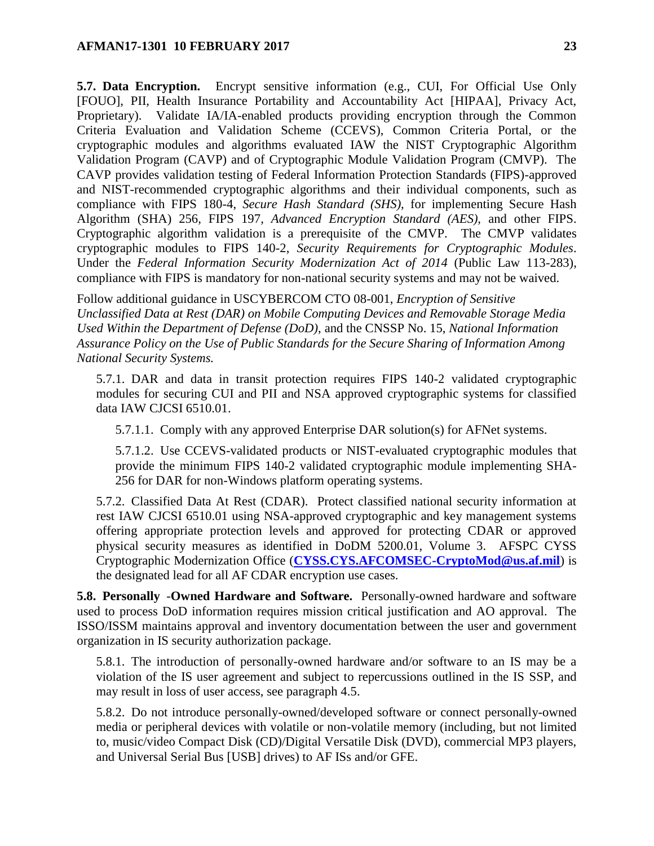**5.7. Data Encryption.** Encrypt sensitive information (e.g., CUI, For Official Use Only [FOUO], PII, Health Insurance Portability and Accountability Act [HIPAA], Privacy Act, Proprietary). Validate IA/IA-enabled products providing encryption through the Common Criteria Evaluation and Validation Scheme (CCEVS), Common Criteria Portal, or the cryptographic modules and algorithms evaluated IAW the NIST Cryptographic Algorithm Validation Program (CAVP) and of Cryptographic Module Validation Program (CMVP). The CAVP provides validation testing of Federal Information Protection Standards (FIPS)-approved and NIST-recommended cryptographic algorithms and their individual components, such as compliance with FIPS 180-4, *Secure Hash Standard (SHS),* for implementing Secure Hash Algorithm (SHA) 256, FIPS 197*, Advanced Encryption Standard (AES),* and other FIPS. Cryptographic algorithm validation is a prerequisite of the CMVP. The CMVP validates cryptographic modules to FIPS 140-2, *Security Requirements for Cryptographic Modules*. Under the *Federal Information Security Modernization Act of 2014* (Public Law 113-283), compliance with FIPS is mandatory for non-national security systems and may not be waived.

Follow additional guidance in USCYBERCOM CTO 08-001, *Encryption of Sensitive Unclassified Data at Rest (DAR) on Mobile Computing Devices and Removable Storage Media Used Within the Department of Defense (DoD)*, and the CNSSP No. 15, *National Information Assurance Policy on the Use of Public Standards for the Secure Sharing of Information Among National Security Systems.*

5.7.1. DAR and data in transit protection requires FIPS 140-2 validated cryptographic modules for securing CUI and PII and NSA approved cryptographic systems for classified data IAW CJCSI 6510.01.

5.7.1.1. Comply with any approved Enterprise DAR solution(s) for AFNet systems.

5.7.1.2. Use CCEVS-validated products or NIST-evaluated cryptographic modules that provide the minimum FIPS 140-2 validated cryptographic module implementing SHA-256 for DAR for non-Windows platform operating systems.

5.7.2. Classified Data At Rest (CDAR). Protect classified national security information at rest IAW CJCSI 6510.01 using NSA-approved cryptographic and key management systems offering appropriate protection levels and approved for protecting CDAR or approved physical security measures as identified in DoDM 5200.01, Volume 3. AFSPC CYSS Cryptographic Modernization Office (**[CYSS.CYS.AFCOMSEC-CryptoMod@us.af.mil](mailto:CYSS.CYS.AFCOMSEC-CryptoMod@us.af.mil)**) is the designated lead for all AF CDAR encryption use cases.

<span id="page-22-0"></span>**5.8. Personally** -**Owned Hardware and Software.** Personally-owned hardware and software used to process DoD information requires mission critical justification and AO approval. The ISSO/ISSM maintains approval and inventory documentation between the user and government organization in IS security authorization package.

5.8.1. The introduction of personally-owned hardware and/or software to an IS may be a violation of the IS user agreement and subject to repercussions outlined in the IS SSP, and may result in loss of user access, see paragraph 4.5.

5.8.2. Do not introduce personally-owned/developed software or connect personally-owned media or peripheral devices with volatile or non-volatile memory (including, but not limited to, music/video Compact Disk (CD)/Digital Versatile Disk (DVD), commercial MP3 players, and Universal Serial Bus [USB] drives) to AF ISs and/or GFE.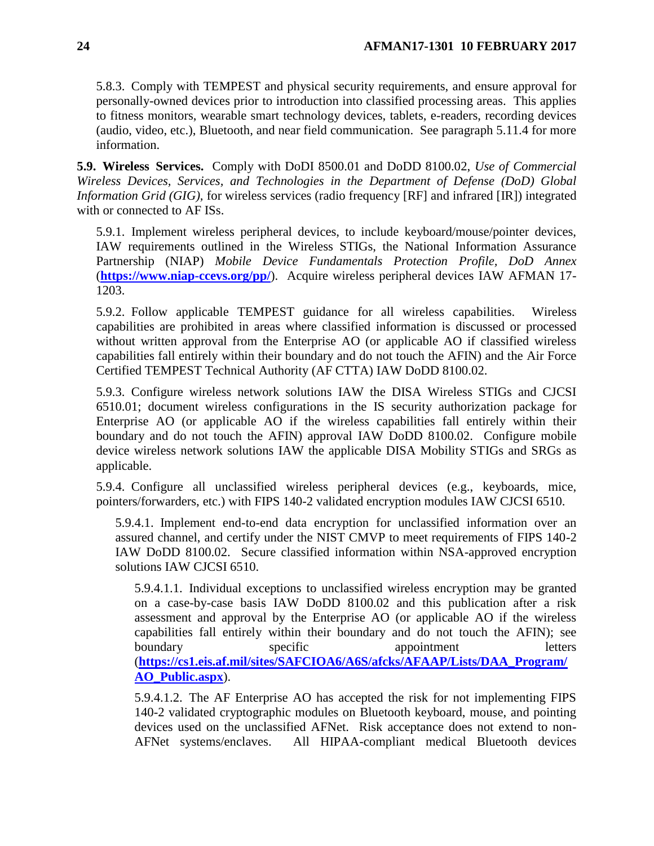5.8.3. Comply with TEMPEST and physical security requirements, and ensure approval for personally-owned devices prior to introduction into classified processing areas. This applies to fitness monitors, wearable smart technology devices, tablets, e-readers, recording devices (audio, video, etc.), Bluetooth, and near field communication. See paragraph 5.11.4 for more information.

<span id="page-23-0"></span>**5.9. Wireless Services.** Comply with DoDI 8500.01 and DoDD 8100.02, *Use of Commercial Wireless Devices, Services, and Technologies in the Department of Defense (DoD) Global Information Grid (GIG),* for wireless services (radio frequency [RF] and infrared [IR]) integrated with or connected to AF ISs.

5.9.1. Implement wireless peripheral devices, to include keyboard/mouse/pointer devices, IAW requirements outlined in the Wireless STIGs, the National Information Assurance Partnership (NIAP) *Mobile Device Fundamentals Protection Profile, DoD Annex* (**<https://www.niap-ccevs.org/pp/>**). Acquire wireless peripheral devices IAW AFMAN 17- 1203.

5.9.2. Follow applicable TEMPEST guidance for all wireless capabilities. Wireless capabilities are prohibited in areas where classified information is discussed or processed without written approval from the Enterprise AO (or applicable AO if classified wireless capabilities fall entirely within their boundary and do not touch the AFIN) and the Air Force Certified TEMPEST Technical Authority (AF CTTA) IAW DoDD 8100.02.

5.9.3. Configure wireless network solutions IAW the DISA Wireless STIGs and CJCSI 6510.01; document wireless configurations in the IS security authorization package for Enterprise AO (or applicable AO if the wireless capabilities fall entirely within their boundary and do not touch the AFIN) approval IAW DoDD 8100.02. Configure mobile device wireless network solutions IAW the applicable DISA Mobility STIGs and SRGs as applicable.

5.9.4. Configure all unclassified wireless peripheral devices (e.g., keyboards, mice, pointers/forwarders, etc.) with FIPS 140-2 validated encryption modules IAW CJCSI 6510.

5.9.4.1. Implement end-to-end data encryption for unclassified information over an assured channel, and certify under the NIST CMVP to meet requirements of FIPS 140-2 IAW DoDD 8100.02. Secure classified information within NSA-approved encryption solutions IAW CJCSI 6510.

5.9.4.1.1. Individual exceptions to unclassified wireless encryption may be granted on a case-by-case basis IAW DoDD 8100.02 and this publication after a risk assessment and approval by the Enterprise AO (or applicable AO if the wireless capabilities fall entirely within their boundary and do not touch the AFIN); see boundary specific appointment letters (**[https://cs1.eis.af.mil/sites/SAFCIOA6/A6S/afcks/AFAAP/Lists/DAA\\_Program/](https://cs1.eis.af.mil/sites/SAFCIOA6/A6S/afcks/AFAAP/Lists/DAA_Program/AO_Public.aspx) [AO\\_Public.aspx](https://cs1.eis.af.mil/sites/SAFCIOA6/A6S/afcks/AFAAP/Lists/DAA_Program/AO_Public.aspx)**).

5.9.4.1.2. The AF Enterprise AO has accepted the risk for not implementing FIPS 140-2 validated cryptographic modules on Bluetooth keyboard, mouse, and pointing devices used on the unclassified AFNet. Risk acceptance does not extend to non-AFNet systems/enclaves. All HIPAA-compliant medical Bluetooth devices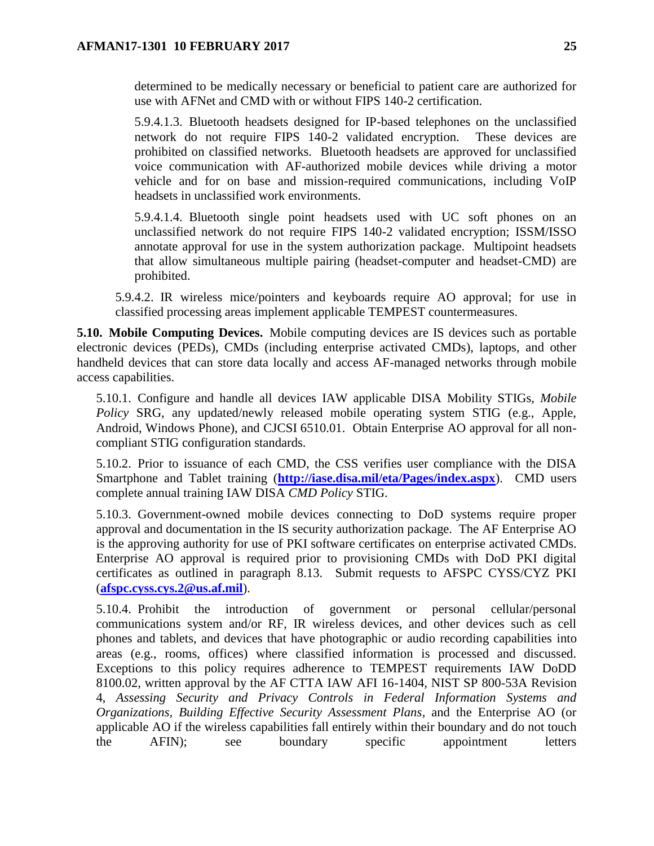determined to be medically necessary or beneficial to patient care are authorized for use with AFNet and CMD with or without FIPS 140-2 certification.

5.9.4.1.3. Bluetooth headsets designed for IP-based telephones on the unclassified network do not require FIPS 140-2 validated encryption. These devices are prohibited on classified networks. Bluetooth headsets are approved for unclassified voice communication with AF-authorized mobile devices while driving a motor vehicle and for on base and mission-required communications, including VoIP headsets in unclassified work environments.

5.9.4.1.4. Bluetooth single point headsets used with UC soft phones on an unclassified network do not require FIPS 140-2 validated encryption; ISSM/ISSO annotate approval for use in the system authorization package. Multipoint headsets that allow simultaneous multiple pairing (headset-computer and headset-CMD) are prohibited.

5.9.4.2. IR wireless mice/pointers and keyboards require AO approval; for use in classified processing areas implement applicable TEMPEST countermeasures.

<span id="page-24-0"></span>**5.10. Mobile Computing Devices.** Mobile computing devices are IS devices such as portable electronic devices (PEDs), CMDs (including enterprise activated CMDs), laptops, and other handheld devices that can store data locally and access AF-managed networks through mobile access capabilities.

5.10.1. Configure and handle all devices IAW applicable DISA Mobility STIGs*, Mobile Policy* SRG, any updated/newly released mobile operating system STIG (e.g., Apple, Android, Windows Phone), and CJCSI 6510.01. Obtain Enterprise AO approval for all noncompliant STIG configuration standards.

5.10.2. Prior to issuance of each CMD, the CSS verifies user compliance with the DISA Smartphone and Tablet training (**<http://iase.disa.mil/eta/Pages/index.aspx>**). CMD users complete annual training IAW DISA *CMD Policy* STIG.

5.10.3. Government-owned mobile devices connecting to DoD systems require proper approval and documentation in the IS security authorization package. The AF Enterprise AO is the approving authority for use of PKI software certificates on enterprise activated CMDs. Enterprise AO approval is required prior to provisioning CMDs with DoD PKI digital certificates as outlined in paragraph 8.13. Submit requests to AFSPC CYSS/CYZ PKI (**[afspc.cyss.cys.2@us.af.mil](mailto:afspc.cyss.cys.2@us.af.mil)**).

5.10.4. Prohibit the introduction of government or personal cellular/personal communications system and/or RF, IR wireless devices, and other devices such as cell phones and tablets, and devices that have photographic or audio recording capabilities into areas (e.g., rooms, offices) where classified information is processed and discussed. Exceptions to this policy requires adherence to TEMPEST requirements IAW DoDD 8100.02, written approval by the AF CTTA IAW AFI 16-1404*,* NIST SP 800-53A Revision 4, *Assessing Security and Privacy Controls in Federal Information Systems and Organizations, Building Effective Security Assessment Plans*, and the Enterprise AO (or applicable AO if the wireless capabilities fall entirely within their boundary and do not touch the AFIN); see boundary specific appointment letters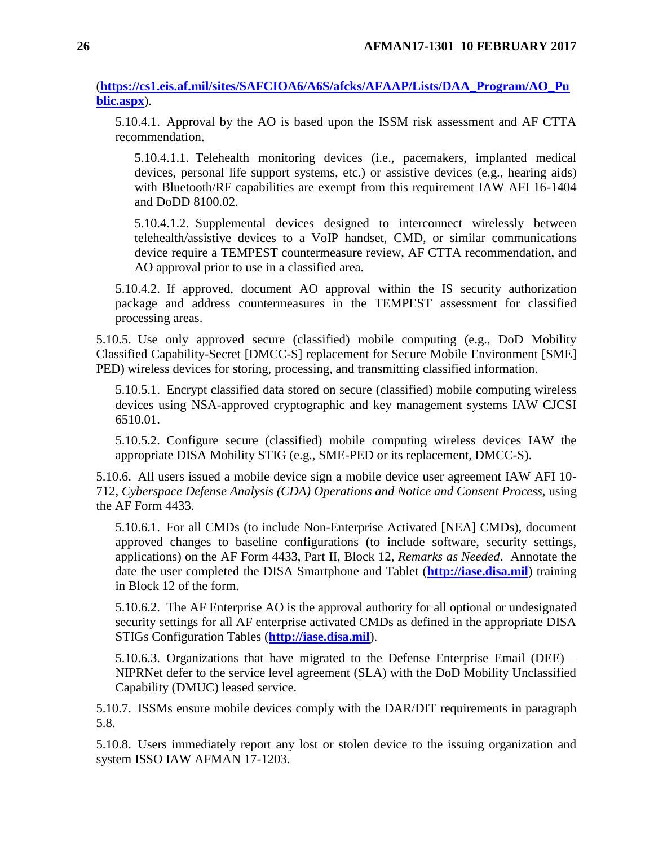(**[https://cs1.eis.af.mil/sites/SAFCIOA6/A6S/afcks/AFAAP/Lists/DAA\\_Program/AO\\_Pu](https://cs1.eis.af.mil/sites/SAFCIOA6/A6S/afcks/AFAAP/Lists/DAA_Program/AO_Public.aspx) [blic.aspx](https://cs1.eis.af.mil/sites/SAFCIOA6/A6S/afcks/AFAAP/Lists/DAA_Program/AO_Public.aspx)**).

5.10.4.1. Approval by the AO is based upon the ISSM risk assessment and AF CTTA recommendation.

5.10.4.1.1. Telehealth monitoring devices (i.e., pacemakers, implanted medical devices, personal life support systems, etc.) or assistive devices (e.g., hearing aids) with Bluetooth/RF capabilities are exempt from this requirement IAW AFI 16-1404 and DoDD 8100.02.

5.10.4.1.2. Supplemental devices designed to interconnect wirelessly between telehealth/assistive devices to a VoIP handset, CMD, or similar communications device require a TEMPEST countermeasure review, AF CTTA recommendation, and AO approval prior to use in a classified area.

5.10.4.2. If approved, document AO approval within the IS security authorization package and address countermeasures in the TEMPEST assessment for classified processing areas.

5.10.5. Use only approved secure (classified) mobile computing (e.g., DoD Mobility Classified Capability-Secret [DMCC-S] replacement for Secure Mobile Environment [SME] PED) wireless devices for storing, processing, and transmitting classified information.

5.10.5.1. Encrypt classified data stored on secure (classified) mobile computing wireless devices using NSA-approved cryptographic and key management systems IAW CJCSI 6510.01.

5.10.5.2. Configure secure (classified) mobile computing wireless devices IAW the appropriate DISA Mobility STIG (e.g., SME-PED or its replacement, DMCC-S).

5.10.6. All users issued a mobile device sign a mobile device user agreement IAW AFI 10- 712, *Cyberspace Defense Analysis (CDA) Operations and Notice and Consent Process,* using the AF Form 4433.

5.10.6.1. For all CMDs (to include Non-Enterprise Activated [NEA] CMDs), document approved changes to baseline configurations (to include software, security settings, applications) on the AF Form 4433, Part II, Block 12, *Remarks as Needed*. Annotate the date the user completed the DISA Smartphone and Tablet (**[http://iase.disa.mil](http://iase.disa.mil/)**) training in Block 12 of the form.

5.10.6.2. The AF Enterprise AO is the approval authority for all optional or undesignated security settings for all AF enterprise activated CMDs as defined in the appropriate DISA STIGs Configuration Tables (**[http://iase.disa.mil](http://iase.disa.mil/)**).

5.10.6.3. Organizations that have migrated to the Defense Enterprise Email (DEE) – NIPRNet defer to the service level agreement (SLA) with the DoD Mobility Unclassified Capability (DMUC) leased service.

5.10.7. ISSMs ensure mobile devices comply with the DAR/DIT requirements in paragraph 5.8.

5.10.8. Users immediately report any lost or stolen device to the issuing organization and system ISSO IAW AFMAN 17-1203.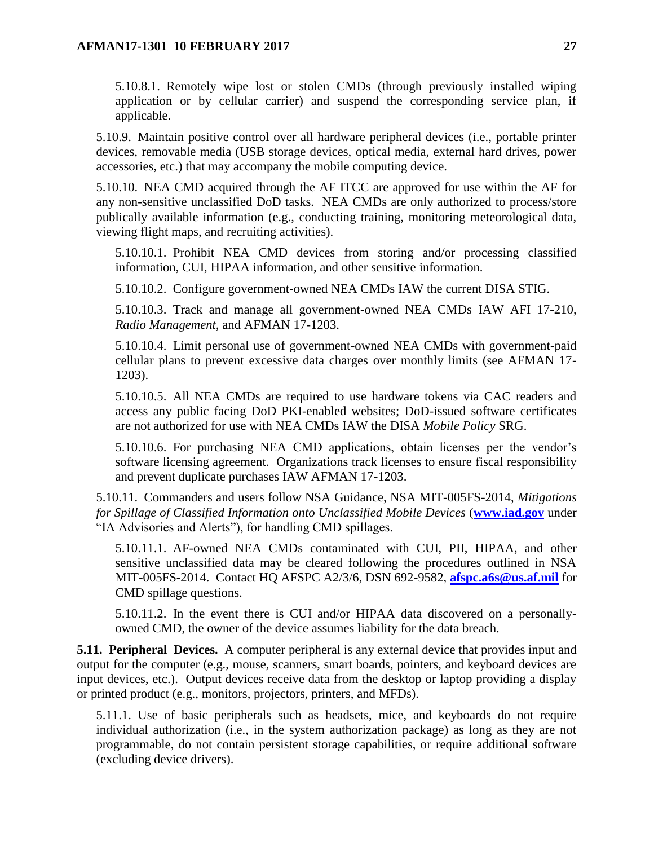5.10.8.1. Remotely wipe lost or stolen CMDs (through previously installed wiping application or by cellular carrier) and suspend the corresponding service plan, if applicable.

5.10.9. Maintain positive control over all hardware peripheral devices (i.e., portable printer devices, removable media (USB storage devices, optical media, external hard drives, power accessories, etc.) that may accompany the mobile computing device.

5.10.10. NEA CMD acquired through the AF ITCC are approved for use within the AF for any non-sensitive unclassified DoD tasks. NEA CMDs are only authorized to process/store publically available information (e.g., conducting training, monitoring meteorological data, viewing flight maps, and recruiting activities).

5.10.10.1. Prohibit NEA CMD devices from storing and/or processing classified information, CUI, HIPAA information, and other sensitive information.

5.10.10.2. Configure government-owned NEA CMDs IAW the current DISA STIG.

5.10.10.3. Track and manage all government-owned NEA CMDs IAW AFI 17-210, *Radio Management,* and AFMAN 17-1203.

5.10.10.4. Limit personal use of government-owned NEA CMDs with government-paid cellular plans to prevent excessive data charges over monthly limits (see AFMAN 17- 1203).

5.10.10.5. All NEA CMDs are required to use hardware tokens via CAC readers and access any public facing DoD PKI-enabled websites; DoD-issued software certificates are not authorized for use with NEA CMDs IAW the DISA *Mobile Policy* SRG.

5.10.10.6. For purchasing NEA CMD applications, obtain licenses per the vendor's software licensing agreement. Organizations track licenses to ensure fiscal responsibility and prevent duplicate purchases IAW AFMAN 17-1203.

5.10.11. Commanders and users follow NSA Guidance, NSA MIT-005FS-2014, *Mitigations for Spillage of Classified Information onto Unclassified Mobile Devices* (**[www.iad.gov](http://www.iad.gov/)** under "IA Advisories and Alerts"), for handling CMD spillages.

5.10.11.1. AF-owned NEA CMDs contaminated with CUI, PII, HIPAA, and other sensitive unclassified data may be cleared following the procedures outlined in NSA MIT-005FS-2014. Contact HQ AFSPC A2/3/6, DSN 692-9582, **[afspc.a6s@us.af.mil](mailto:afspc.a6s@us.af.mil)** for CMD spillage questions.

5.10.11.2. In the event there is CUI and/or HIPAA data discovered on a personallyowned CMD, the owner of the device assumes liability for the data breach.

<span id="page-26-0"></span>**5.11. Peripheral Devices.** A computer peripheral is any external device that provides input and output for the computer (e.g., mouse, scanners, smart boards, pointers, and keyboard devices are input devices, etc.). Output devices receive data from the desktop or laptop providing a display or printed product (e.g., monitors, projectors, printers, and MFDs).

5.11.1. Use of basic peripherals such as headsets, mice, and keyboards do not require individual authorization (i.e., in the system authorization package) as long as they are not programmable, do not contain persistent storage capabilities, or require additional software (excluding device drivers).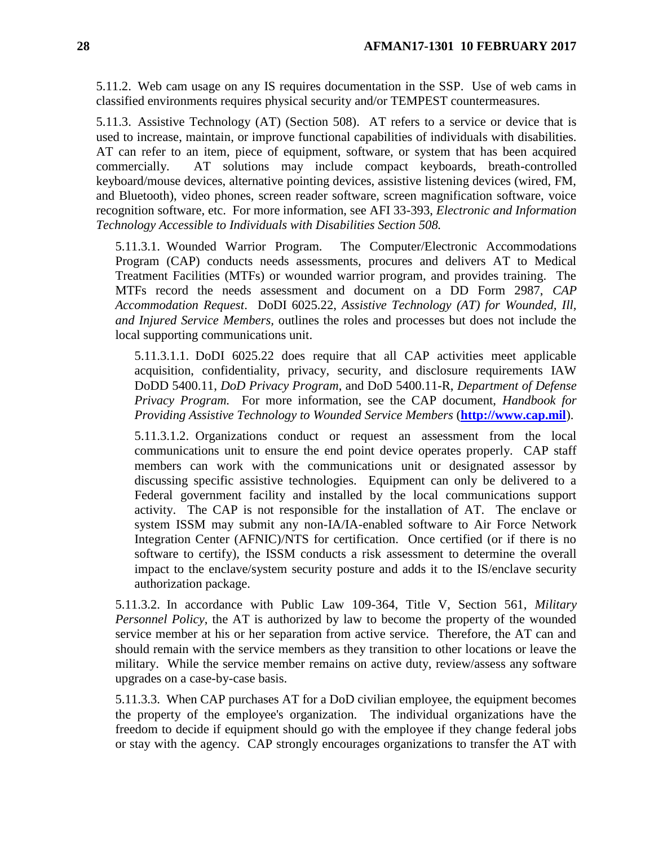5.11.2. Web cam usage on any IS requires documentation in the SSP. Use of web cams in classified environments requires physical security and/or TEMPEST countermeasures.

5.11.3. Assistive Technology (AT) (Section 508). AT refers to a service or device that is used to increase, maintain, or improve functional capabilities of individuals with disabilities. AT can refer to an item, piece of equipment, software, or system that has been acquired commercially. AT solutions may include compact keyboards, breath-controlled keyboard/mouse devices, alternative pointing devices, assistive listening devices (wired, FM, and Bluetooth), video phones, screen reader software, screen magnification software, voice recognition software, etc. For more information, see AFI 33-393, *Electronic and Information Technology Accessible to Individuals with Disabilities Section 508.*

5.11.3.1. Wounded Warrior Program. The Computer/Electronic Accommodations Program (CAP) conducts needs assessments, procures and delivers AT to Medical Treatment Facilities (MTFs) or wounded warrior program, and provides training. The MTFs record the needs assessment and document on a DD Form 2987, *CAP Accommodation Request*. DoDI 6025.22, *Assistive Technology (AT) for Wounded, Ill, and Injured Service Members,* outlines the roles and processes but does not include the local supporting communications unit.

5.11.3.1.1. DoDI 6025.22 does require that all CAP activities meet applicable acquisition, confidentiality, privacy, security, and disclosure requirements IAW DoDD 5400.11, *DoD Privacy Program*, and DoD 5400.11-R, *Department of Defense Privacy Program.* For more information, see the CAP document, *Handbook for Providing Assistive Technology to Wounded Service Members* (**[http://www.cap.mil](http://www.cap.mil/)**).

5.11.3.1.2. Organizations conduct or request an assessment from the local communications unit to ensure the end point device operates properly. CAP staff members can work with the communications unit or designated assessor by discussing specific assistive technologies. Equipment can only be delivered to a Federal government facility and installed by the local communications support activity. The CAP is not responsible for the installation of AT. The enclave or system ISSM may submit any non-IA/IA-enabled software to Air Force Network Integration Center (AFNIC)/NTS for certification. Once certified (or if there is no software to certify), the ISSM conducts a risk assessment to determine the overall impact to the enclave/system security posture and adds it to the IS/enclave security authorization package.

5.11.3.2. In accordance with Public Law 109-364, Title V, Section 561, *Military Personnel Policy*, the AT is authorized by law to become the property of the wounded service member at his or her separation from active service. Therefore, the AT can and should remain with the service members as they transition to other locations or leave the military. While the service member remains on active duty, review/assess any software upgrades on a case-by-case basis.

5.11.3.3. When CAP purchases AT for a DoD civilian employee, the equipment becomes the property of the employee's organization. The individual organizations have the freedom to decide if equipment should go with the employee if they change federal jobs or stay with the agency. CAP strongly encourages organizations to transfer the AT with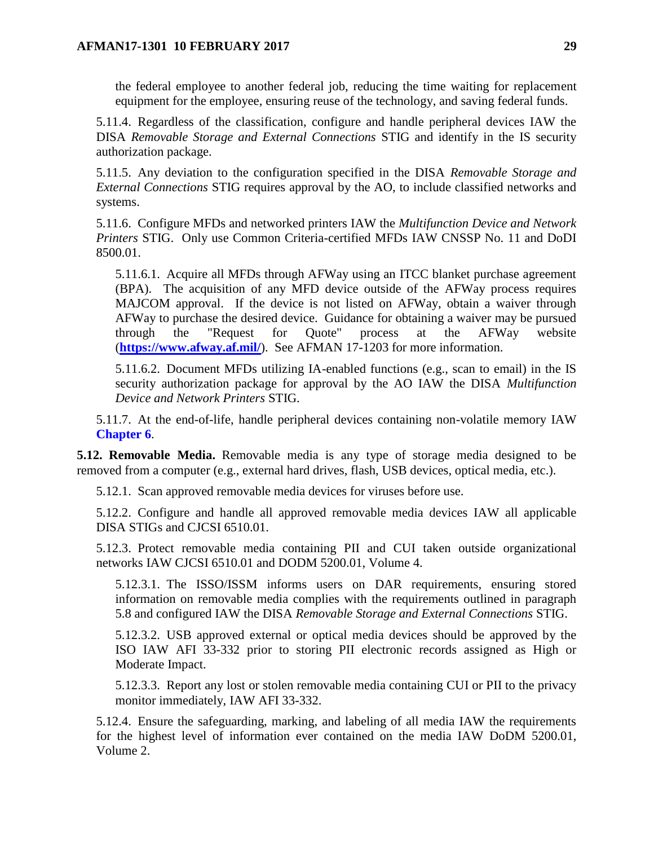the federal employee to another federal job, reducing the time waiting for replacement equipment for the employee, ensuring reuse of the technology, and saving federal funds.

5.11.4. Regardless of the classification, configure and handle peripheral devices IAW the DISA *Removable Storage and External Connections* STIG and identify in the IS security authorization package.

5.11.5. Any deviation to the configuration specified in the DISA *Removable Storage and External Connections* STIG requires approval by the AO, to include classified networks and systems.

5.11.6. Configure MFDs and networked printers IAW the *Multifunction Device and Network Printers* STIG. Only use Common Criteria-certified MFDs IAW CNSSP No. 11 and DoDI 8500.01.

5.11.6.1. Acquire all MFDs through AFWay using an ITCC blanket purchase agreement (BPA). The acquisition of any MFD device outside of the AFWay process requires MAJCOM approval. If the device is not listed on AFWay, obtain a waiver through AFWay to purchase the desired device. Guidance for obtaining a waiver may be pursued through the "Request for Quote" process at the AFWay website (**<https://www.afway.af.mil/>**). See AFMAN 17-1203 for more information.

5.11.6.2. Document MFDs utilizing IA-enabled functions (e.g., scan to email) in the IS security authorization package for approval by the AO IAW the DISA *Multifunction Device and Network Printers* STIG.

5.11.7. At the end-of-life, handle peripheral devices containing non-volatile memory IAW **[Chapter](#page-32-0) 6**.

<span id="page-28-0"></span>**5.12. Removable Media.** Removable media is any type of storage media designed to be removed from a computer (e.g., external hard drives, flash, USB devices, optical media, etc.).

5.12.1. Scan approved removable media devices for viruses before use.

5.12.2. Configure and handle all approved removable media devices IAW all applicable DISA STIGs and CJCSI 6510.01.

5.12.3. Protect removable media containing PII and CUI taken outside organizational networks IAW CJCSI 6510.01 and DODM 5200.01, Volume 4.

5.12.3.1. The ISSO/ISSM informs users on DAR requirements, ensuring stored information on removable media complies with the requirements outlined in paragraph 5.8 and configured IAW the DISA *Removable Storage and External Connections* STIG.

5.12.3.2. USB approved external or optical media devices should be approved by the ISO IAW AFI 33-332 prior to storing PII electronic records assigned as High or Moderate Impact.

5.12.3.3. Report any lost or stolen removable media containing CUI or PII to the privacy monitor immediately, IAW AFI 33-332.

5.12.4. Ensure the safeguarding, marking, and labeling of all media IAW the requirements for the highest level of information ever contained on the media IAW DoDM 5200.01, Volume 2.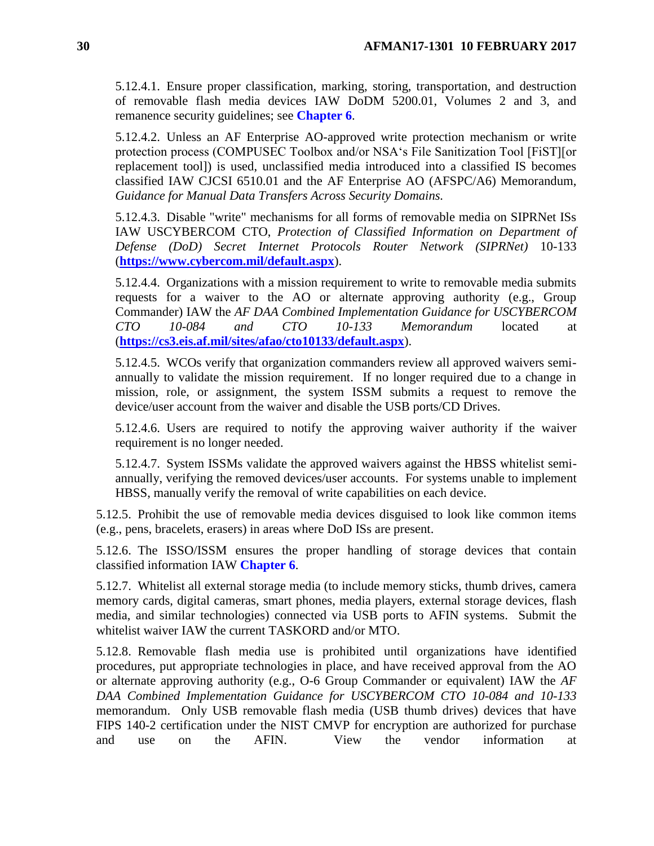5.12.4.1. Ensure proper classification, marking, storing, transportation, and destruction of removable flash media devices IAW DoDM 5200.01, Volumes 2 and 3, and remanence security guidelines; see **[Chapter](#page-32-0) 6**.

5.12.4.2. Unless an AF Enterprise AO-approved write protection mechanism or write protection process (COMPUSEC Toolbox and/or NSA's File Sanitization Tool [FiST][or replacement tool]) is used, unclassified media introduced into a classified IS becomes classified IAW CJCSI 6510.01 and the AF Enterprise AO (AFSPC/A6) Memorandum, *Guidance for Manual Data Transfers Across Security Domains.*

5.12.4.3. Disable "write" mechanisms for all forms of removable media on SIPRNet ISs IAW USCYBERCOM CTO, *Protection of Classified Information on Department of Defense (DoD) Secret Internet Protocols Router Network (SIPRNet)* 10-133 (**<https://www.cybercom.mil/default.aspx>**).

5.12.4.4. Organizations with a mission requirement to write to removable media submits requests for a waiver to the AO or alternate approving authority (e.g., Group Commander) IAW the *AF DAA Combined Implementation Guidance for USCYBERCOM CTO 10-084 and CTO 10-133 Memorandum* located at (**<https://cs3.eis.af.mil/sites/afao/cto10133/default.aspx>**).

5.12.4.5. WCOs verify that organization commanders review all approved waivers semiannually to validate the mission requirement. If no longer required due to a change in mission, role, or assignment, the system ISSM submits a request to remove the device/user account from the waiver and disable the USB ports/CD Drives.

5.12.4.6. Users are required to notify the approving waiver authority if the waiver requirement is no longer needed.

5.12.4.7. System ISSMs validate the approved waivers against the HBSS whitelist semiannually, verifying the removed devices/user accounts. For systems unable to implement HBSS, manually verify the removal of write capabilities on each device.

5.12.5. Prohibit the use of removable media devices disguised to look like common items (e.g., pens, bracelets, erasers) in areas where DoD ISs are present.

5.12.6. The ISSO/ISSM ensures the proper handling of storage devices that contain classified information IAW **[Chapter](#page-32-0) 6**.

5.12.7. Whitelist all external storage media (to include memory sticks, thumb drives, camera memory cards, digital cameras, smart phones, media players, external storage devices, flash media, and similar technologies) connected via USB ports to AFIN systems. Submit the whitelist waiver IAW the current TASKORD and/or MTO.

5.12.8. Removable flash media use is prohibited until organizations have identified procedures, put appropriate technologies in place, and have received approval from the AO or alternate approving authority (e.g., O-6 Group Commander or equivalent) IAW the *AF DAA Combined Implementation Guidance for USCYBERCOM CTO 10-084 and 10-133* memorandum. Only USB removable flash media (USB thumb drives) devices that have FIPS 140-2 certification under the NIST CMVP for encryption are authorized for purchase and use on the AFIN. View the vendor information at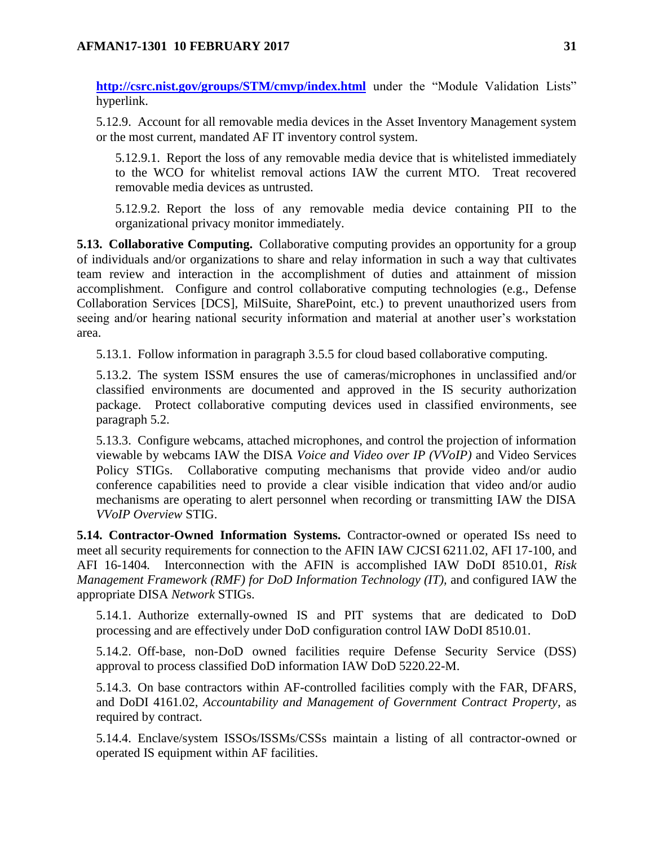**<http://csrc.nist.gov/groups/STM/cmvp/index.html>** under the "Module Validation Lists" hyperlink.

5.12.9. Account for all removable media devices in the Asset Inventory Management system or the most current, mandated AF IT inventory control system.

5.12.9.1. Report the loss of any removable media device that is whitelisted immediately to the WCO for whitelist removal actions IAW the current MTO. Treat recovered removable media devices as untrusted.

5.12.9.2. Report the loss of any removable media device containing PII to the organizational privacy monitor immediately.

<span id="page-30-0"></span>**5.13. Collaborative Computing.** Collaborative computing provides an opportunity for a group of individuals and/or organizations to share and relay information in such a way that cultivates team review and interaction in the accomplishment of duties and attainment of mission accomplishment. Configure and control collaborative computing technologies (e.g., Defense Collaboration Services [DCS], MilSuite, SharePoint, etc.) to prevent unauthorized users from seeing and/or hearing national security information and material at another user's workstation area.

5.13.1. Follow information in paragraph 3.5.5 for cloud based collaborative computing.

5.13.2. The system ISSM ensures the use of cameras/microphones in unclassified and/or classified environments are documented and approved in the IS security authorization package. Protect collaborative computing devices used in classified environments, see paragraph 5.2.

5.13.3. Configure webcams, attached microphones, and control the projection of information viewable by webcams IAW the DISA *Voice and Video over IP (VVoIP)* and Video Services Policy STIGs. Collaborative computing mechanisms that provide video and/or audio conference capabilities need to provide a clear visible indication that video and/or audio mechanisms are operating to alert personnel when recording or transmitting IAW the DISA *VVoIP Overview* STIG.

<span id="page-30-1"></span>**5.14. Contractor-Owned Information Systems.** Contractor-owned or operated ISs need to meet all security requirements for connection to the AFIN IAW CJCSI 6211.02, AFI 17-100, and AFI 16-1404*.* Interconnection with the AFIN is accomplished IAW DoDI 8510.01, *Risk Management Framework (RMF) for DoD Information Technology (IT),* and configured IAW the appropriate DISA *Network* STIGs.

5.14.1. Authorize externally-owned IS and PIT systems that are dedicated to DoD processing and are effectively under DoD configuration control IAW DoDI 8510.01.

5.14.2. Off-base, non-DoD owned facilities require Defense Security Service (DSS) approval to process classified DoD information IAW DoD 5220.22-M.

5.14.3. On base contractors within AF-controlled facilities comply with the FAR, DFARS, and DoDI 4161.02, *Accountability and Management of Government Contract Property,* as required by contract.

5.14.4. Enclave/system ISSOs/ISSMs/CSSs maintain a listing of all contractor-owned or operated IS equipment within AF facilities.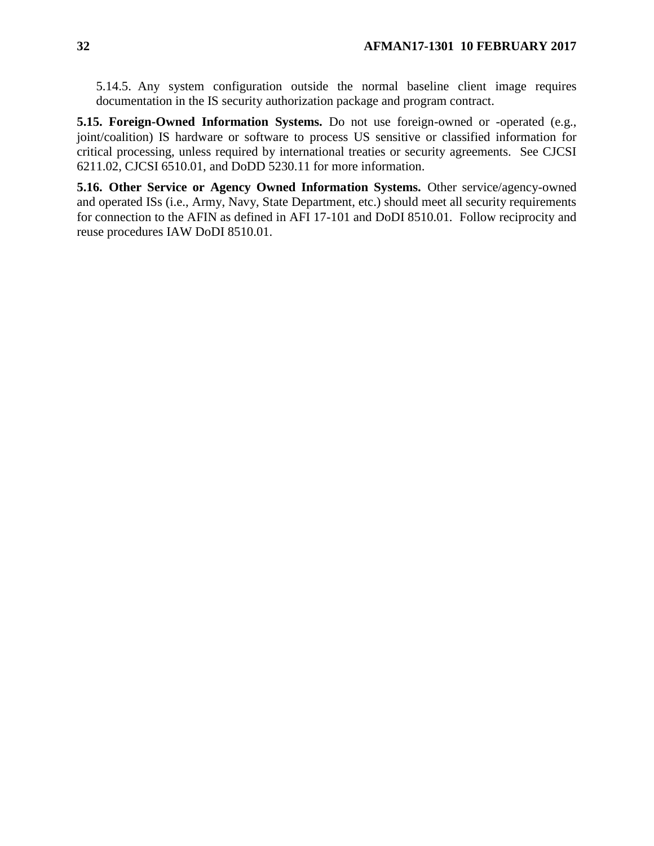5.14.5. Any system configuration outside the normal baseline client image requires documentation in the IS security authorization package and program contract.

<span id="page-31-0"></span>**5.15. Foreign-Owned Information Systems.** Do not use foreign-owned or -operated (e.g., joint/coalition) IS hardware or software to process US sensitive or classified information for critical processing, unless required by international treaties or security agreements. See CJCSI 6211.02, CJCSI 6510.01, and DoDD 5230.11 for more information.

<span id="page-31-1"></span>**5.16. Other Service or Agency Owned Information Systems.** Other service/agency-owned and operated ISs (i.e., Army, Navy, State Department, etc.) should meet all security requirements for connection to the AFIN as defined in AFI 17-101 and DoDI 8510.01*.* Follow reciprocity and reuse procedures IAW DoDI 8510.01.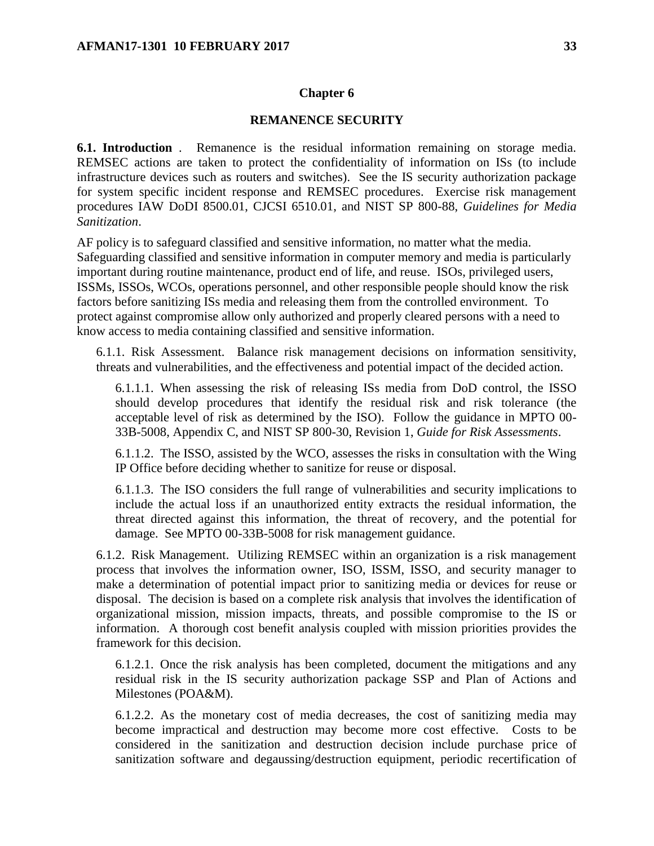#### **Chapter 6**

#### **REMANENCE SECURITY**

<span id="page-32-1"></span><span id="page-32-0"></span>**6.1. Introduction** . Remanence is the residual information remaining on storage media. REMSEC actions are taken to protect the confidentiality of information on ISs (to include infrastructure devices such as routers and switches). See the IS security authorization package for system specific incident response and REMSEC procedures. Exercise risk management procedures IAW DoDI 8500.01, CJCSI 6510.01, and NIST SP 800-88, *Guidelines for Media Sanitization*.

AF policy is to safeguard classified and sensitive information, no matter what the media. Safeguarding classified and sensitive information in computer memory and media is particularly important during routine maintenance, product end of life, and reuse. ISOs, privileged users, ISSMs, ISSOs, WCOs, operations personnel, and other responsible people should know the risk factors before sanitizing ISs media and releasing them from the controlled environment. To protect against compromise allow only authorized and properly cleared persons with a need to know access to media containing classified and sensitive information.

6.1.1. Risk Assessment. Balance risk management decisions on information sensitivity, threats and vulnerabilities, and the effectiveness and potential impact of the decided action.

6.1.1.1. When assessing the risk of releasing ISs media from DoD control, the ISSO should develop procedures that identify the residual risk and risk tolerance (the acceptable level of risk as determined by the ISO). Follow the guidance in MPTO 00- 33B-5008, Appendix C, and NIST SP 800-30, Revision 1, *Guide for Risk Assessments*.

6.1.1.2. The ISSO, assisted by the WCO, assesses the risks in consultation with the Wing IP Office before deciding whether to sanitize for reuse or disposal.

6.1.1.3. The ISO considers the full range of vulnerabilities and security implications to include the actual loss if an unauthorized entity extracts the residual information, the threat directed against this information, the threat of recovery, and the potential for damage. See MPTO 00-33B-5008 for risk management guidance.

6.1.2. Risk Management. Utilizing REMSEC within an organization is a risk management process that involves the information owner, ISO, ISSM, ISSO, and security manager to make a determination of potential impact prior to sanitizing media or devices for reuse or disposal. The decision is based on a complete risk analysis that involves the identification of organizational mission, mission impacts, threats, and possible compromise to the IS or information. A thorough cost benefit analysis coupled with mission priorities provides the framework for this decision.

6.1.2.1. Once the risk analysis has been completed, document the mitigations and any residual risk in the IS security authorization package SSP and Plan of Actions and Milestones (POA&M).

6.1.2.2. As the monetary cost of media decreases, the cost of sanitizing media may become impractical and destruction may become more cost effective. Costs to be considered in the sanitization and destruction decision include purchase price of sanitization software and degaussing/destruction equipment, periodic recertification of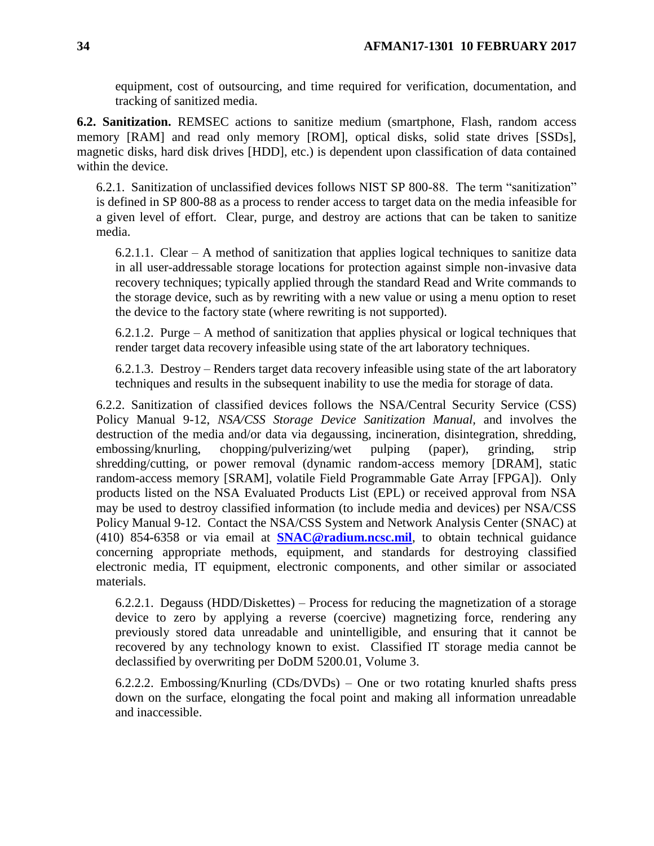equipment, cost of outsourcing, and time required for verification, documentation, and tracking of sanitized media.

<span id="page-33-0"></span>**6.2. Sanitization.** REMSEC actions to sanitize medium (smartphone, Flash, random access memory [RAM] and read only memory [ROM], optical disks, solid state drives [SSDs], magnetic disks, hard disk drives [HDD], etc.) is dependent upon classification of data contained within the device.

6.2.1. Sanitization of unclassified devices follows NIST SP 800-88. The term "sanitization" is defined in SP 800-88 as a process to render access to target data on the media infeasible for a given level of effort. Clear, purge, and destroy are actions that can be taken to sanitize media.

6.2.1.1. Clear – A method of sanitization that applies logical techniques to sanitize data in all user-addressable storage locations for protection against simple non-invasive data recovery techniques; typically applied through the standard Read and Write commands to the storage device, such as by rewriting with a new value or using a menu option to reset the device to the factory state (where rewriting is not supported).

6.2.1.2. Purge – A method of sanitization that applies physical or logical techniques that render target data recovery infeasible using state of the art laboratory techniques.

6.2.1.3. Destroy – Renders target data recovery infeasible using state of the art laboratory techniques and results in the subsequent inability to use the media for storage of data.

6.2.2. Sanitization of classified devices follows the NSA/Central Security Service (CSS) Policy Manual 9-12, *NSA/CSS Storage Device Sanitization Manual,* and involves the destruction of the media and/or data via degaussing, incineration, disintegration, shredding, embossing/knurling, chopping/pulverizing/wet pulping (paper), grinding, strip shredding/cutting, or power removal (dynamic random-access memory [DRAM], static random-access memory [SRAM], volatile Field Programmable Gate Array [FPGA]). Only products listed on the NSA Evaluated Products List (EPL) or received approval from NSA may be used to destroy classified information (to include media and devices) per NSA/CSS Policy Manual 9-12. Contact the NSA/CSS System and Network Analysis Center (SNAC) at (410) 854-6358 or via email at **[SNAC@radium.ncsc.mil](mailto:SNAC@radium.ncsc.mil)**, to obtain technical guidance concerning appropriate methods, equipment, and standards for destroying classified electronic media, IT equipment, electronic components, and other similar or associated materials.

6.2.2.1. Degauss (HDD/Diskettes) – Process for reducing the magnetization of a storage device to zero by applying a reverse (coercive) magnetizing force, rendering any previously stored data unreadable and unintelligible, and ensuring that it cannot be recovered by any technology known to exist. Classified IT storage media cannot be declassified by overwriting per DoDM 5200.01, Volume 3.

6.2.2.2. Embossing/Knurling (CDs/DVDs) – One or two rotating knurled shafts press down on the surface, elongating the focal point and making all information unreadable and inaccessible.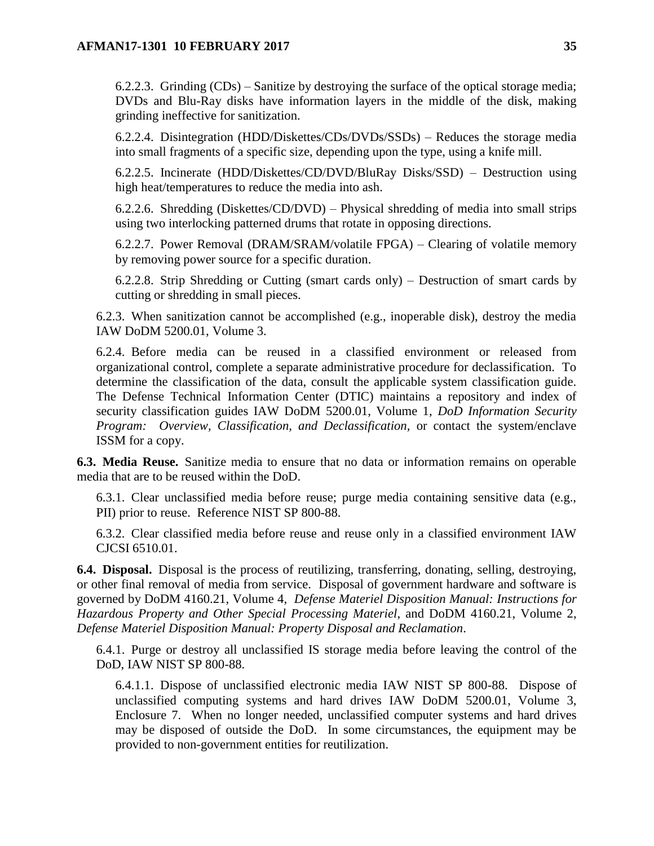6.2.2.3. Grinding (CDs) – Sanitize by destroying the surface of the optical storage media; DVDs and Blu-Ray disks have information layers in the middle of the disk, making grinding ineffective for sanitization.

6.2.2.4. Disintegration (HDD/Diskettes/CDs/DVDs/SSDs) – Reduces the storage media into small fragments of a specific size, depending upon the type, using a knife mill.

6.2.2.5. Incinerate (HDD/Diskettes/CD/DVD/BluRay Disks/SSD) – Destruction using high heat/temperatures to reduce the media into ash.

6.2.2.6. Shredding (Diskettes/CD/DVD) – Physical shredding of media into small strips using two interlocking patterned drums that rotate in opposing directions.

6.2.2.7. Power Removal (DRAM/SRAM/volatile FPGA) – Clearing of volatile memory by removing power source for a specific duration.

6.2.2.8. Strip Shredding or Cutting (smart cards only) – Destruction of smart cards by cutting or shredding in small pieces.

6.2.3. When sanitization cannot be accomplished (e.g., inoperable disk), destroy the media IAW DoDM 5200.01, Volume 3.

6.2.4. Before media can be reused in a classified environment or released from organizational control, complete a separate administrative procedure for declassification. To determine the classification of the data, consult the applicable system classification guide. The Defense Technical Information Center (DTIC) maintains a repository and index of security classification guides IAW DoDM 5200.01, Volume 1, *DoD Information Security Program: Overview, Classification, and Declassification,* or contact the system/enclave ISSM for a copy.

<span id="page-34-0"></span>**6.3. Media Reuse.** Sanitize media to ensure that no data or information remains on operable media that are to be reused within the DoD.

6.3.1. Clear unclassified media before reuse; purge media containing sensitive data (e.g., PII) prior to reuse. Reference NIST SP 800-88.

6.3.2. Clear classified media before reuse and reuse only in a classified environment IAW CJCSI 6510.01.

<span id="page-34-1"></span>**6.4. Disposal.** Disposal is the process of reutilizing, transferring, donating, selling, destroying, or other final removal of media from service. Disposal of government hardware and software is governed by DoDM 4160.21, Volume 4, *Defense Materiel Disposition Manual: Instructions for Hazardous Property and Other Special Processing Materiel*, and DoDM 4160.21, Volume 2, *Defense Materiel Disposition Manual: Property Disposal and Reclamation*.

6.4.1. Purge or destroy all unclassified IS storage media before leaving the control of the DoD, IAW NIST SP 800-88.

6.4.1.1. Dispose of unclassified electronic media IAW NIST SP 800-88. Dispose of unclassified computing systems and hard drives IAW DoDM 5200.01, Volume 3, Enclosure 7. When no longer needed, unclassified computer systems and hard drives may be disposed of outside the DoD. In some circumstances, the equipment may be provided to non-government entities for reutilization.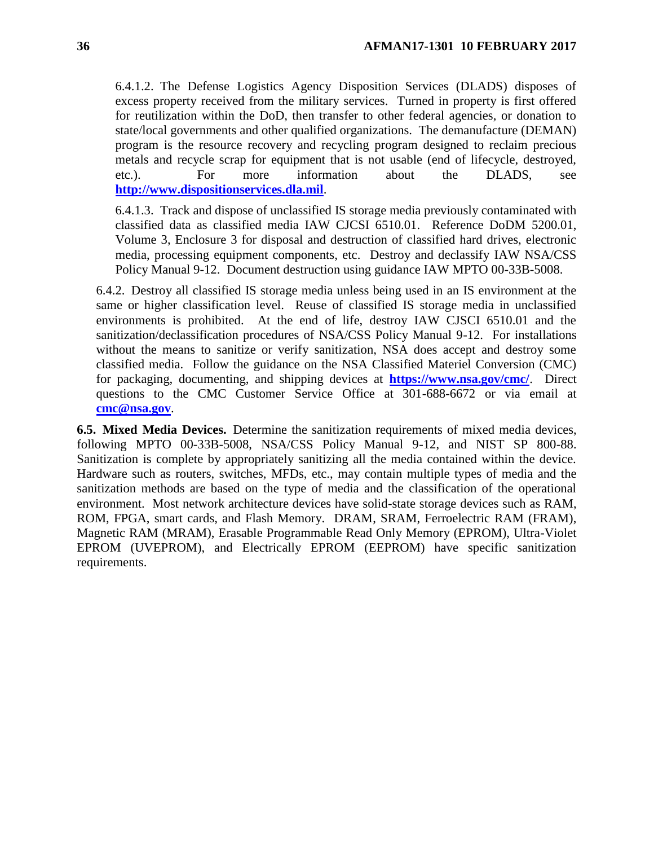6.4.1.2. The Defense Logistics Agency Disposition Services (DLADS) disposes of excess property received from the military services. Turned in property is first offered for reutilization within the DoD, then transfer to other federal agencies, or donation to state/local governments and other qualified organizations. The demanufacture (DEMAN) program is the resource recovery and recycling program designed to reclaim precious metals and recycle scrap for equipment that is not usable (end of lifecycle, destroyed, etc.). For more information about the DLADS, see **[http://www.dispositionservices.dla.mil](http://www.dispositionservices.dla.mil/)**.

6.4.1.3. Track and dispose of unclassified IS storage media previously contaminated with classified data as classified media IAW CJCSI 6510.01. Reference DoDM 5200.01, Volume 3, Enclosure 3 for disposal and destruction of classified hard drives, electronic media, processing equipment components, etc. Destroy and declassify IAW NSA/CSS Policy Manual 9-12. Document destruction using guidance IAW MPTO 00-33B-5008.

6.4.2. Destroy all classified IS storage media unless being used in an IS environment at the same or higher classification level. Reuse of classified IS storage media in unclassified environments is prohibited. At the end of life, destroy IAW CJSCI 6510.01 and the sanitization/declassification procedures of NSA/CSS Policy Manual 9-12. For installations without the means to sanitize or verify sanitization, NSA does accept and destroy some classified media. Follow the guidance on the NSA Classified Materiel Conversion (CMC) for packaging, documenting, and shipping devices at **<https://www.nsa.gov/cmc/>**. Direct questions to the CMC Customer Service Office at 301-688-6672 or via email at **[cmc@nsa.gov](mailto:cmc@nsa.gov)**.

<span id="page-35-0"></span>**6.5. Mixed Media Devices.** Determine the sanitization requirements of mixed media devices, following MPTO 00-33B-5008, NSA/CSS Policy Manual 9-12, and NIST SP 800-88. Sanitization is complete by appropriately sanitizing all the media contained within the device. Hardware such as routers, switches, MFDs, etc., may contain multiple types of media and the sanitization methods are based on the type of media and the classification of the operational environment. Most network architecture devices have solid-state storage devices such as RAM, ROM, FPGA, smart cards, and Flash Memory. DRAM, SRAM, Ferroelectric RAM (FRAM), Magnetic RAM (MRAM), Erasable Programmable Read Only Memory (EPROM), Ultra-Violet EPROM (UVEPROM), and Electrically EPROM (EEPROM) have specific sanitization requirements.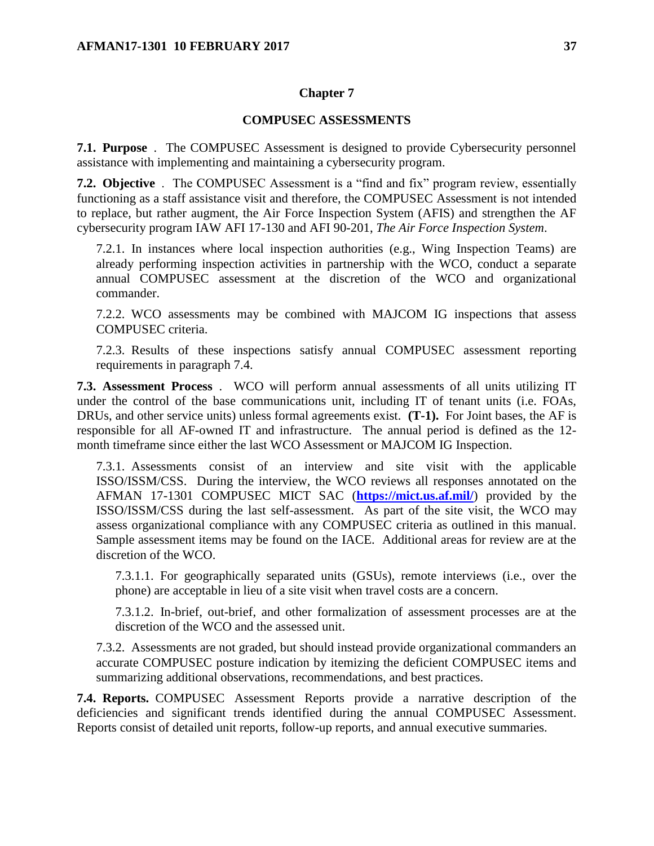#### **Chapter 7**

#### **COMPUSEC ASSESSMENTS**

<span id="page-36-1"></span><span id="page-36-0"></span>**7.1. Purpose** . The COMPUSEC Assessment is designed to provide Cybersecurity personnel assistance with implementing and maintaining a cybersecurity program.

<span id="page-36-2"></span>**7.2. Objective** . The COMPUSEC Assessment is a "find and fix" program review, essentially functioning as a staff assistance visit and therefore, the COMPUSEC Assessment is not intended to replace, but rather augment, the Air Force Inspection System (AFIS) and strengthen the AF cybersecurity program IAW AFI 17-130 and AFI 90-201, *The Air Force Inspection System*.

7.2.1. In instances where local inspection authorities (e.g., Wing Inspection Teams) are already performing inspection activities in partnership with the WCO, conduct a separate annual COMPUSEC assessment at the discretion of the WCO and organizational commander.

7.2.2. WCO assessments may be combined with MAJCOM IG inspections that assess COMPUSEC criteria.

7.2.3. Results of these inspections satisfy annual COMPUSEC assessment reporting requirements in paragraph 7.4.

<span id="page-36-3"></span>**7.3. Assessment Process** . WCO will perform annual assessments of all units utilizing IT under the control of the base communications unit, including IT of tenant units (i.e. FOAs, DRUs, and other service units) unless formal agreements exist. **(T-1).** For Joint bases, the AF is responsible for all AF-owned IT and infrastructure. The annual period is defined as the 12 month timeframe since either the last WCO Assessment or MAJCOM IG Inspection.

7.3.1. Assessments consist of an interview and site visit with the applicable ISSO/ISSM/CSS. During the interview, the WCO reviews all responses annotated on the AFMAN 17-1301 COMPUSEC MICT SAC (**<https://mict.us.af.mil/>**) provided by the ISSO/ISSM/CSS during the last self-assessment. As part of the site visit, the WCO may assess organizational compliance with any COMPUSEC criteria as outlined in this manual. Sample assessment items may be found on the IACE. Additional areas for review are at the discretion of the WCO.

7.3.1.1. For geographically separated units (GSUs), remote interviews (i.e., over the phone) are acceptable in lieu of a site visit when travel costs are a concern.

7.3.1.2. In-brief, out-brief, and other formalization of assessment processes are at the discretion of the WCO and the assessed unit.

7.3.2. Assessments are not graded, but should instead provide organizational commanders an accurate COMPUSEC posture indication by itemizing the deficient COMPUSEC items and summarizing additional observations, recommendations, and best practices.

<span id="page-36-4"></span>**7.4. Reports.** COMPUSEC Assessment Reports provide a narrative description of the deficiencies and significant trends identified during the annual COMPUSEC Assessment. Reports consist of detailed unit reports, follow-up reports, and annual executive summaries.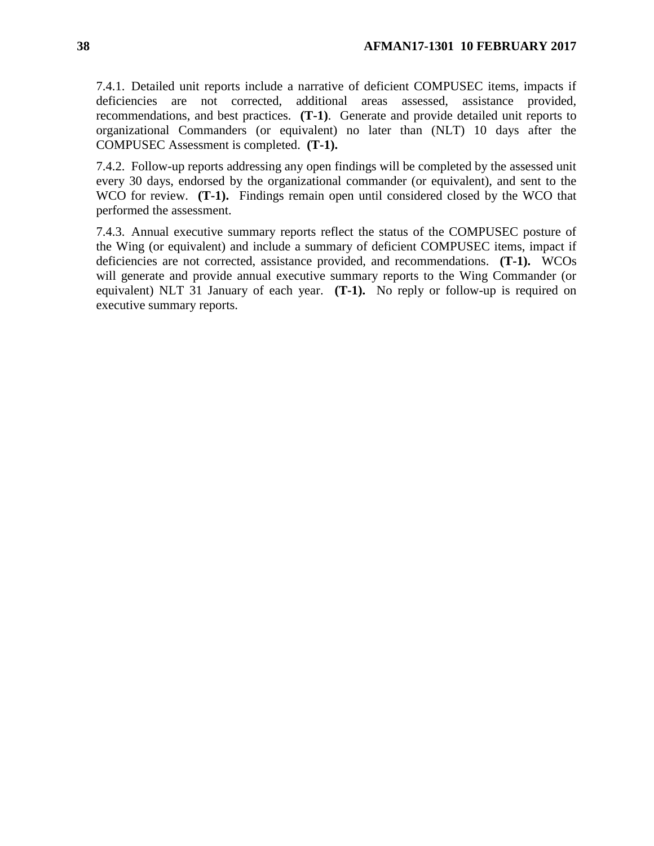7.4.1. Detailed unit reports include a narrative of deficient COMPUSEC items, impacts if deficiencies are not corrected, additional areas assessed, assistance provided, recommendations, and best practices. **(T-1)**. Generate and provide detailed unit reports to organizational Commanders (or equivalent) no later than (NLT) 10 days after the COMPUSEC Assessment is completed. **(T-1).**

7.4.2. Follow-up reports addressing any open findings will be completed by the assessed unit every 30 days, endorsed by the organizational commander (or equivalent), and sent to the WCO for review. **(T-1).** Findings remain open until considered closed by the WCO that performed the assessment.

7.4.3. Annual executive summary reports reflect the status of the COMPUSEC posture of the Wing (or equivalent) and include a summary of deficient COMPUSEC items, impact if deficiencies are not corrected, assistance provided, and recommendations. **(T-1).** WCOs will generate and provide annual executive summary reports to the Wing Commander (or equivalent) NLT 31 January of each year. **(T-1).** No reply or follow-up is required on executive summary reports.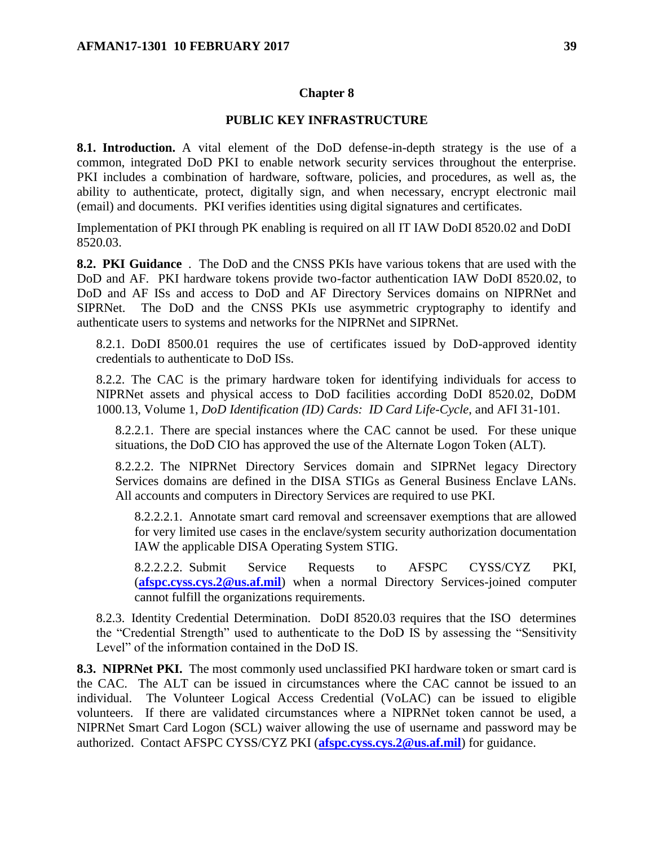#### **Chapter 8**

#### **PUBLIC KEY INFRASTRUCTURE**

<span id="page-38-1"></span><span id="page-38-0"></span>**8.1. Introduction.** A vital element of the DoD defense-in-depth strategy is the use of a common, integrated DoD PKI to enable network security services throughout the enterprise. PKI includes a combination of hardware, software, policies, and procedures, as well as, the ability to authenticate, protect, digitally sign, and when necessary, encrypt electronic mail (email) and documents. PKI verifies identities using digital signatures and certificates.

Implementation of PKI through PK enabling is required on all IT IAW DoDI 8520.02 and DoDI 8520.03.

<span id="page-38-2"></span>**8.2. PKI Guidance** . The DoD and the CNSS PKIs have various tokens that are used with the DoD and AF. PKI hardware tokens provide two-factor authentication IAW DoDI 8520.02, to DoD and AF ISs and access to DoD and AF Directory Services domains on NIPRNet and SIPRNet. The DoD and the CNSS PKIs use asymmetric cryptography to identify and authenticate users to systems and networks for the NIPRNet and SIPRNet.

8.2.1. DoDI 8500.01 requires the use of certificates issued by DoD-approved identity credentials to authenticate to DoD ISs.

8.2.2. The CAC is the primary hardware token for identifying individuals for access to NIPRNet assets and physical access to DoD facilities according DoDI 8520.02, DoDM 1000.13, Volume 1, *DoD Identification (ID) Cards: ID Card Life-Cycle*, and AFI 31-101.

8.2.2.1. There are special instances where the CAC cannot be used. For these unique situations, the DoD CIO has approved the use of the Alternate Logon Token (ALT).

8.2.2.2. The NIPRNet Directory Services domain and SIPRNet legacy Directory Services domains are defined in the DISA STIGs as General Business Enclave LANs. All accounts and computers in Directory Services are required to use PKI.

8.2.2.2.1. Annotate smart card removal and screensaver exemptions that are allowed for very limited use cases in the enclave/system security authorization documentation IAW the applicable DISA Operating System STIG.

8.2.2.2.2. Submit Service Requests to AFSPC CYSS/CYZ PKI, (**[afspc.cyss.cys.2@us.af.mil](mailto:afspc.cyss.cys.2@us.af.mil)**) when a normal Directory Services-joined computer cannot fulfill the organizations requirements.

8.2.3. Identity Credential Determination. DoDI 8520.03 requires that the ISO determines the "Credential Strength" used to authenticate to the DoD IS by assessing the "Sensitivity Level" of the information contained in the DoD IS.

<span id="page-38-3"></span>**8.3. NIPRNet PKI.** The most commonly used unclassified PKI hardware token or smart card is the CAC. The ALT can be issued in circumstances where the CAC cannot be issued to an individual. The Volunteer Logical Access Credential (VoLAC) can be issued to eligible volunteers. If there are validated circumstances where a NIPRNet token cannot be used, a NIPRNet Smart Card Logon (SCL) waiver allowing the use of username and password may be authorized. Contact AFSPC CYSS/CYZ PKI (**[afspc.cyss.cys.2@us.af.mil](mailto:afspc.cyss.cys.2@us.af.mil)**) for guidance.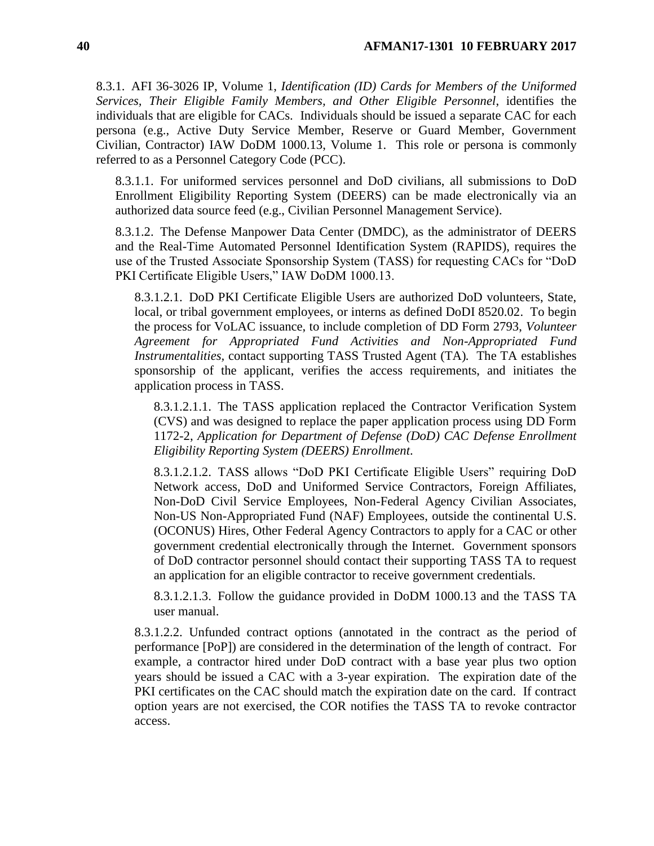8.3.1. AFI 36-3026 IP, Volume 1, *Identification (ID) Cards for Members of the Uniformed Services, Their Eligible Family Members, and Other Eligible Personnel*, identifies the individuals that are eligible for CACs. Individuals should be issued a separate CAC for each persona (e.g., Active Duty Service Member, Reserve or Guard Member, Government Civilian, Contractor) IAW DoDM 1000.13, Volume 1. This role or persona is commonly referred to as a Personnel Category Code (PCC).

8.3.1.1. For uniformed services personnel and DoD civilians, all submissions to DoD Enrollment Eligibility Reporting System (DEERS) can be made electronically via an authorized data source feed (e.g., Civilian Personnel Management Service).

8.3.1.2. The Defense Manpower Data Center (DMDC), as the administrator of DEERS and the Real-Time Automated Personnel Identification System (RAPIDS), requires the use of the Trusted Associate Sponsorship System (TASS) for requesting CACs for "DoD PKI Certificate Eligible Users," IAW DoDM 1000.13.

8.3.1.2.1. DoD PKI Certificate Eligible Users are authorized DoD volunteers, State, local, or tribal government employees, or interns as defined DoDI 8520.02. To begin the process for VoLAC issuance, to include completion of DD Form 2793, *Volunteer Agreement for Appropriated Fund Activities and Non-Appropriated Fund Instrumentalities,* contact supporting TASS Trusted Agent (TA)*.* The TA establishes sponsorship of the applicant, verifies the access requirements, and initiates the application process in TASS.

8.3.1.2.1.1. The TASS application replaced the Contractor Verification System (CVS) and was designed to replace the paper application process using DD Form 1172-2, *Application for Department of Defense (DoD) CAC Defense Enrollment Eligibility Reporting System (DEERS) Enrollment*.

8.3.1.2.1.2. TASS allows "DoD PKI Certificate Eligible Users" requiring DoD Network access, DoD and Uniformed Service Contractors, Foreign Affiliates, Non-DoD Civil Service Employees, Non-Federal Agency Civilian Associates, Non-US Non-Appropriated Fund (NAF) Employees, outside the continental U.S. (OCONUS) Hires, Other Federal Agency Contractors to apply for a CAC or other government credential electronically through the Internet. Government sponsors of DoD contractor personnel should contact their supporting TASS TA to request an application for an eligible contractor to receive government credentials.

8.3.1.2.1.3. Follow the guidance provided in DoDM 1000.13 and the TASS TA user manual.

8.3.1.2.2. Unfunded contract options (annotated in the contract as the period of performance [PoP]) are considered in the determination of the length of contract. For example, a contractor hired under DoD contract with a base year plus two option years should be issued a CAC with a 3-year expiration. The expiration date of the PKI certificates on the CAC should match the expiration date on the card. If contract option years are not exercised, the COR notifies the TASS TA to revoke contractor access.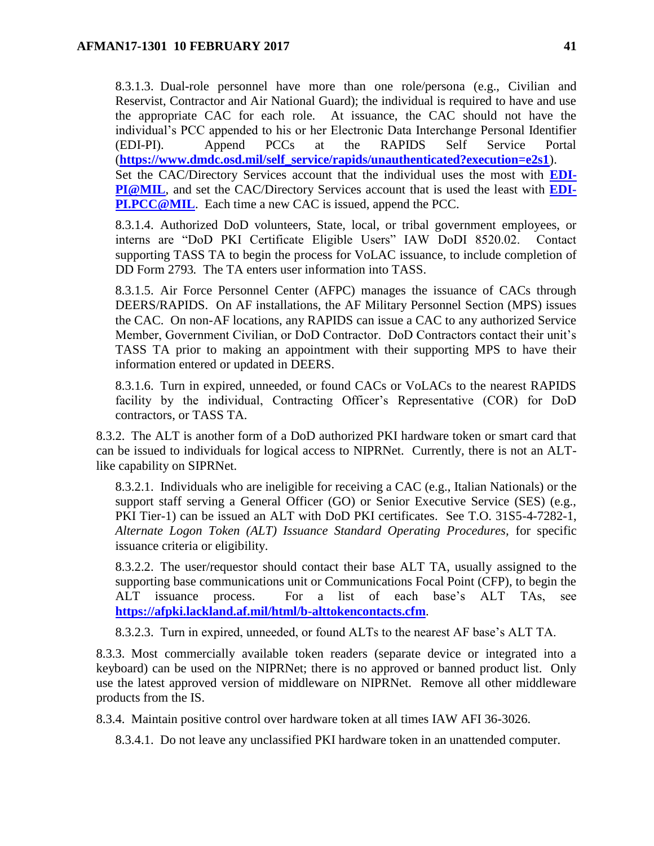8.3.1.3. Dual-role personnel have more than one role/persona (e.g., Civilian and Reservist, Contractor and Air National Guard); the individual is required to have and use the appropriate CAC for each role. At issuance, the CAC should not have the individual's PCC appended to his or her Electronic Data Interchange Personal Identifier (EDI-PI). Append PCCs at the RAPIDS Self Service Portal (**[https://www.dmdc.osd.mil/self\\_service/rapids/unauthenticated?execution=e2s1](https://www.dmdc.osd.mil/self_service/rapids/unauthenticated?execution=e2s1)**). Set the CAC/Directory Services account that the individual uses the most with **[EDI-](mailto:EDI-PI@MIL)[PI@MIL](mailto:EDI-PI@MIL)**, and set the CAC/Directory Services account that is used the least with **[EDI-](mailto:EDI-PI.PCC@MIL)[PI.PCC@MIL](mailto:EDI-PI.PCC@MIL).** Each time a new CAC is issued, append the PCC.

8.3.1.4. Authorized DoD volunteers, State, local, or tribal government employees, or interns are "DoD PKI Certificate Eligible Users" IAW DoDI 8520.02. Contact supporting TASS TA to begin the process for VoLAC issuance, to include completion of DD Form 2793*.* The TA enters user information into TASS.

8.3.1.5. Air Force Personnel Center (AFPC) manages the issuance of CACs through DEERS/RAPIDS. On AF installations, the AF Military Personnel Section (MPS) issues the CAC. On non-AF locations, any RAPIDS can issue a CAC to any authorized Service Member, Government Civilian, or DoD Contractor. DoD Contractors contact their unit's TASS TA prior to making an appointment with their supporting MPS to have their information entered or updated in DEERS.

8.3.1.6. Turn in expired, unneeded, or found CACs or VoLACs to the nearest RAPIDS facility by the individual, Contracting Officer's Representative (COR) for DoD contractors, or TASS TA.

8.3.2. The ALT is another form of a DoD authorized PKI hardware token or smart card that can be issued to individuals for logical access to NIPRNet. Currently, there is not an ALTlike capability on SIPRNet.

8.3.2.1. Individuals who are ineligible for receiving a CAC (e.g., Italian Nationals) or the support staff serving a General Officer (GO) or Senior Executive Service (SES) (e.g., PKI Tier-1) can be issued an ALT with DoD PKI certificates. See T.O. 31S5-4-7282-1, *Alternate Logon Token (ALT) Issuance Standard Operating Procedures,* for specific issuance criteria or eligibility.

8.3.2.2. The user/requestor should contact their base ALT TA, usually assigned to the supporting base communications unit or Communications Focal Point (CFP), to begin the ALT issuance process. For a list of each base's ALT TAs, see **<https://afpki.lackland.af.mil/html/b-alttokencontacts.cfm>**.

8.3.2.3. Turn in expired, unneeded, or found ALTs to the nearest AF base's ALT TA.

8.3.3. Most commercially available token readers (separate device or integrated into a keyboard) can be used on the NIPRNet; there is no approved or banned product list. Only use the latest approved version of middleware on NIPRNet. Remove all other middleware products from the IS.

8.3.4. Maintain positive control over hardware token at all times IAW AFI 36-3026.

8.3.4.1. Do not leave any unclassified PKI hardware token in an unattended computer.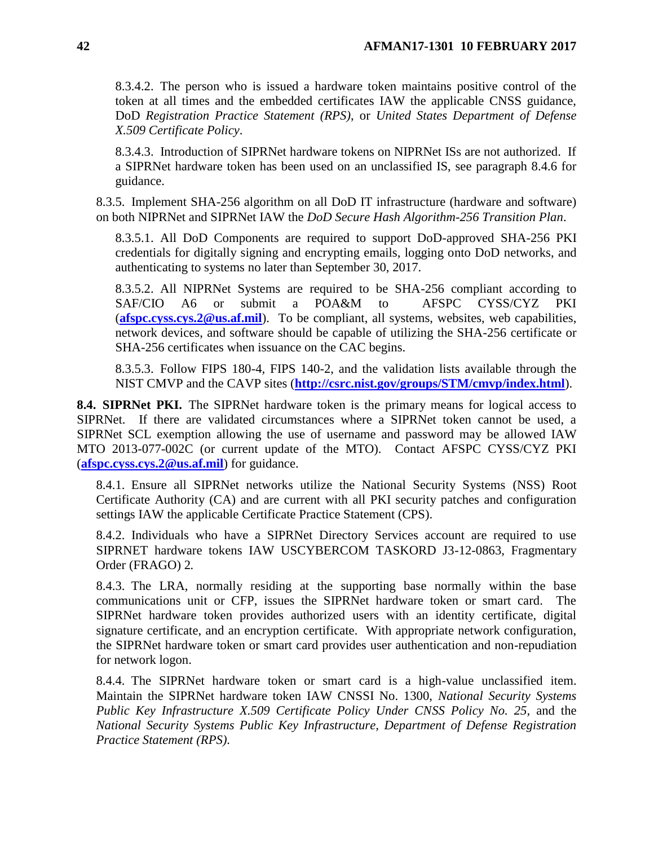8.3.4.2. The person who is issued a hardware token maintains positive control of the token at all times and the embedded certificates IAW the applicable CNSS guidance, DoD *Registration Practice Statement (RPS)*, or *United States Department of Defense X.509 Certificate Policy*.

8.3.4.3. Introduction of SIPRNet hardware tokens on NIPRNet ISs are not authorized. If a SIPRNet hardware token has been used on an unclassified IS, see paragraph 8.4.6 for guidance.

8.3.5. Implement SHA-256 algorithm on all DoD IT infrastructure (hardware and software) on both NIPRNet and SIPRNet IAW the *DoD Secure Hash Algorithm-256 Transition Plan*.

8.3.5.1. All DoD Components are required to support DoD-approved SHA-256 PKI credentials for digitally signing and encrypting emails, logging onto DoD networks, and authenticating to systems no later than September 30, 2017.

8.3.5.2. All NIPRNet Systems are required to be SHA-256 compliant according to SAF/CIO A6 or submit a POA&M to AFSPC CYSS/CYZ PKI (**[afspc.cyss.cys.2@us.af.mil](mailto:afspc.cyss.cys.2@us.af.mil)**). To be compliant, all systems, websites, web capabilities, network devices, and software should be capable of utilizing the SHA-256 certificate or SHA-256 certificates when issuance on the CAC begins.

8.3.5.3. Follow FIPS 180-4*,* FIPS 140-2, and the validation lists available through the NIST CMVP and the CAVP sites (**<http://csrc.nist.gov/groups/STM/cmvp/index.html>**).

<span id="page-41-0"></span>**8.4. SIPRNet PKI.** The SIPRNet hardware token is the primary means for logical access to SIPRNet. If there are validated circumstances where a SIPRNet token cannot be used, a SIPRNet SCL exemption allowing the use of username and password may be allowed IAW MTO 2013-077-002C (or current update of the MTO). Contact AFSPC CYSS/CYZ PKI (**[afspc.cyss.cys.2@us.af.mil](mailto:afspc.cyss.cys.2@us.af.mil)**) for guidance.

8.4.1. Ensure all SIPRNet networks utilize the National Security Systems (NSS) Root Certificate Authority (CA) and are current with all PKI security patches and configuration settings IAW the applicable Certificate Practice Statement (CPS).

8.4.2. Individuals who have a SIPRNet Directory Services account are required to use SIPRNET hardware tokens IAW USCYBERCOM TASKORD J3-12-0863, Fragmentary Order (FRAGO) 2*.*

8.4.3. The LRA, normally residing at the supporting base normally within the base communications unit or CFP, issues the SIPRNet hardware token or smart card. The SIPRNet hardware token provides authorized users with an identity certificate, digital signature certificate, and an encryption certificate. With appropriate network configuration, the SIPRNet hardware token or smart card provides user authentication and non-repudiation for network logon.

8.4.4. The SIPRNet hardware token or smart card is a high-value unclassified item. Maintain the SIPRNet hardware token IAW CNSSI No. 1300, *National Security Systems Public Key Infrastructure X.509 Certificate Policy Under CNSS Policy No. 25,* and the *National Security Systems Public Key Infrastructure, Department of Defense Registration Practice Statement (RPS).*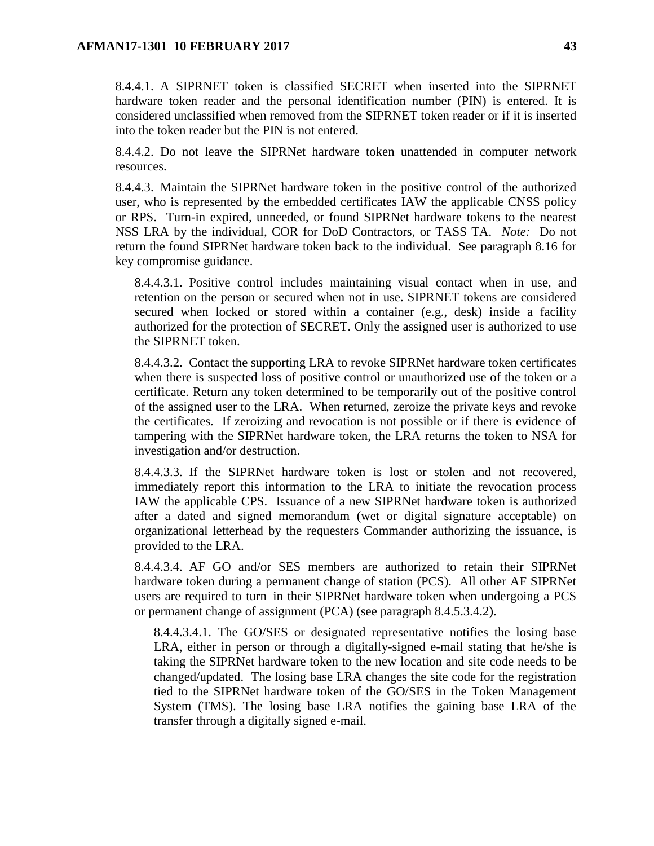8.4.4.1. A SIPRNET token is classified SECRET when inserted into the SIPRNET hardware token reader and the personal identification number (PIN) is entered. It is considered unclassified when removed from the SIPRNET token reader or if it is inserted into the token reader but the PIN is not entered.

8.4.4.2. Do not leave the SIPRNet hardware token unattended in computer network resources.

8.4.4.3. Maintain the SIPRNet hardware token in the positive control of the authorized user, who is represented by the embedded certificates IAW the applicable CNSS policy or RPS. Turn-in expired, unneeded, or found SIPRNet hardware tokens to the nearest NSS LRA by the individual, COR for DoD Contractors, or TASS TA. *Note:* Do not return the found SIPRNet hardware token back to the individual. See paragraph 8.16 for key compromise guidance.

8.4.4.3.1. Positive control includes maintaining visual contact when in use, and retention on the person or secured when not in use. SIPRNET tokens are considered secured when locked or stored within a container (e.g., desk) inside a facility authorized for the protection of SECRET. Only the assigned user is authorized to use the SIPRNET token.

8.4.4.3.2. Contact the supporting LRA to revoke SIPRNet hardware token certificates when there is suspected loss of positive control or unauthorized use of the token or a certificate. Return any token determined to be temporarily out of the positive control of the assigned user to the LRA. When returned, zeroize the private keys and revoke the certificates. If zeroizing and revocation is not possible or if there is evidence of tampering with the SIPRNet hardware token, the LRA returns the token to NSA for investigation and/or destruction.

8.4.4.3.3. If the SIPRNet hardware token is lost or stolen and not recovered, immediately report this information to the LRA to initiate the revocation process IAW the applicable CPS. Issuance of a new SIPRNet hardware token is authorized after a dated and signed memorandum (wet or digital signature acceptable) on organizational letterhead by the requesters Commander authorizing the issuance, is provided to the LRA.

8.4.4.3.4. AF GO and/or SES members are authorized to retain their SIPRNet hardware token during a permanent change of station (PCS). All other AF SIPRNet users are required to turn–in their SIPRNet hardware token when undergoing a PCS or permanent change of assignment (PCA) (see paragraph 8.4.5.3.4.2).

8.4.4.3.4.1. The GO/SES or designated representative notifies the losing base LRA, either in person or through a digitally-signed e-mail stating that he/she is taking the SIPRNet hardware token to the new location and site code needs to be changed/updated. The losing base LRA changes the site code for the registration tied to the SIPRNet hardware token of the GO/SES in the Token Management System (TMS). The losing base LRA notifies the gaining base LRA of the transfer through a digitally signed e-mail.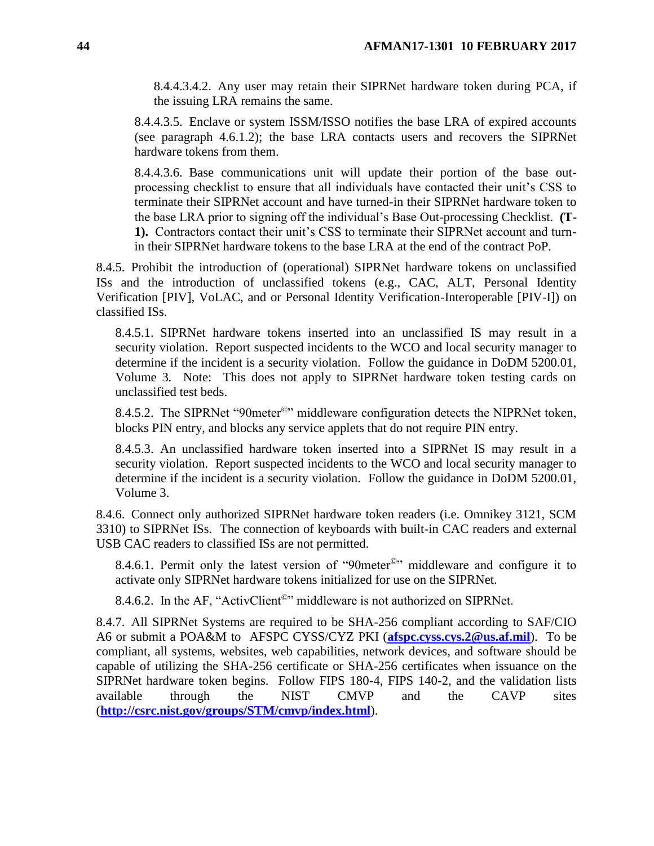8.4.4.3.4.2. Any user may retain their SIPRNet hardware token during PCA, if the issuing LRA remains the same.

8.4.4.3.5. Enclave or system ISSM/ISSO notifies the base LRA of expired accounts (see paragraph 4.6.1.2); the base LRA contacts users and recovers the SIPRNet hardware tokens from them.

8.4.4.3.6. Base communications unit will update their portion of the base outprocessing checklist to ensure that all individuals have contacted their unit's CSS to terminate their SIPRNet account and have turned-in their SIPRNet hardware token to the base LRA prior to signing off the individual's Base Out-processing Checklist. **(T-1).** Contractors contact their unit's CSS to terminate their SIPRNet account and turnin their SIPRNet hardware tokens to the base LRA at the end of the contract PoP.

8.4.5. Prohibit the introduction of (operational) SIPRNet hardware tokens on unclassified ISs and the introduction of unclassified tokens (e.g., CAC, ALT, Personal Identity Verification [PIV], VoLAC, and or Personal Identity Verification-Interoperable [PIV-I]) on classified ISs.

8.4.5.1. SIPRNet hardware tokens inserted into an unclassified IS may result in a security violation. Report suspected incidents to the WCO and local security manager to determine if the incident is a security violation. Follow the guidance in DoDM 5200.01, Volume 3*.* Note: This does not apply to SIPRNet hardware token testing cards on unclassified test beds.

8.4.5.2. The SIPRNet "90 meter<sup>©</sup>" middleware configuration detects the NIPRNet token, blocks PIN entry, and blocks any service applets that do not require PIN entry.

8.4.5.3. An unclassified hardware token inserted into a SIPRNet IS may result in a security violation. Report suspected incidents to the WCO and local security manager to determine if the incident is a security violation. Follow the guidance in DoDM 5200.01, Volume 3.

8.4.6. Connect only authorized SIPRNet hardware token readers (i.e. Omnikey 3121, SCM 3310) to SIPRNet ISs. The connection of keyboards with built-in CAC readers and external USB CAC readers to classified ISs are not permitted.

8.4.6.1. Permit only the latest version of "90meter©" middleware and configure it to activate only SIPRNet hardware tokens initialized for use on the SIPRNet.

8.4.6.2. In the AF, "ActivClient<sup>©</sup>" middleware is not authorized on SIPRNet.

<span id="page-43-0"></span>8.4.7. All SIPRNet Systems are required to be SHA-256 compliant according to SAF/CIO A6 or submit a POA&M to AFSPC CYSS/CYZ PKI (**[afspc.cyss.cys.2@us.af.mil](mailto:afspc.cyss.cys.2@us.af.mil)**). To be compliant, all systems, websites, web capabilities, network devices, and software should be capable of utilizing the SHA-256 certificate or SHA-256 certificates when issuance on the SIPRNet hardware token begins. Follow FIPS 180-4, FIPS 140-2, and the validation lists available through the NIST CMVP and the CAVP sites (**<http://csrc.nist.gov/groups/STM/cmvp/index.html>**).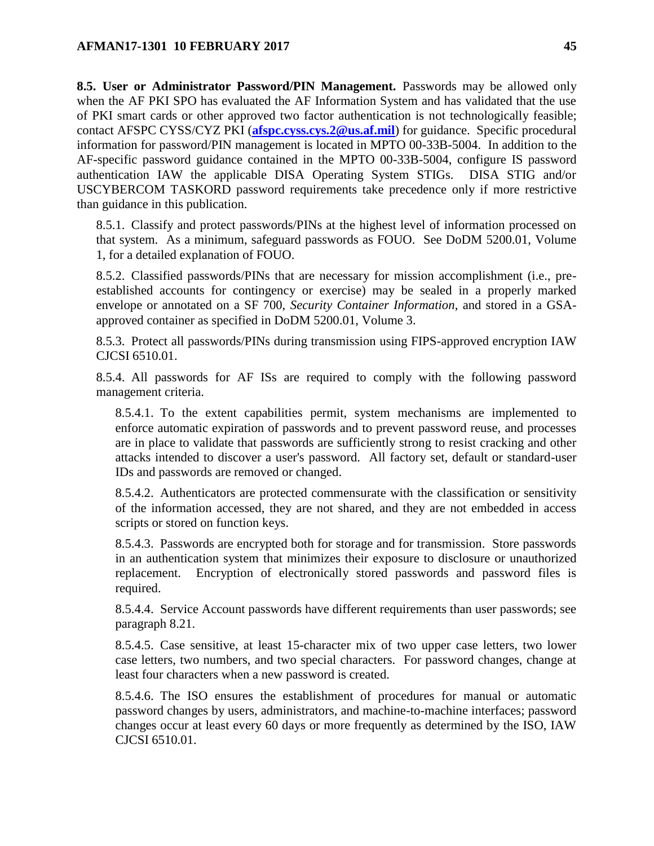**8.5. User or Administrator Password/PIN Management.** Passwords may be allowed only when the AF PKI SPO has evaluated the AF Information System and has validated that the use of PKI smart cards or other approved two factor authentication is not technologically feasible; contact AFSPC CYSS/CYZ PKI (**[afspc.cyss.cys.2@us.af.mil](mailto:afspc.cyss.cys.2@us.af.mil)**) for guidance. Specific procedural information for password/PIN management is located in MPTO 00-33B-5004. In addition to the AF-specific password guidance contained in the MPTO 00-33B-5004, configure IS password authentication IAW the applicable DISA Operating System STIGs. DISA STIG and/or USCYBERCOM TASKORD password requirements take precedence only if more restrictive than guidance in this publication.

8.5.1. Classify and protect passwords/PINs at the highest level of information processed on that system. As a minimum, safeguard passwords as FOUO. See DoDM 5200.01, Volume 1, for a detailed explanation of FOUO.

8.5.2. Classified passwords/PINs that are necessary for mission accomplishment (i.e., preestablished accounts for contingency or exercise) may be sealed in a properly marked envelope or annotated on a SF 700, *Security Container Information*, and stored in a GSAapproved container as specified in DoDM 5200.01, Volume 3.

8.5.3. Protect all passwords/PINs during transmission using FIPS-approved encryption IAW CJCSI 6510.01.

8.5.4. All passwords for AF ISs are required to comply with the following password management criteria.

8.5.4.1. To the extent capabilities permit, system mechanisms are implemented to enforce automatic expiration of passwords and to prevent password reuse, and processes are in place to validate that passwords are sufficiently strong to resist cracking and other attacks intended to discover a user's password. All factory set, default or standard-user IDs and passwords are removed or changed.

8.5.4.2. Authenticators are protected commensurate with the classification or sensitivity of the information accessed, they are not shared, and they are not embedded in access scripts or stored on function keys.

8.5.4.3. Passwords are encrypted both for storage and for transmission. Store passwords in an authentication system that minimizes their exposure to disclosure or unauthorized replacement. Encryption of electronically stored passwords and password files is required.

8.5.4.4. Service Account passwords have different requirements than user passwords; see paragraph 8.21.

8.5.4.5. Case sensitive, at least 15-character mix of two upper case letters, two lower case letters, two numbers, and two special characters. For password changes, change at least four characters when a new password is created.

8.5.4.6. The ISO ensures the establishment of procedures for manual or automatic password changes by users, administrators, and machine-to-machine interfaces; password changes occur at least every 60 days or more frequently as determined by the ISO, IAW CJCSI 6510.01.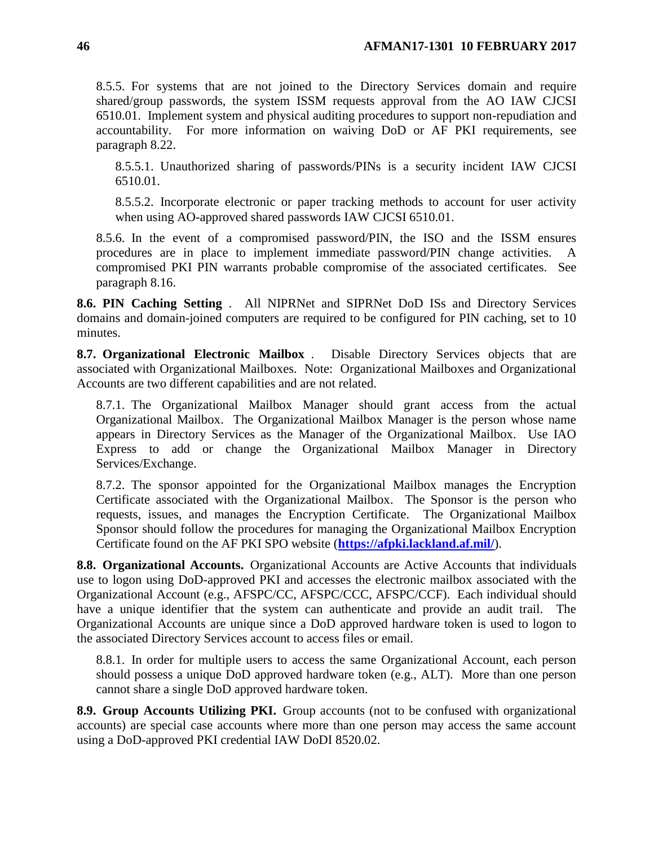8.5.5. For systems that are not joined to the Directory Services domain and require shared/group passwords, the system ISSM requests approval from the AO IAW CJCSI 6510.01. Implement system and physical auditing procedures to support non-repudiation and accountability. For more information on waiving DoD or AF PKI requirements, see paragraph 8.22.

8.5.5.1. Unauthorized sharing of passwords/PINs is a security incident IAW CJCSI 6510.01.

8.5.5.2. Incorporate electronic or paper tracking methods to account for user activity when using AO-approved shared passwords IAW CJCSI 6510.01.

8.5.6. In the event of a compromised password/PIN, the ISO and the ISSM ensures procedures are in place to implement immediate password/PIN change activities. A compromised PKI PIN warrants probable compromise of the associated certificates. See paragraph 8.16.

<span id="page-45-0"></span>**8.6. PIN Caching Setting** . All NIPRNet and SIPRNet DoD ISs and Directory Services domains and domain-joined computers are required to be configured for PIN caching, set to 10 minutes.

<span id="page-45-1"></span>**8.7. Organizational Electronic Mailbox** . Disable Directory Services objects that are associated with Organizational Mailboxes. Note: Organizational Mailboxes and Organizational Accounts are two different capabilities and are not related.

8.7.1. The Organizational Mailbox Manager should grant access from the actual Organizational Mailbox. The Organizational Mailbox Manager is the person whose name appears in Directory Services as the Manager of the Organizational Mailbox. Use IAO Express to add or change the Organizational Mailbox Manager in Directory Services/Exchange.

8.7.2. The sponsor appointed for the Organizational Mailbox manages the Encryption Certificate associated with the Organizational Mailbox. The Sponsor is the person who requests, issues, and manages the Encryption Certificate. The Organizational Mailbox Sponsor should follow the procedures for managing the Organizational Mailbox Encryption Certificate found on the AF PKI SPO website (**<https://afpki.lackland.af.mil/>**).

<span id="page-45-2"></span>**8.8. Organizational Accounts.** Organizational Accounts are Active Accounts that individuals use to logon using DoD-approved PKI and accesses the electronic mailbox associated with the Organizational Account (e.g., AFSPC/CC, AFSPC/CCC, AFSPC/CCF). Each individual should have a unique identifier that the system can authenticate and provide an audit trail. The Organizational Accounts are unique since a DoD approved hardware token is used to logon to the associated Directory Services account to access files or email.

8.8.1. In order for multiple users to access the same Organizational Account, each person should possess a unique DoD approved hardware token (e.g., ALT). More than one person cannot share a single DoD approved hardware token.

<span id="page-45-3"></span>**8.9. Group Accounts Utilizing PKI.** Group accounts (not to be confused with organizational accounts) are special case accounts where more than one person may access the same account using a DoD-approved PKI credential IAW DoDI 8520.02.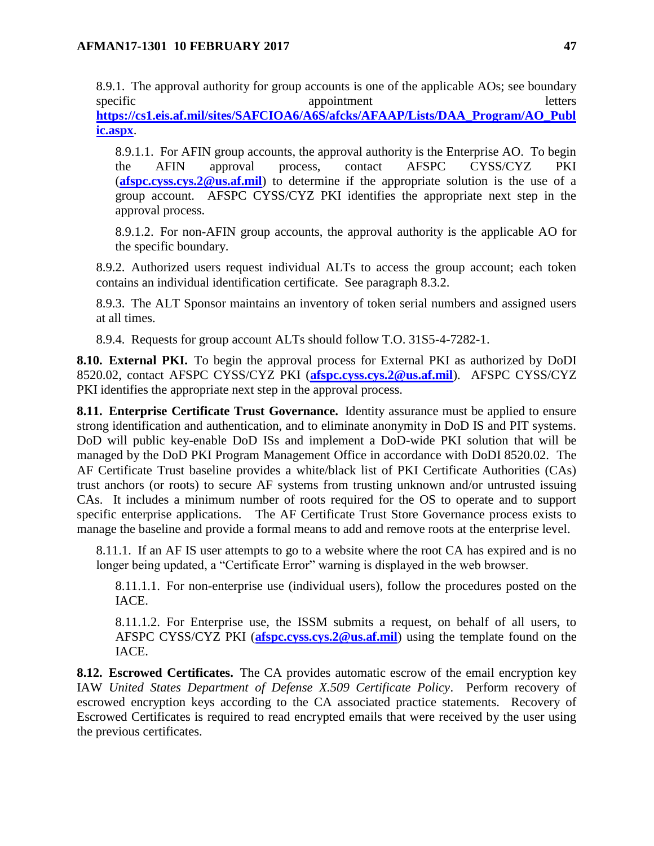8.9.1. The approval authority for group accounts is one of the applicable AOs; see boundary specific appointment appointment letters **[https://cs1.eis.af.mil/sites/SAFCIOA6/A6S/afcks/AFAAP/Lists/DAA\\_Program/AO\\_Publ](https://cs1.eis.af.mil/sites/SAFCIOA6/A6S/afcks/AFAAP/Lists/DAA_Program/AO_Public.aspx) [ic.aspx](https://cs1.eis.af.mil/sites/SAFCIOA6/A6S/afcks/AFAAP/Lists/DAA_Program/AO_Public.aspx)**.

8.9.1.1. For AFIN group accounts, the approval authority is the Enterprise AO. To begin the AFIN approval process, contact AFSPC CYSS/CYZ PKI (**[afspc.cyss.cys.2@us.af.mil](mailto:afspc.cyss.cys.2@us.af.mil)**) to determine if the appropriate solution is the use of a group account. AFSPC CYSS/CYZ PKI identifies the appropriate next step in the approval process.

8.9.1.2. For non-AFIN group accounts, the approval authority is the applicable AO for the specific boundary.

8.9.2. Authorized users request individual ALTs to access the group account; each token contains an individual identification certificate. See paragraph 8.3.2.

8.9.3. The ALT Sponsor maintains an inventory of token serial numbers and assigned users at all times.

8.9.4. Requests for group account ALTs should follow T.O. 31S5-4-7282-1.

<span id="page-46-0"></span>**8.10. External PKI.** To begin the approval process for External PKI as authorized by DoDI 8520.02, contact AFSPC CYSS/CYZ PKI (**[afspc.cyss.cys.2@us.af.mil](mailto:afspc.cyss.cys.2@us.af.mil)**). AFSPC CYSS/CYZ PKI identifies the appropriate next step in the approval process.

<span id="page-46-1"></span>**8.11. Enterprise Certificate Trust Governance.** Identity assurance must be applied to ensure strong identification and authentication, and to eliminate anonymity in DoD IS and PIT systems. DoD will public key-enable DoD ISs and implement a DoD-wide PKI solution that will be managed by the DoD PKI Program Management Office in accordance with DoDI 8520.02. The AF Certificate Trust baseline provides a white/black list of PKI Certificate Authorities (CAs) trust anchors (or roots) to secure AF systems from trusting unknown and/or untrusted issuing CAs. It includes a minimum number of roots required for the OS to operate and to support specific enterprise applications. The AF Certificate Trust Store Governance process exists to manage the baseline and provide a formal means to add and remove roots at the enterprise level.

8.11.1. If an AF IS user attempts to go to a website where the root CA has expired and is no longer being updated, a "Certificate Error" warning is displayed in the web browser.

8.11.1.1. For non-enterprise use (individual users), follow the procedures posted on the IACE.

8.11.1.2. For Enterprise use, the ISSM submits a request, on behalf of all users, to AFSPC CYSS/CYZ PKI (**[afspc.cyss.cys.2@us.af.mil](mailto:afspc.cyss.cys.2@us.af.mil)**) using the template found on the IACE.

<span id="page-46-2"></span>**8.12. Escrowed Certificates.** The CA provides automatic escrow of the email encryption key IAW *United States Department of Defense X.509 Certificate Policy*. Perform recovery of escrowed encryption keys according to the CA associated practice statements. Recovery of Escrowed Certificates is required to read encrypted emails that were received by the user using the previous certificates.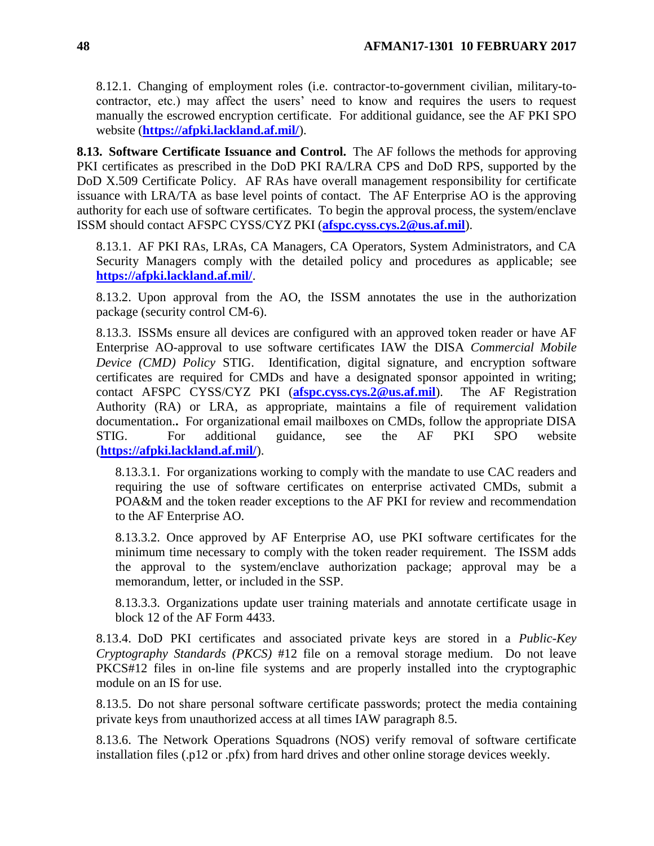8.12.1. Changing of employment roles (i.e. contractor-to-government civilian, military-tocontractor, etc.) may affect the users' need to know and requires the users to request manually the escrowed encryption certificate. For additional guidance, see the AF PKI SPO website (**<https://afpki.lackland.af.mil/>**).

<span id="page-47-0"></span>**8.13. Software Certificate Issuance and Control.** The AF follows the methods for approving PKI certificates as prescribed in the DoD PKI RA/LRA CPS and DoD RPS, supported by the DoD X.509 Certificate Policy. AF RAs have overall management responsibility for certificate issuance with LRA/TA as base level points of contact. The AF Enterprise AO is the approving authority for each use of software certificates. To begin the approval process, the system/enclave ISSM should contact AFSPC CYSS/CYZ PKI (**[afspc.cyss.cys.2@us.af.mil](mailto:afspc.cyss.cys.2@us.af.mil)**).

8.13.1. AF PKI RAs, LRAs, CA Managers, CA Operators, System Administrators, and CA Security Managers comply with the detailed policy and procedures as applicable; see **<https://afpki.lackland.af.mil/>**.

8.13.2. Upon approval from the AO, the ISSM annotates the use in the authorization package (security control CM-6).

8.13.3. ISSMs ensure all devices are configured with an approved token reader or have AF Enterprise AO-approval to use software certificates IAW the DISA *Commercial Mobile Device (CMD) Policy* STIG. Identification, digital signature, and encryption software certificates are required for CMDs and have a designated sponsor appointed in writing; contact AFSPC CYSS/CYZ PKI (**[afspc.cyss.cys.2@us.af.mil](mailto:afspc.cyss.cys.2@us.af.mil)**). The AF Registration Authority (RA) or LRA, as appropriate, maintains a file of requirement validation documentation.**.** For organizational email mailboxes on CMDs, follow the appropriate DISA STIG. For additional guidance, see the AF PKI SPO website (**<https://afpki.lackland.af.mil/>**).

8.13.3.1. For organizations working to comply with the mandate to use CAC readers and requiring the use of software certificates on enterprise activated CMDs, submit a POA&M and the token reader exceptions to the AF PKI for review and recommendation to the AF Enterprise AO.

8.13.3.2. Once approved by AF Enterprise AO, use PKI software certificates for the minimum time necessary to comply with the token reader requirement. The ISSM adds the approval to the system/enclave authorization package; approval may be a memorandum, letter, or included in the SSP.

8.13.3.3. Organizations update user training materials and annotate certificate usage in block 12 of the AF Form 4433.

8.13.4. DoD PKI certificates and associated private keys are stored in a *Public-Key Cryptography Standards (PKCS)* #12 file on a removal storage medium. Do not leave PKCS#12 files in on-line file systems and are properly installed into the cryptographic module on an IS for use.

8.13.5. Do not share personal software certificate passwords; protect the media containing private keys from unauthorized access at all times IAW paragraph 8.5.

8.13.6. The Network Operations Squadrons (NOS) verify removal of software certificate installation files (.p12 or .pfx) from hard drives and other online storage devices weekly.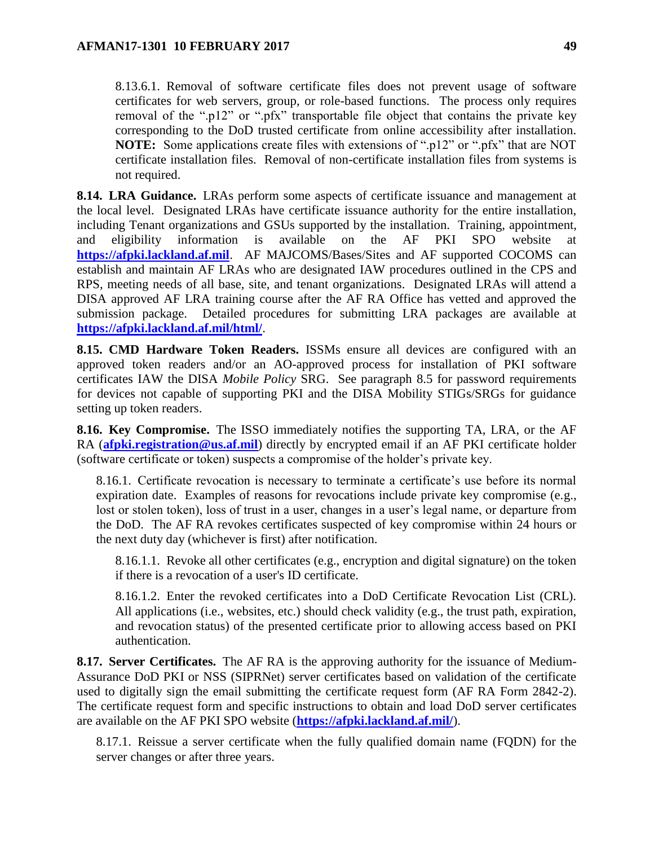8.13.6.1. Removal of software certificate files does not prevent usage of software certificates for web servers, group, or role-based functions. The process only requires removal of the ".p12" or ".pfx" transportable file object that contains the private key corresponding to the DoD trusted certificate from online accessibility after installation. **NOTE:** Some applications create files with extensions of ".p12" or ".pfx" that are NOT certificate installation files. Removal of non-certificate installation files from systems is not required.

<span id="page-48-0"></span>**8.14. LRA Guidance.** LRAs perform some aspects of certificate issuance and management at the local level. Designated LRAs have certificate issuance authority for the entire installation, including Tenant organizations and GSUs supported by the installation. Training, appointment, and eligibility information is available on the AF PKI SPO website at **[https://afpki.lackland.af.mil](https://afpki.lackland.af.mil/)**. AF MAJCOMS/Bases/Sites and AF supported COCOMS can establish and maintain AF LRAs who are designated IAW procedures outlined in the CPS and RPS, meeting needs of all base, site, and tenant organizations. Designated LRAs will attend a DISA approved AF LRA training course after the AF RA Office has vetted and approved the submission package. Detailed procedures for submitting LRA packages are available at **<https://afpki.lackland.af.mil/html/>**.

<span id="page-48-1"></span>**8.15. CMD Hardware Token Readers.** ISSMs ensure all devices are configured with an approved token readers and/or an AO-approved process for installation of PKI software certificates IAW the DISA *Mobile Policy* SRG. See paragraph 8.5 for password requirements for devices not capable of supporting PKI and the DISA Mobility STIGs/SRGs for guidance setting up token readers.

<span id="page-48-2"></span>**8.16. Key Compromise.** The ISSO immediately notifies the supporting TA, LRA, or the AF RA (**[afpki.registration@us.af.mil](mailto:afpki.registration@us.af.mil)**) directly by encrypted email if an AF PKI certificate holder (software certificate or token) suspects a compromise of the holder's private key.

8.16.1. Certificate revocation is necessary to terminate a certificate's use before its normal expiration date. Examples of reasons for revocations include private key compromise (e.g., lost or stolen token), loss of trust in a user, changes in a user's legal name, or departure from the DoD. The AF RA revokes certificates suspected of key compromise within 24 hours or the next duty day (whichever is first) after notification.

8.16.1.1. Revoke all other certificates (e.g., encryption and digital signature) on the token if there is a revocation of a user's ID certificate.

8.16.1.2. Enter the revoked certificates into a DoD Certificate Revocation List (CRL). All applications (i.e., websites, etc.) should check validity (e.g., the trust path, expiration, and revocation status) of the presented certificate prior to allowing access based on PKI authentication.

<span id="page-48-3"></span>**8.17. Server Certificates.** The AF RA is the approving authority for the issuance of Medium-Assurance DoD PKI or NSS (SIPRNet) server certificates based on validation of the certificate used to digitally sign the email submitting the certificate request form (AF RA Form 2842-2). The certificate request form and specific instructions to obtain and load DoD server certificates are available on the AF PKI SPO website (**<https://afpki.lackland.af.mil/>**).

8.17.1. Reissue a server certificate when the fully qualified domain name (FQDN) for the server changes or after three years.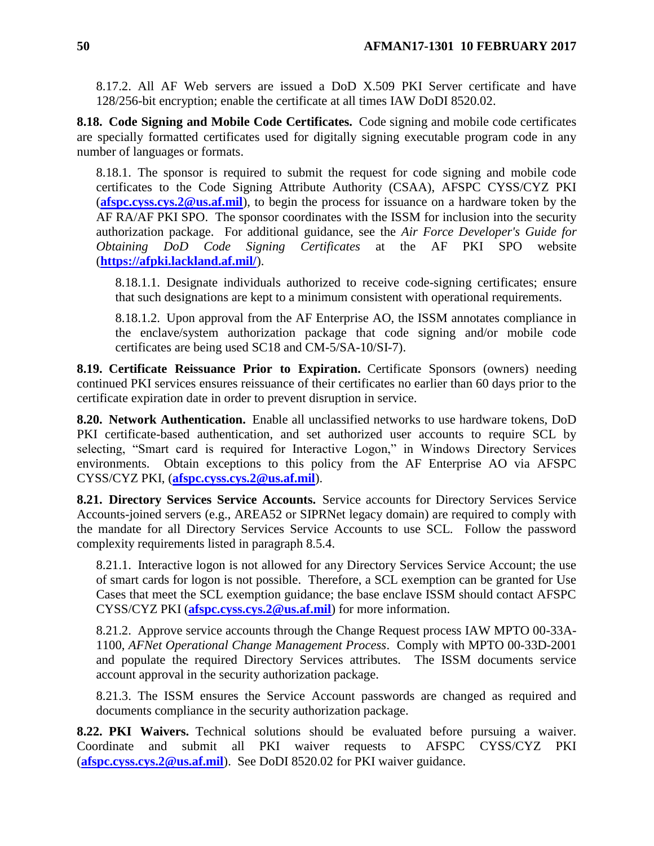8.17.2. All AF Web servers are issued a DoD X.509 PKI Server certificate and have 128/256-bit encryption; enable the certificate at all times IAW DoDI 8520.02.

<span id="page-49-0"></span>**8.18. Code Signing and Mobile Code Certificates.** Code signing and mobile code certificates are specially formatted certificates used for digitally signing executable program code in any number of languages or formats.

8.18.1. The sponsor is required to submit the request for code signing and mobile code certificates to the Code Signing Attribute Authority (CSAA), AFSPC CYSS/CYZ PKI (**[afspc.cyss.cys.2@us.af.mil](mailto:afspc.cyss.cys.2@us.af.mil)**), to begin the process for issuance on a hardware token by the AF RA/AF PKI SPO. The sponsor coordinates with the ISSM for inclusion into the security authorization package. For additional guidance, see the *Air Force Developer's Guide for Obtaining DoD Code Signing Certificates* at the AF PKI SPO website (**<https://afpki.lackland.af.mil/>**).

8.18.1.1. Designate individuals authorized to receive code-signing certificates; ensure that such designations are kept to a minimum consistent with operational requirements.

8.18.1.2. Upon approval from the AF Enterprise AO, the ISSM annotates compliance in the enclave/system authorization package that code signing and/or mobile code certificates are being used SC18 and CM-5/SA-10/SI-7).

<span id="page-49-1"></span>**8.19. Certificate Reissuance Prior to Expiration.** Certificate Sponsors (owners) needing continued PKI services ensures reissuance of their certificates no earlier than 60 days prior to the certificate expiration date in order to prevent disruption in service.

<span id="page-49-2"></span>**8.20. Network Authentication.** Enable all unclassified networks to use hardware tokens, DoD PKI certificate-based authentication, and set authorized user accounts to require SCL by selecting, "Smart card is required for Interactive Logon," in Windows Directory Services environments. Obtain exceptions to this policy from the AF Enterprise AO via AFSPC CYSS/CYZ PKI, (**[afspc.cyss.cys.2@us.af.mil](mailto:afspc.cyss.cys.2@us.af.mil)**).

<span id="page-49-3"></span>**8.21. Directory Services Service Accounts.** Service accounts for Directory Services Service Accounts-joined servers (e.g., AREA52 or SIPRNet legacy domain) are required to comply with the mandate for all Directory Services Service Accounts to use SCL. Follow the password complexity requirements listed in paragraph 8.5.4.

8.21.1. Interactive logon is not allowed for any Directory Services Service Account; the use of smart cards for logon is not possible. Therefore, a SCL exemption can be granted for Use Cases that meet the SCL exemption guidance; the base enclave ISSM should contact AFSPC CYSS/CYZ PKI (**[afspc.cyss.cys.2@us.af.mil](mailto:afspc.cyss.cys.2@us.af.mil)**) for more information.

8.21.2. Approve service accounts through the Change Request process IAW MPTO 00-33A-1100, *AFNet Operational Change Management Process*. Comply with MPTO 00-33D-2001 and populate the required Directory Services attributes. The ISSM documents service account approval in the security authorization package.

8.21.3. The ISSM ensures the Service Account passwords are changed as required and documents compliance in the security authorization package.

<span id="page-49-4"></span>**8.22. PKI Waivers.** Technical solutions should be evaluated before pursuing a waiver. Coordinate and submit all PKI waiver requests to AFSPC CYSS/CYZ PKI (**[afspc.cyss.cys.2@us.af.mil](mailto:afspc.cyss.cys.2@us.af.mil)**). See DoDI 8520.02 for PKI waiver guidance.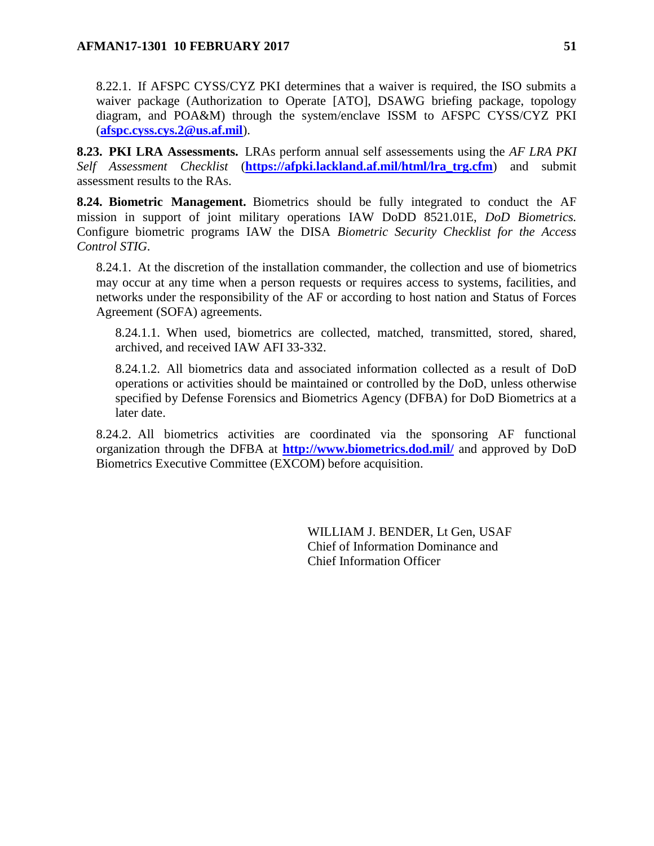8.22.1. If AFSPC CYSS/CYZ PKI determines that a waiver is required, the ISO submits a waiver package (Authorization to Operate [ATO], DSAWG briefing package, topology diagram, and POA&M) through the system/enclave ISSM to AFSPC CYSS/CYZ PKI (**[afspc.cyss.cys.2@us.af.mil](mailto:afspc.cyss.cys.2@us.af.mil)**).

<span id="page-50-0"></span>**8.23. PKI LRA Assessments.** LRAs perform annual self assessements using the *AF LRA PKI Self Assessment Checklist* (**[https://afpki.lackland.af.mil/html/lra\\_trg.cfm](https://afpki.lackland.af.mil/html/lra_trg.cfm)**) and submit assessment results to the RAs.

<span id="page-50-1"></span>**8.24. Biometric Management.** Biometrics should be fully integrated to conduct the AF mission in support of joint military operations IAW DoDD 8521.01E, *DoD Biometrics.* Configure biometric programs IAW the DISA *Biometric Security Checklist for the Access Control STIG*.

8.24.1. At the discretion of the installation commander, the collection and use of biometrics may occur at any time when a person requests or requires access to systems, facilities, and networks under the responsibility of the AF or according to host nation and Status of Forces Agreement (SOFA) agreements.

8.24.1.1. When used, biometrics are collected, matched, transmitted, stored, shared, archived, and received IAW AFI 33-332.

8.24.1.2. All biometrics data and associated information collected as a result of DoD operations or activities should be maintained or controlled by the DoD, unless otherwise specified by Defense Forensics and Biometrics Agency (DFBA) for DoD Biometrics at a later date.

8.24.2. All biometrics activities are coordinated via the sponsoring AF functional organization through the DFBA at **<http://www.biometrics.dod.mil/>** and approved by DoD Biometrics Executive Committee (EXCOM) before acquisition.

> WILLIAM J. BENDER, Lt Gen, USAF Chief of Information Dominance and Chief Information Officer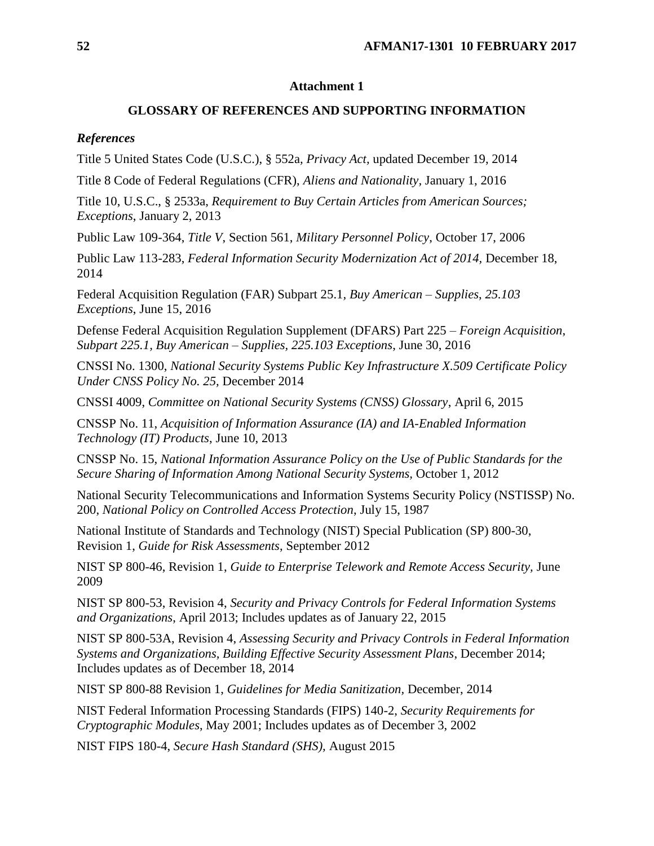### **Attachment 1**

## **GLOSSARY OF REFERENCES AND SUPPORTING INFORMATION**

### <span id="page-51-0"></span>*References*

Title 5 United States Code (U.S.C.), § 552a*, Privacy Act,* updated December 19, 2014

Title 8 Code of Federal Regulations (CFR), *Aliens and Nationality,* January 1, 2016

Title 10, U.S.C., § 2533a, *Requirement to Buy Certain Articles from American Sources; Exceptions*, January 2, 2013

Public Law 109-364, *Title V*, Section 561, *Military Personnel Policy*, October 17, 2006

Public Law 113-283, *Federal Information Security Modernization Act of 2014*, December 18, 2014

Federal Acquisition Regulation (FAR) Subpart 25.1*, Buy American – Supplies*, *25.103 Exceptions*, June 15, 2016

Defense Federal Acquisition Regulation Supplement (DFARS) Part 225 – *Foreign Acquisition*, *Subpart 225.1, Buy American – Supplies, 225.103 Exceptions*, June 30, 2016

CNSSI No. 1300, *National Security Systems Public Key Infrastructure X.509 Certificate Policy Under CNSS Policy No. 25,* December 2014

CNSSI 4009, *Committee on National Security Systems (CNSS) Glossary*, April 6, 2015

CNSSP No. 11, *Acquisition of Information Assurance (IA) and IA-Enabled Information Technology (IT) Products*, June 10, 2013

CNSSP No. 15, *National Information Assurance Policy on the Use of Public Standards for the Secure Sharing of Information Among National Security Systems,* October 1, 2012

National Security Telecommunications and Information Systems Security Policy (NSTISSP) No. 200, *National Policy on Controlled Access Protection*, July 15, 1987

National Institute of Standards and Technology (NIST) Special Publication (SP) 800-30, Revision 1, *Guide for Risk Assessments*, September 2012

NIST SP 800-46, Revision 1, *Guide to Enterprise Telework and Remote Access Security,* June 2009

NIST SP 800-53, Revision 4, *Security and Privacy Controls for Federal Information Systems and Organizations*, April 2013; Includes updates as of January 22, 2015

NIST SP 800-53A, Revision 4, *Assessing Security and Privacy Controls in Federal Information Systems and Organizations, Building Effective Security Assessment Plans*, December 2014; Includes updates as of December 18, 2014

NIST SP 800-88 Revision 1, *Guidelines for Media Sanitization,* December, 2014

NIST Federal Information Processing Standards (FIPS) 140-2, *Security Requirements for Cryptographic Modules*, May 2001; Includes updates as of December 3, 2002

NIST FIPS 180-4, *Secure Hash Standard (SHS),* August 2015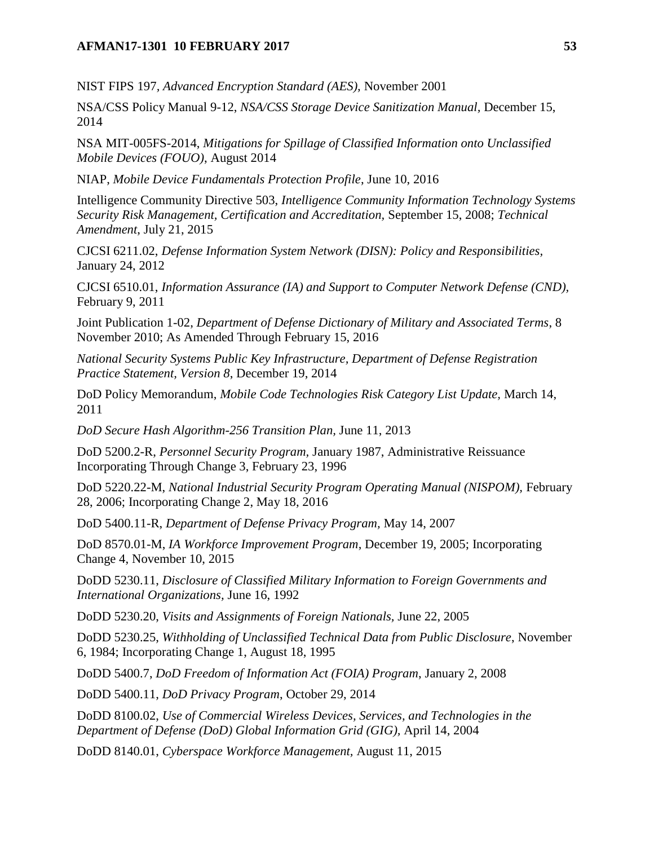### **AFMAN17-1301 10 FEBRUARY 2017 53**

NIST FIPS 197*, Advanced Encryption Standard (AES),* November 2001

NSA/CSS Policy Manual 9-12, *NSA/CSS Storage Device Sanitization Manual,* December 15, 2014

NSA MIT-005FS-2014, *Mitigations for Spillage of Classified Information onto Unclassified Mobile Devices (FOUO)*, August 2014

NIAP, *Mobile Device Fundamentals Protection Profile*, June 10, 2016

Intelligence Community Directive 503, *Intelligence Community Information Technology Systems Security Risk Management, Certification and Accreditation,* September 15, 2008; *Technical Amendment*, July 21, 2015

CJCSI 6211.02, *Defense Information System Network (DISN): Policy and Responsibilities,* January 24, 2012

CJCSI 6510.01, *Information Assurance (IA) and Support to Computer Network Defense (CND),* February 9, 2011

Joint Publication 1-02, *Department of Defense Dictionary of Military and Associated Terms*, 8 November 2010; As Amended Through February 15, 2016

*National Security Systems Public Key Infrastructure, Department of Defense Registration Practice Statement, Version 8*, December 19, 2014

DoD Policy Memorandum, *Mobile Code Technologies Risk Category List Update,* March 14, 2011

*DoD Secure Hash Algorithm-256 Transition Plan,* June 11, 2013

DoD 5200.2-R, *Personnel Security Program,* January 1987, Administrative Reissuance Incorporating Through Change 3, February 23, 1996

DoD 5220.22-M, *National Industrial Security Program Operating Manual (NISPOM),* February 28, 2006; Incorporating Change 2, May 18, 2016

DoD 5400.11-R, *Department of Defense Privacy Program,* May 14, 2007

DoD 8570.01-M, *IA Workforce Improvement Program*, December 19, 2005; Incorporating Change 4, November 10, 2015

DoDD 5230.11, *Disclosure of Classified Military Information to Foreign Governments and International Organizations,* June 16, 1992

DoDD 5230.20, *Visits and Assignments of Foreign Nationals,* June 22, 2005

DoDD 5230.25, *Withholding of Unclassified Technical Data from Public Disclosure*, November 6, 1984; Incorporating Change 1, August 18, 1995

DoDD 5400.7, *DoD Freedom of Information Act (FOIA) Program*, January 2, 2008

DoDD 5400.11, *DoD Privacy Program*, October 29, 2014

DoDD 8100.02, *Use of Commercial Wireless Devices, Services, and Technologies in the Department of Defense (DoD) Global Information Grid (GIG),* April 14, 2004

DoDD 8140.01, *Cyberspace Workforce Management,* August 11, 2015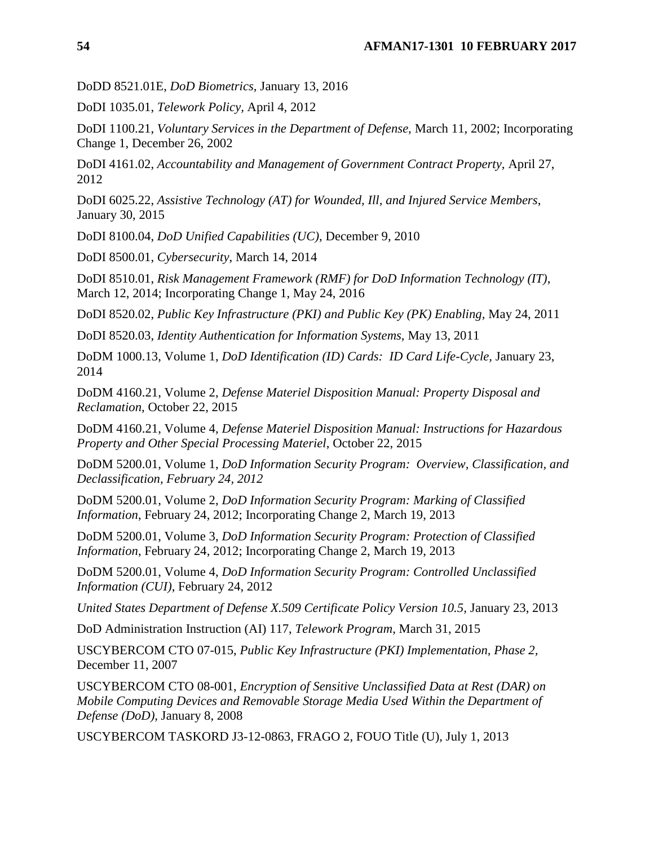DoDD 8521.01E, *DoD Biometrics,* January 13, 2016

DoDI 1035.01, *Telework Policy,* April 4, 2012

DoDI 1100.21, *Voluntary Services in the Department of Defense,* March 11, 2002; Incorporating Change 1, December 26, 2002

DoDI 4161.02, *Accountability and Management of Government Contract Property,* April 27, 2012

DoDI 6025.22, *Assistive Technology (AT) for Wounded, Ill, and Injured Service Members*, January 30, 2015

DoDI 8100.04, *DoD Unified Capabilities (UC)*, December 9, 2010

DoDI 8500.01, *Cybersecurity*, March 14, 2014

DoDI 8510.01, *Risk Management Framework (RMF) for DoD Information Technology (IT)*, March 12, 2014; Incorporating Change 1, May 24, 2016

DoDI 8520.02, *Public Key Infrastructure (PKI) and Public Key (PK) Enabling,* May 24, 2011

DoDI 8520.03, *Identity Authentication for Information Systems,* May 13, 2011

DoDM 1000.13, Volume 1, *DoD Identification (ID) Cards: ID Card Life-Cycle,* January 23, 2014

DoDM 4160.21, Volume 2, *Defense Materiel Disposition Manual: Property Disposal and Reclamation*, October 22, 2015

DoDM 4160.21, Volume 4, *Defense Materiel Disposition Manual: Instructions for Hazardous Property and Other Special Processing Materiel*, October 22, 2015

DoDM 5200.01, Volume 1, *DoD Information Security Program: Overview, Classification, and Declassification, February 24, 2012*

DoDM 5200.01, Volume 2, *DoD Information Security Program: Marking of Classified Information*, February 24, 2012; Incorporating Change 2, March 19, 2013

DoDM 5200.01, Volume 3, *DoD Information Security Program: Protection of Classified Information*, February 24, 2012; Incorporating Change 2, March 19, 2013

DoDM 5200.01, Volume 4, *DoD Information Security Program: Controlled Unclassified Information (CUI)*, February 24, 2012

*United States Department of Defense X.509 Certificate Policy Version 10.5,* January 23, 2013

DoD Administration Instruction (AI) 117, *Telework Program*, March 31, 2015

USCYBERCOM CTO 07-015, *Public Key Infrastructure (PKI) Implementation, Phase 2,*  December 11, 2007

USCYBERCOM CTO 08-001, *Encryption of Sensitive Unclassified Data at Rest (DAR) on Mobile Computing Devices and Removable Storage Media Used Within the Department of Defense (DoD),* January 8, 2008

USCYBERCOM TASKORD J3-12-0863, FRAGO 2, FOUO Title (U), July 1, 2013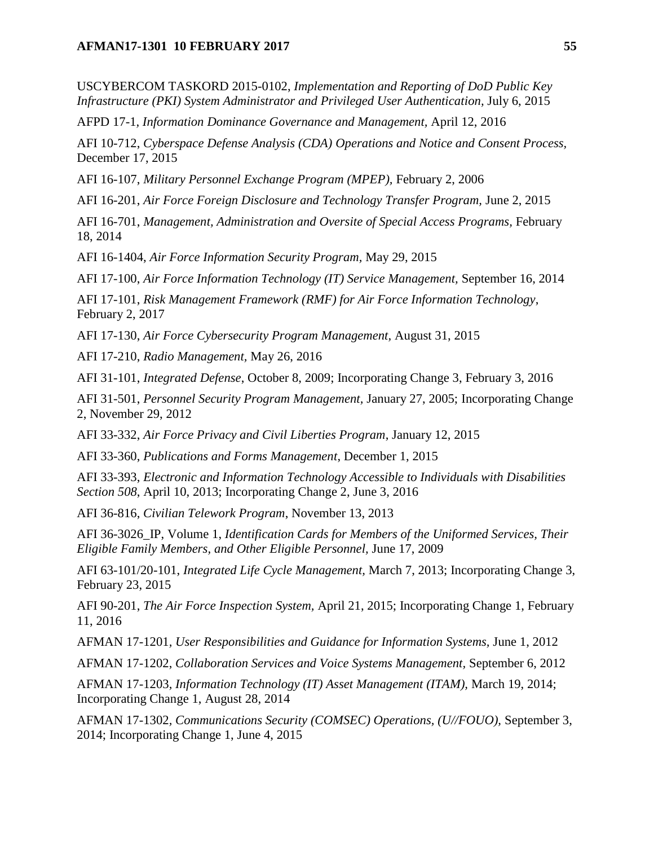#### **AFMAN17-1301 10 FEBRUARY 2017 55**

USCYBERCOM TASKORD 2015-0102, *Implementation and Reporting of DoD Public Key Infrastructure (PKI) System Administrator and Privileged User Authentication,* July 6, 2015

AFPD 17-1*, Information Dominance Governance and Management,* April 12, 2016

AFI 10-712, *Cyberspace Defense Analysis (CDA) Operations and Notice and Consent Process,* December 17, 2015

AFI 16-107, *Military Personnel Exchange Program (MPEP),* February 2, 2006

AFI 16-201, *Air Force Foreign Disclosure and Technology Transfer Program,* June 2, 2015

AFI 16-701, *Management, Administration and Oversite of Special Access Programs, February* 18, 2014

AFI 16-1404, *Air Force Information Security Program,* May 29, 2015

AFI 17-100, *Air Force Information Technology (IT) Service Management,* September 16, 2014

AFI 17-101, *Risk Management Framework (RMF) for Air Force Information Technology*, February 2, 2017

AFI 17-130, *Air Force Cybersecurity Program Management,* August 31, 2015

AFI 17-210, *Radio Management,* May 26, 2016

AFI 31-101, *Integrated Defense*, October 8, 2009; Incorporating Change 3, February 3, 2016

AFI 31-501, *Personnel Security Program Management,* January 27, 2005; Incorporating Change 2, November 29, 2012

AFI 33-332, *Air Force Privacy and Civil Liberties Program*, January 12, 2015

AFI 33-360, *Publications and Forms Management*, December 1, 2015

AFI 33-393, *Electronic and Information Technology Accessible to Individuals with Disabilities Section 508*, April 10, 2013; Incorporating Change 2, June 3, 2016

AFI 36-816, *Civilian Telework Program*, November 13, 2013

AFI 36-3026\_IP, Volume 1, *Identification Cards for Members of the Uniformed Services, Their Eligible Family Members, and Other Eligible Personnel,* June 17, 2009

AFI 63-101/20-101, *Integrated Life Cycle Management,* March 7, 2013; Incorporating Change 3, February 23, 2015

AFI 90-201, *The Air Force Inspection System,* April 21, 2015; Incorporating Change 1, February 11, 2016

AFMAN 17-1201*, User Responsibilities and Guidance for Information Systems,* June 1, 2012

AFMAN 17-1202, *Collaboration Services and Voice Systems Management,* September 6, 2012

AFMAN 17-1203*, Information Technology (IT) Asset Management (ITAM),* March 19, 2014; Incorporating Change 1, August 28, 2014

AFMAN 17-1302*, Communications Security (COMSEC) Operations, (U//FOUO),* September 3, 2014; Incorporating Change 1, June 4, 2015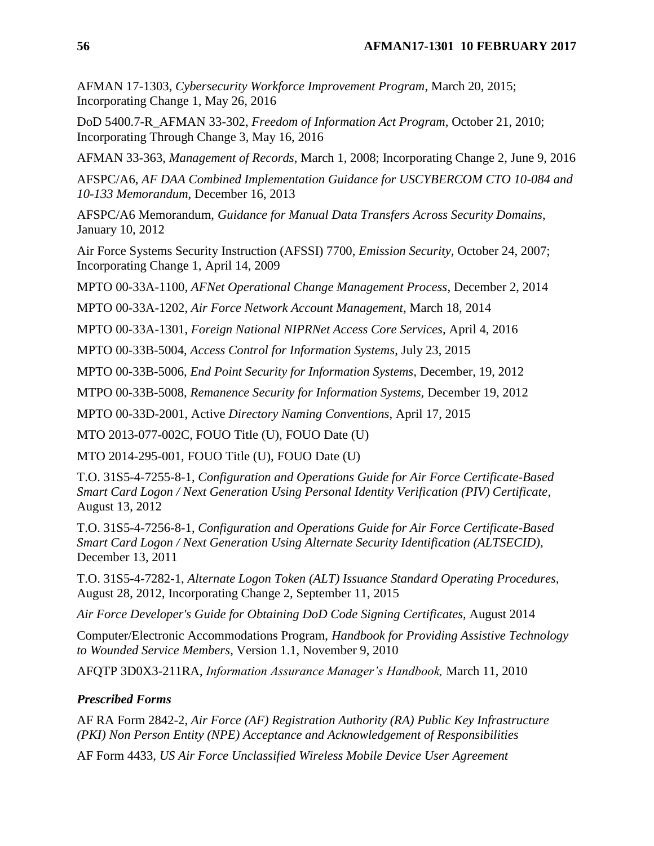AFMAN 17-1303, *Cybersecurity Workforce Improvement Program*, March 20, 2015; Incorporating Change 1, May 26, 2016

DoD 5400.7-R\_AFMAN 33-302, *Freedom of Information Act Program,* October 21, 2010; Incorporating Through Change 3, May 16, 2016

AFMAN 33-363, *Management of Records*, March 1, 2008; Incorporating Change 2, June 9, 2016

AFSPC/A6, *AF DAA Combined Implementation Guidance for USCYBERCOM CTO 10-084 and 10-133 Memorandum*, December 16, 2013

AFSPC/A6 Memorandum, *Guidance for Manual Data Transfers Across Security Domains*, January 10, 2012

Air Force Systems Security Instruction (AFSSI) 7700, *Emission Security*, October 24, 2007; Incorporating Change 1, April 14, 2009

MPTO 00-33A-1100, *AFNet Operational Change Management Process*, December 2, 2014

MPTO 00-33A-1202, *Air Force Network Account Management*, March 18, 2014

MPTO 00-33A-1301, *Foreign National NIPRNet Access Core Services,* April 4, 2016

MPTO 00-33B-5004, *Access Control for Information Systems*, July 23, 2015

MPTO 00-33B-5006, *End Point Security for Information Systems,* December, 19, 2012

MTPO 00-33B-5008, *Remanence Security for Information Systems,* December 19, 2012

MPTO 00-33D-2001, Active *Directory Naming Conventions*, April 17, 2015

MTO 2013-077-002C, FOUO Title (U), FOUO Date (U)

MTO 2014-295-001, FOUO Title (U), FOUO Date (U)

T.O. 31S5-4-7255-8-1, *Configuration and Operations Guide for Air Force Certificate-Based Smart Card Logon / Next Generation Using Personal Identity Verification (PIV) Certificate*, August 13, 2012

T.O. 31S5-4-7256-8-1, *Configuration and Operations Guide for Air Force Certificate-Based Smart Card Logon / Next Generation Using Alternate Security Identification (ALTSECID)*, December 13, 2011

T.O. 31S5-4-7282-1, *Alternate Logon Token (ALT) Issuance Standard Operating Procedures,*  August 28, 2012, Incorporating Change 2, September 11, 2015

*Air Force Developer's Guide for Obtaining DoD Code Signing Certificates,* August 2014

Computer/Electronic Accommodations Program, *Handbook for Providing Assistive Technology to Wounded Service Members*, Version 1.1, November 9, 2010

AFQTP 3D0X3-211RA, *Information Assurance Manager's Handbook,* March 11, 2010

## *Prescribed Forms*

AF RA Form 2842-2, *Air Force (AF) Registration Authority (RA) Public Key Infrastructure (PKI) Non Person Entity (NPE) Acceptance and Acknowledgement of Responsibilities*

AF Form 4433, *US Air Force Unclassified Wireless Mobile Device User Agreement*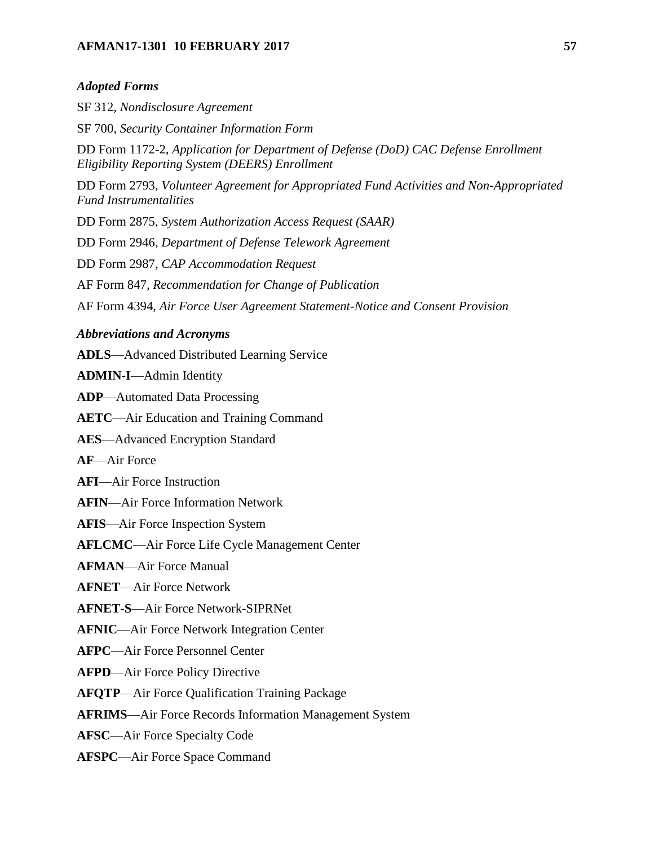# **AFMAN17-1301 10 FEBRUARY 2017 57**

### *Adopted Forms*

SF 312, *Nondisclosure Agreement*

SF 700, *Security Container Information Form* DD Form 1172-2, *Application for Department of Defense (DoD) CAC Defense Enrollment Eligibility Reporting System (DEERS) Enrollment*

DD Form 2793, *Volunteer Agreement for Appropriated Fund Activities and Non-Appropriated Fund Instrumentalities*

DD Form 2875, *System Authorization Access Request (SAAR)*

DD Form 2946, *Department of Defense Telework Agreement*

DD Form 2987, *CAP Accommodation Request*

AF Form 847, *Recommendation for Change of Publication*

AF Form 4394, *Air Force User Agreement Statement-Notice and Consent Provision*

### *Abbreviations and Acronyms*

**ADLS**—Advanced Distributed Learning Service

**ADMIN-I**—Admin Identity

**ADP**—Automated Data Processing

**AETC**—Air Education and Training Command

**AES**—Advanced Encryption Standard

**AF**—Air Force

**AFI**—Air Force Instruction

**AFIN**—Air Force Information Network

**AFIS**—Air Force Inspection System

**AFLCMC**—Air Force Life Cycle Management Center

**AFMAN**—Air Force Manual

**AFNET**—Air Force Network

**AFNET-S**—Air Force Network-SIPRNet

**AFNIC**—Air Force Network Integration Center

**AFPC**—Air Force Personnel Center

**AFPD**—Air Force Policy Directive

**AFQTP**—Air Force Qualification Training Package

**AFRIMS**—Air Force Records Information Management System

**AFSC**—Air Force Specialty Code

**AFSPC**—Air Force Space Command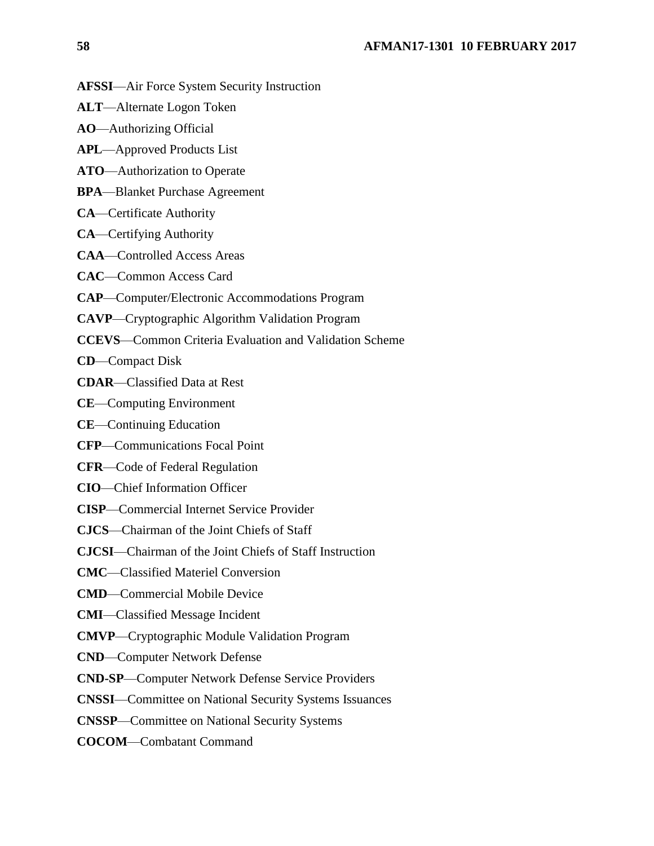- **AFSSI**—Air Force System Security Instruction
- **ALT**—Alternate Logon Token
- **AO**—Authorizing Official
- **APL**—Approved Products List
- **ATO**—Authorization to Operate
- **BPA**—Blanket Purchase Agreement
- **CA**—Certificate Authority
- **CA**—Certifying Authority
- **CAA**—Controlled Access Areas
- **CAC**—Common Access Card
- **CAP**—Computer/Electronic Accommodations Program
- **CAVP**—Cryptographic Algorithm Validation Program
- **CCEVS**—Common Criteria Evaluation and Validation Scheme
- **CD**—Compact Disk
- **CDAR**—Classified Data at Rest
- **CE**—Computing Environment
- **CE**—Continuing Education
- **CFP**—Communications Focal Point
- **CFR**—Code of Federal Regulation
- **CIO**—Chief Information Officer
- **CISP**—Commercial Internet Service Provider
- **CJCS**—Chairman of the Joint Chiefs of Staff
- **CJCSI**—Chairman of the Joint Chiefs of Staff Instruction
- **CMC**—Classified Materiel Conversion
- **CMD**—Commercial Mobile Device
- **CMI**—Classified Message Incident
- **CMVP**—Cryptographic Module Validation Program
- **CND**—Computer Network Defense
- **CND-SP**—Computer Network Defense Service Providers
- **CNSSI**—Committee on National Security Systems Issuances
- **CNSSP**—Committee on National Security Systems
- **COCOM**—Combatant Command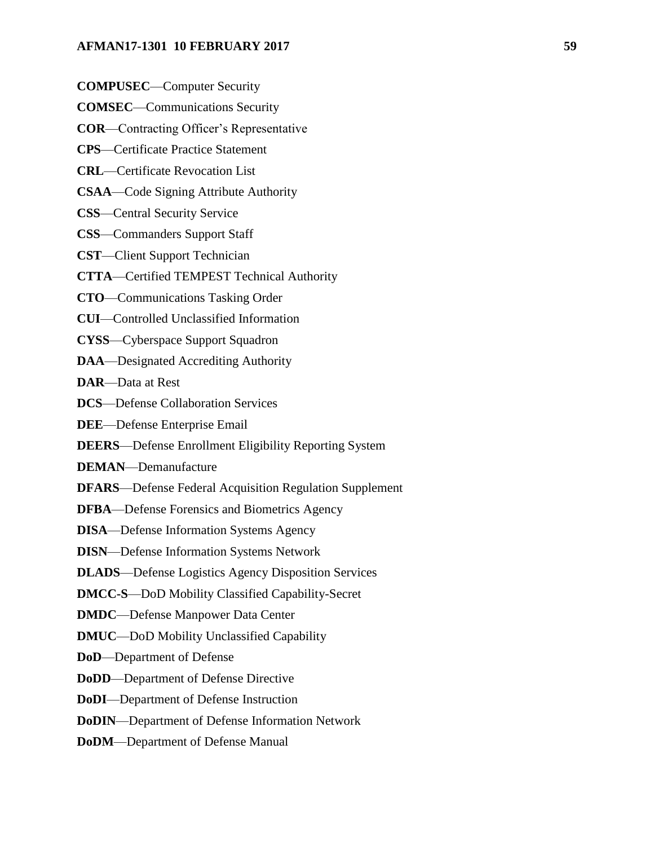#### **AFMAN17-1301 10 FEBRUARY 2017 59**

- **COMPUSEC**—Computer Security
- **COMSEC**—Communications Security
- **COR**—Contracting Officer's Representative
- **CPS**—Certificate Practice Statement
- **CRL**—Certificate Revocation List
- **CSAA**—Code Signing Attribute Authority
- **CSS**—Central Security Service
- **CSS**—Commanders Support Staff
- **CST**—Client Support Technician
- **CTTA**—Certified TEMPEST Technical Authority
- **CTO**—Communications Tasking Order
- **CUI**—Controlled Unclassified Information
- **CYSS**—Cyberspace Support Squadron
- **DAA**—Designated Accrediting Authority
- **DAR**—Data at Rest
- **DCS**—Defense Collaboration Services
- **DEE**—Defense Enterprise Email
- **DEERS**—Defense Enrollment Eligibility Reporting System
- **DEMAN**—Demanufacture
- **DFARS**—Defense Federal Acquisition Regulation Supplement
- **DFBA**—Defense Forensics and Biometrics Agency
- **DISA**—Defense Information Systems Agency
- **DISN**—Defense Information Systems Network
- **DLADS**—Defense Logistics Agency Disposition Services
- **DMCC-S**—DoD Mobility Classified Capability-Secret
- **DMDC**—Defense Manpower Data Center
- **DMUC**—DoD Mobility Unclassified Capability
- **DoD**—Department of Defense
- **DoDD**—Department of Defense Directive
- **DoDI**—Department of Defense Instruction
- **DoDIN**—Department of Defense Information Network
- **DoDM**—Department of Defense Manual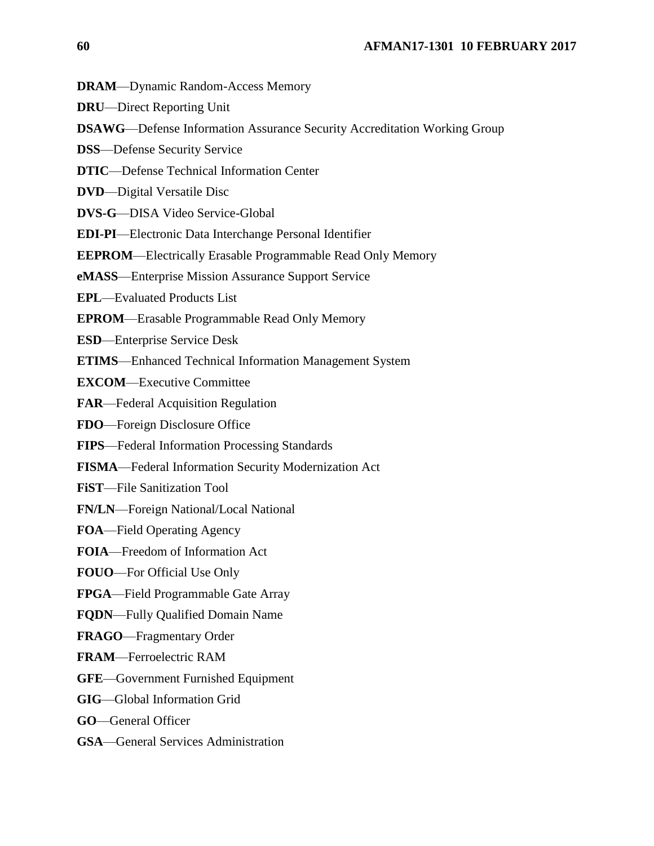**DRAM**—Dynamic Random-Access Memory

**DRU**—Direct Reporting Unit

**DSAWG**—Defense Information Assurance Security Accreditation Working Group

**DSS**—Defense Security Service

**DTIC**—Defense Technical Information Center

**DVD**—Digital Versatile Disc

**DVS-G**—DISA Video Service-Global

**EDI-PI**—Electronic Data Interchange Personal Identifier

**EEPROM**—Electrically Erasable Programmable Read Only Memory

**eMASS**—Enterprise Mission Assurance Support Service

**EPL**—Evaluated Products List

**EPROM**—Erasable Programmable Read Only Memory

**ESD**—Enterprise Service Desk

**ETIMS**—Enhanced Technical Information Management System

**EXCOM**—Executive Committee

**FAR**—Federal Acquisition Regulation

**FDO**—Foreign Disclosure Office

**FIPS**—Federal Information Processing Standards

**FISMA**—Federal Information Security Modernization Act

**FiST**—File Sanitization Tool

**FN/LN**—Foreign National/Local National

**FOA**—Field Operating Agency

**FOIA**—Freedom of Information Act

**FOUO**—For Official Use Only

**FPGA**—Field Programmable Gate Array

**FQDN**—Fully Qualified Domain Name

**FRAGO**—Fragmentary Order

**FRAM**—Ferroelectric RAM

**GFE**—Government Furnished Equipment

**GIG**—Global Information Grid

**GO**—General Officer

**GSA**—General Services Administration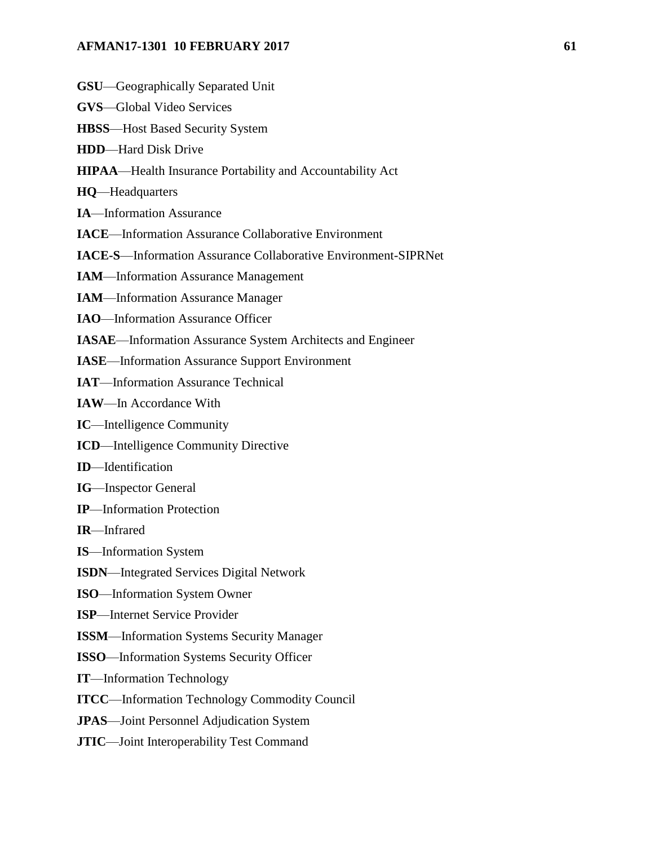## **AFMAN17-1301 10 FEBRUARY 2017 61**

- **GSU**—Geographically Separated Unit
- **GVS**—Global Video Services
- **HBSS**—Host Based Security System
- **HDD**—Hard Disk Drive
- **HIPAA**—Health Insurance Portability and Accountability Act
- **HQ**—Headquarters
- **IA**—Information Assurance
- **IACE**—Information Assurance Collaborative Environment
- **IACE-S**—Information Assurance Collaborative Environment-SIPRNet
- **IAM**—Information Assurance Management
- **IAM**—Information Assurance Manager
- **IAO**—Information Assurance Officer
- **IASAE**—Information Assurance System Architects and Engineer
- **IASE**—Information Assurance Support Environment
- **IAT**—Information Assurance Technical
- **IAW**—In Accordance With
- **IC**—Intelligence Community
- **ICD**—Intelligence Community Directive
- **ID**—Identification
- **IG**—Inspector General
- **IP**—Information Protection
- **IR**—Infrared
- **IS**—Information System
- **ISDN**—Integrated Services Digital Network
- **ISO**—Information System Owner
- **ISP**—Internet Service Provider
- **ISSM**—Information Systems Security Manager
- **ISSO**—Information Systems Security Officer
- **IT**—Information Technology
- **ITCC**—Information Technology Commodity Council
- **JPAS**—Joint Personnel Adjudication System
- **JTIC**—Joint Interoperability Test Command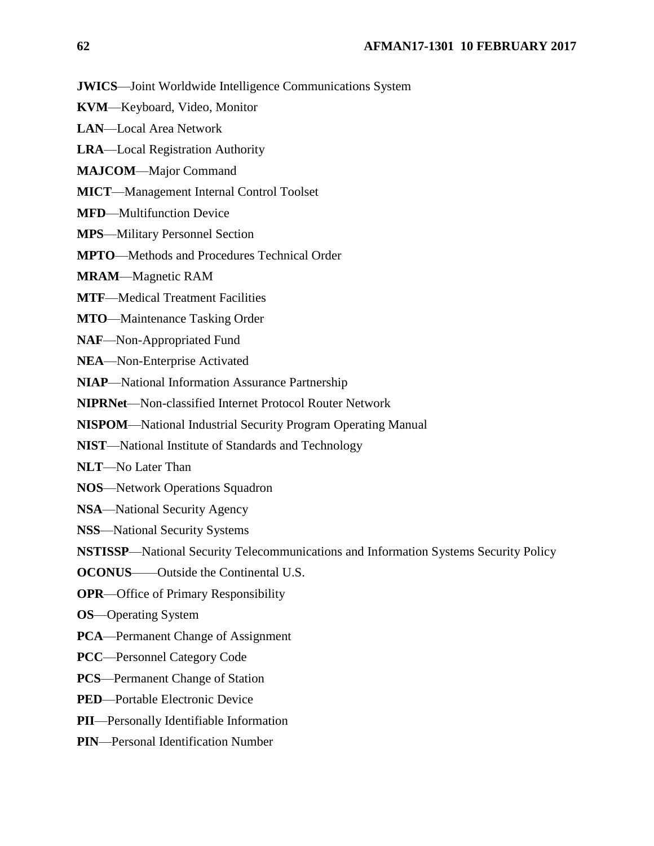**JWICS**—Joint Worldwide Intelligence Communications System

- **KVM**—Keyboard, Video, Monitor
- **LAN**—Local Area Network
- **LRA**—Local Registration Authority
- **MAJCOM**—Major Command
- **MICT**—Management Internal Control Toolset
- **MFD**—Multifunction Device
- **MPS**—Military Personnel Section
- **MPTO**—Methods and Procedures Technical Order

**MRAM**—Magnetic RAM

- **MTF**—Medical Treatment Facilities
- **MTO**—Maintenance Tasking Order
- **NAF**—Non-Appropriated Fund
- **NEA**—Non-Enterprise Activated
- **NIAP**—National Information Assurance Partnership
- **NIPRNet**—Non-classified Internet Protocol Router Network
- **NISPOM**—National Industrial Security Program Operating Manual
- **NIST**—National Institute of Standards and Technology
- **NLT**—No Later Than
- **NOS**—Network Operations Squadron
- **NSA**—National Security Agency
- **NSS**—National Security Systems
- **NSTISSP**—National Security Telecommunications and Information Systems Security Policy
- **OCONUS**——Outside the Continental U.S.
- **OPR**—Office of Primary Responsibility
- **OS**—Operating System
- **PCA**—Permanent Change of Assignment
- **PCC**—Personnel Category Code
- **PCS**—Permanent Change of Station
- **PED**—Portable Electronic Device
- **PII**—Personally Identifiable Information
- **PIN**—Personal Identification Number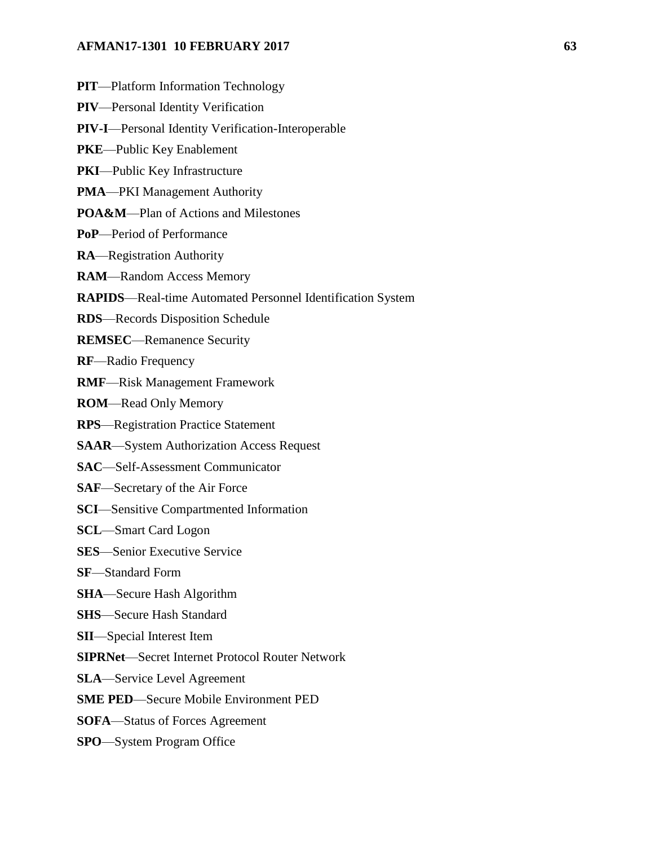#### **AFMAN17-1301 10 FEBRUARY 2017 63**

**PIT**—Platform Information Technology **PIV**—Personal Identity Verification **PIV-I**—Personal Identity Verification-Interoperable **PKE**—Public Key Enablement **PKI**—Public Key Infrastructure **PMA**—PKI Management Authority **POA&M**—Plan of Actions and Milestones **PoP**—Period of Performance **RA**—Registration Authority **RAM**—Random Access Memory **RAPIDS**—Real-time Automated Personnel Identification System **RDS**—Records Disposition Schedule **REMSEC**—Remanence Security **RF**—Radio Frequency **RMF**—Risk Management Framework **ROM**—Read Only Memory **RPS**—Registration Practice Statement **SAAR**—System Authorization Access Request **SAC**—Self-Assessment Communicator **SAF**—Secretary of the Air Force **SCI**—Sensitive Compartmented Information **SCL**—Smart Card Logon **SES**—Senior Executive Service **SF**—Standard Form **SHA**—Secure Hash Algorithm **SHS**—Secure Hash Standard **SII**—Special Interest Item **SIPRNet**—Secret Internet Protocol Router Network **SLA**—Service Level Agreement

**SME PED**—Secure Mobile Environment PED

**SOFA**—Status of Forces Agreement

**SPO**—System Program Office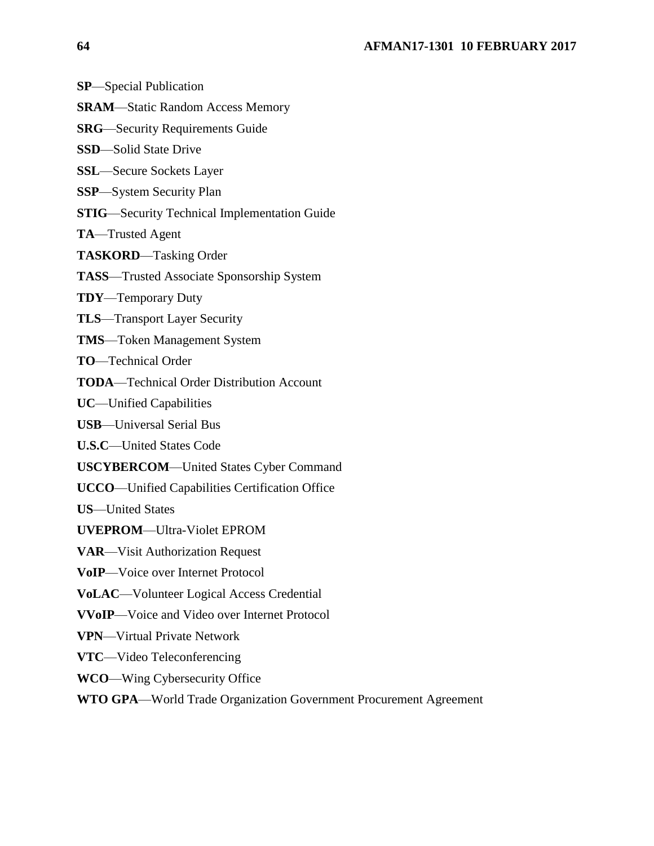**SP**—Special Publication

- **SRAM**—Static Random Access Memory
- **SRG**—Security Requirements Guide
- **SSD**—Solid State Drive
- **SSL**—Secure Sockets Layer
- **SSP**—System Security Plan
- **STIG**—Security Technical Implementation Guide
- **TA**—Trusted Agent
- **TASKORD**—Tasking Order
- **TASS**—Trusted Associate Sponsorship System
- **TDY**—Temporary Duty
- **TLS**—Transport Layer Security
- **TMS**—Token Management System
- **TO**—Technical Order
- **TODA**—Technical Order Distribution Account
- **UC**—Unified Capabilities
- **USB**—Universal Serial Bus
- **U.S.C**—United States Code
- **USCYBERCOM**—United States Cyber Command
- **UCCO**—Unified Capabilities Certification Office
- **US**—United States
- **UVEPROM**—Ultra-Violet EPROM
- **VAR**—Visit Authorization Request
- **VoIP**—Voice over Internet Protocol
- **VoLAC**—Volunteer Logical Access Credential
- **VVoIP**—Voice and Video over Internet Protocol
- **VPN**—Virtual Private Network
- **VTC**—Video Teleconferencing
- **WCO**—Wing Cybersecurity Office
- **WTO GPA**—World Trade Organization Government Procurement Agreement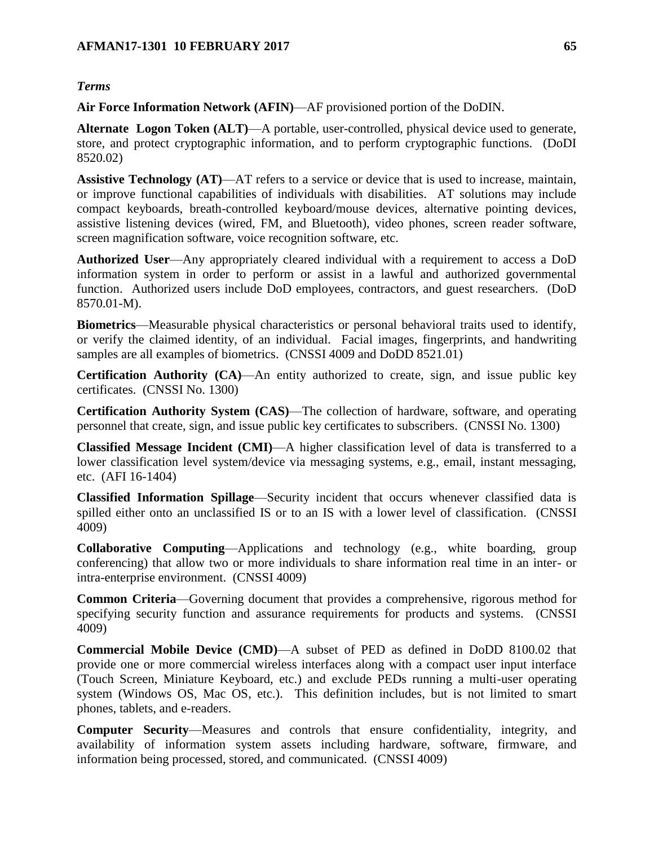### *Terms*

**Air Force Information Network (AFIN)**—AF provisioned portion of the DoDIN.

**Alternate Logon Token (ALT)**—A portable, user-controlled, physical device used to generate, store, and protect cryptographic information, and to perform cryptographic functions. (DoDI 8520.02)

**Assistive Technology (AT)**—AT refers to a service or device that is used to increase, maintain, or improve functional capabilities of individuals with disabilities. AT solutions may include compact keyboards, breath-controlled keyboard/mouse devices, alternative pointing devices, assistive listening devices (wired, FM, and Bluetooth), video phones, screen reader software, screen magnification software, voice recognition software, etc.

**Authorized User**—Any appropriately cleared individual with a requirement to access a DoD information system in order to perform or assist in a lawful and authorized governmental function. Authorized users include DoD employees, contractors, and guest researchers. (DoD 8570.01-M).

**Biometrics**—Measurable physical characteristics or personal behavioral traits used to identify, or verify the claimed identity, of an individual. Facial images, fingerprints, and handwriting samples are all examples of biometrics. (CNSSI 4009 and DoDD 8521.01)

**Certification Authority (CA)**—An entity authorized to create, sign, and issue public key certificates. (CNSSI No. 1300)

**Certification Authority System (CAS)**—The collection of hardware, software, and operating personnel that create, sign, and issue public key certificates to subscribers. (CNSSI No. 1300)

**Classified Message Incident (CMI)**—A higher classification level of data is transferred to a lower classification level system/device via messaging systems, e.g., email, instant messaging, etc. (AFI 16-1404)

**Classified Information Spillage**—Security incident that occurs whenever classified data is spilled either onto an unclassified IS or to an IS with a lower level of classification. (CNSSI 4009)

**Collaborative Computing**—Applications and technology (e.g., white boarding, group conferencing) that allow two or more individuals to share information real time in an inter- or intra-enterprise environment. (CNSSI 4009)

**Common Criteria**—Governing document that provides a comprehensive, rigorous method for specifying security function and assurance requirements for products and systems. (CNSSI 4009)

**Commercial Mobile Device (CMD)**—A subset of PED as defined in DoDD 8100.02 that provide one or more commercial wireless interfaces along with a compact user input interface (Touch Screen, Miniature Keyboard, etc.) and exclude PEDs running a multi-user operating system (Windows OS, Mac OS, etc.). This definition includes, but is not limited to smart phones, tablets, and e-readers.

**Computer Security**—Measures and controls that ensure confidentiality, integrity, and availability of information system assets including hardware, software, firmware, and information being processed, stored, and communicated. (CNSSI 4009)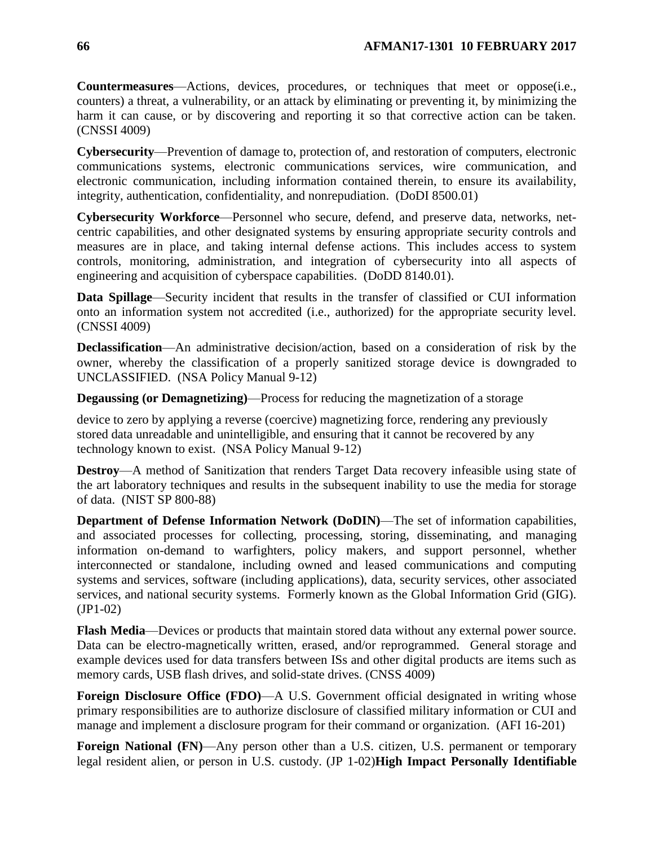**Countermeasures**—Actions, devices, procedures, or techniques that meet or oppose(i.e., counters) a threat, a vulnerability, or an attack by eliminating or preventing it, by minimizing the harm it can cause, or by discovering and reporting it so that corrective action can be taken. (CNSSI 4009)

**Cybersecurity**—Prevention of damage to, protection of, and restoration of computers, electronic communications systems, electronic communications services, wire communication, and electronic communication, including information contained therein, to ensure its availability, integrity, authentication, confidentiality, and nonrepudiation. (DoDI 8500.01)

**Cybersecurity Workforce**—Personnel who secure, defend, and preserve data, networks, netcentric capabilities, and other designated systems by ensuring appropriate security controls and measures are in place, and taking internal defense actions. This includes access to system controls, monitoring, administration, and integration of cybersecurity into all aspects of engineering and acquisition of cyberspace capabilities. (DoDD 8140.01).

**Data Spillage**—Security incident that results in the transfer of classified or CUI information onto an information system not accredited (i.e., authorized) for the appropriate security level. (CNSSI 4009)

**Declassification**—An administrative decision/action, based on a consideration of risk by the owner, whereby the classification of a properly sanitized storage device is downgraded to UNCLASSIFIED. (NSA Policy Manual 9-12)

**Degaussing (or Demagnetizing)**—Process for reducing the magnetization of a storage

device to zero by applying a reverse (coercive) magnetizing force, rendering any previously stored data unreadable and unintelligible, and ensuring that it cannot be recovered by any technology known to exist. (NSA Policy Manual 9-12)

**Destroy—A** method of Sanitization that renders Target Data recovery infeasible using state of the art laboratory techniques and results in the subsequent inability to use the media for storage of data. (NIST SP 800-88)

**Department of Defense Information Network (DoDIN)**—The set of information capabilities, and associated processes for collecting, processing, storing, disseminating, and managing information on-demand to warfighters, policy makers, and support personnel, whether interconnected or standalone, including owned and leased communications and computing systems and services, software (including applications), data, security services, other associated services, and national security systems. Formerly known as the Global Information Grid (GIG). (JP1-02)

**Flash Media**—Devices or products that maintain stored data without any external power source. Data can be electro-magnetically written, erased, and/or reprogrammed. General storage and example devices used for data transfers between ISs and other digital products are items such as memory cards, USB flash drives, and solid-state drives. (CNSS 4009)

**Foreign Disclosure Office (FDO)—A U.S.** Government official designated in writing whose primary responsibilities are to authorize disclosure of classified military information or CUI and manage and implement a disclosure program for their command or organization. (AFI 16-201)

**Foreign National (FN)—Any person other than a U.S. citizen, U.S. permanent or temporary** legal resident alien, or person in U.S. custody. (JP 1-02)**High Impact Personally Identifiable**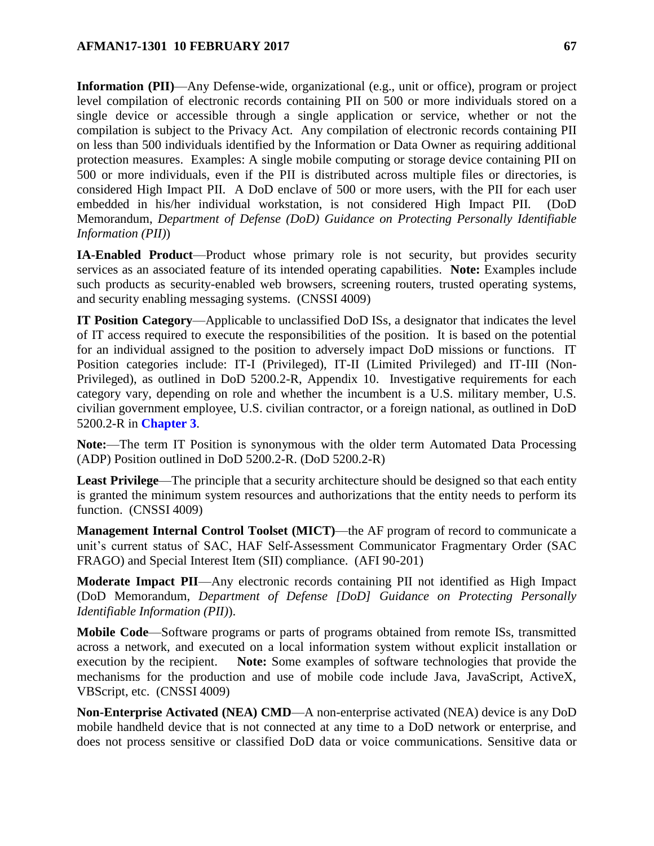**Information (PII)**—Any Defense-wide, organizational (e.g., unit or office), program or project level compilation of electronic records containing PII on 500 or more individuals stored on a single device or accessible through a single application or service, whether or not the compilation is subject to the Privacy Act. Any compilation of electronic records containing PII on less than 500 individuals identified by the Information or Data Owner as requiring additional protection measures. Examples: A single mobile computing or storage device containing PII on 500 or more individuals, even if the PII is distributed across multiple files or directories, is considered High Impact PII. A DoD enclave of 500 or more users, with the PII for each user embedded in his/her individual workstation, is not considered High Impact PII. (DoD Memorandum, *Department of Defense (DoD) Guidance on Protecting Personally Identifiable Information (PII)*)

**IA-Enabled Product**—Product whose primary role is not security, but provides security services as an associated feature of its intended operating capabilities. **Note:** Examples include such products as security-enabled web browsers, screening routers, trusted operating systems, and security enabling messaging systems. (CNSSI 4009)

**IT Position Category**—Applicable to unclassified DoD ISs, a designator that indicates the level of IT access required to execute the responsibilities of the position. It is based on the potential for an individual assigned to the position to adversely impact DoD missions or functions. IT Position categories include: IT-I (Privileged), IT-II (Limited Privileged) and IT-III (Non-Privileged), as outlined in DoD 5200.2-R, Appendix 10. Investigative requirements for each category vary, depending on role and whether the incumbent is a U.S. military member, U.S. civilian government employee, U.S. civilian contractor, or a foreign national, as outlined in DoD 5200.2-R in **[Chapter](#page-9-0) 3**.

**Note:**—The term IT Position is synonymous with the older term Automated Data Processing (ADP) Position outlined in DoD 5200.2-R. (DoD 5200.2-R)

**Least Privilege**—The principle that a security architecture should be designed so that each entity is granted the minimum system resources and authorizations that the entity needs to perform its function. (CNSSI 4009)

**Management Internal Control Toolset (MICT)—the AF program of record to communicate a** unit's current status of SAC, HAF Self-Assessment Communicator Fragmentary Order (SAC FRAGO) and Special Interest Item (SII) compliance. (AFI 90-201)

**Moderate Impact PII**—Any electronic records containing PII not identified as High Impact (DoD Memorandum, *Department of Defense [DoD] Guidance on Protecting Personally Identifiable Information (PII)*).

**Mobile Code**—Software programs or parts of programs obtained from remote ISs, transmitted across a network, and executed on a local information system without explicit installation or execution by the recipient. **Note:** Some examples of software technologies that provide the mechanisms for the production and use of mobile code include Java, JavaScript, ActiveX, VBScript, etc. (CNSSI 4009)

**Non-Enterprise Activated (NEA) CMD**—A non-enterprise activated (NEA) device is any DoD mobile handheld device that is not connected at any time to a DoD network or enterprise, and does not process sensitive or classified DoD data or voice communications. Sensitive data or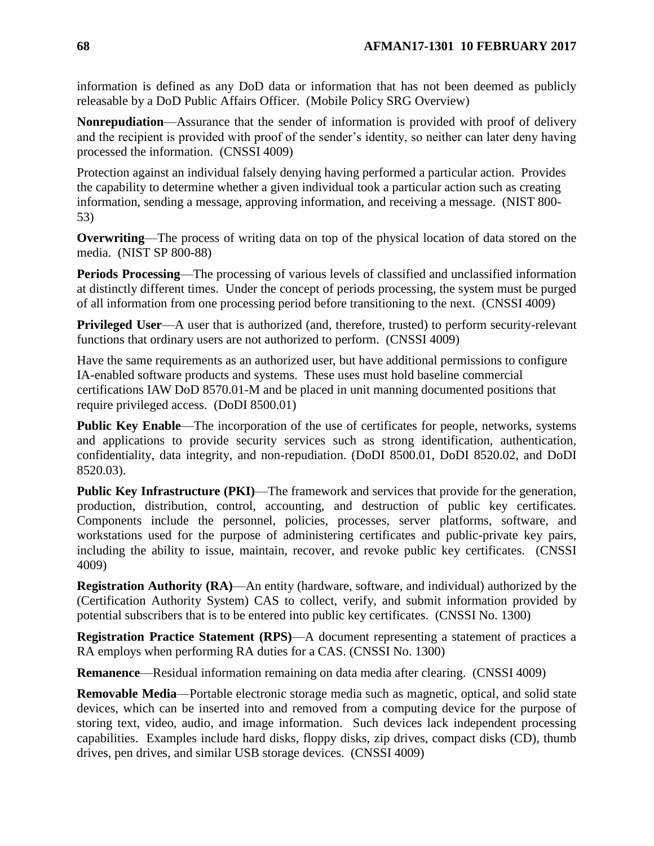information is defined as any DoD data or information that has not been deemed as publicly releasable by a DoD Public Affairs Officer. (Mobile Policy SRG Overview)

**Nonrepudiation**—Assurance that the sender of information is provided with proof of delivery and the recipient is provided with proof of the sender's identity, so neither can later deny having processed the information. (CNSSI 4009)

Protection against an individual falsely denying having performed a particular action. Provides the capability to determine whether a given individual took a particular action such as creating information, sending a message, approving information, and receiving a message. (NIST 800- 53)

**Overwriting**—The process of writing data on top of the physical location of data stored on the media. (NIST SP 800-88)

**Periods Processing**—The processing of various levels of classified and unclassified information at distinctly different times. Under the concept of periods processing, the system must be purged of all information from one processing period before transitioning to the next. (CNSSI 4009)

**Privileged User—A** user that is authorized (and, therefore, trusted) to perform security-relevant functions that ordinary users are not authorized to perform. (CNSSI 4009)

Have the same requirements as an authorized user, but have additional permissions to configure IA-enabled software products and systems. These uses must hold baseline commercial certifications IAW DoD 8570.01-M and be placed in unit manning documented positions that require privileged access. (DoDI 8500.01)

**Public Key Enable—The incorporation of the use of certificates for people, networks, systems** and applications to provide security services such as strong identification, authentication, confidentiality, data integrity, and non-repudiation. (DoDI 8500.01, DoDI 8520.02, and DoDI 8520.03).

**Public Key Infrastructure (PKI)—The framework and services that provide for the generation,** production, distribution, control, accounting, and destruction of public key certificates. Components include the personnel, policies, processes, server platforms, software, and workstations used for the purpose of administering certificates and public-private key pairs, including the ability to issue, maintain, recover, and revoke public key certificates. (CNSSI 4009)

**Registration Authority (RA)**—An entity (hardware, software, and individual) authorized by the (Certification Authority System) CAS to collect, verify, and submit information provided by potential subscribers that is to be entered into public key certificates. (CNSSI No. 1300)

**Registration Practice Statement (RPS)**—A document representing a statement of practices a RA employs when performing RA duties for a CAS. (CNSSI No. 1300)

**Remanence**—Residual information remaining on data media after clearing. (CNSSI 4009)

**Removable Media**—Portable electronic storage media such as magnetic, optical, and solid state devices, which can be inserted into and removed from a computing device for the purpose of storing text, video, audio, and image information. Such devices lack independent processing capabilities. Examples include hard disks, floppy disks, zip drives, compact disks (CD), thumb drives, pen drives, and similar USB storage devices. (CNSSI 4009)